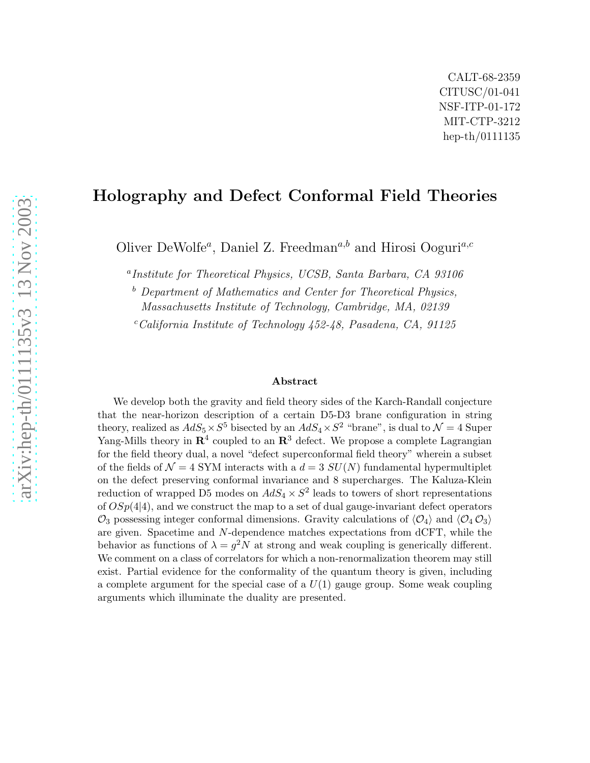## Holography and Defect Conformal Field Theories

Oliver DeWolfe<sup>a</sup>, Daniel Z. Freedman<sup>a,b</sup> and Hirosi Ooguri<sup>a,c</sup>

a Institute for Theoretical Physics, UCSB, Santa Barbara, CA 93106

 $b$  Department of Mathematics and Center for Theoretical Physics, Massachusetts Institute of Technology, Cambridge, MA, 02139

 $c$ California Institute of Technology 452-48, Pasadena, CA, 91125

#### Abstract

We develop both the gravity and field theory sides of the Karch-Randall conjecture that the near-horizon description of a certain D5-D3 brane configuration in string theory, realized as  $AdS_5 \times S^5$  bisected by an  $AdS_4 \times S^2$  "brane", is dual to  $\mathcal{N} = 4$  Super Yang-Mills theory in  $\mathbb{R}^4$  coupled to an  $\mathbb{R}^3$  defect. We propose a complete Lagrangian for the field theory dual, a novel "defect superconformal field theory" wherein a subset of the fields of  $\mathcal{N} = 4$  SYM interacts with a  $d = 3$  SU(N) fundamental hypermultiplet on the defect preserving conformal invariance and 8 supercharges. The Kaluza-Klein reduction of wrapped D5 modes on  $AdS_4 \times S^2$  leads to towers of short representations of  $OSp(4|4)$ , and we construct the map to a set of dual gauge-invariant defect operators  $\mathcal{O}_3$  possessing integer conformal dimensions. Gravity calculations of  $\langle \mathcal{O}_4 \rangle$  and  $\langle \mathcal{O}_4 \mathcal{O}_3 \rangle$ are given. Spacetime and N-dependence matches expectations from dCFT, while the behavior as functions of  $\lambda = g^2 N$  at strong and weak coupling is generically different. We comment on a class of correlators for which a non-renormalization theorem may still exist. Partial evidence for the conformality of the quantum theory is given, including a complete argument for the special case of a  $U(1)$  gauge group. Some weak coupling arguments which illuminate the duality are presented.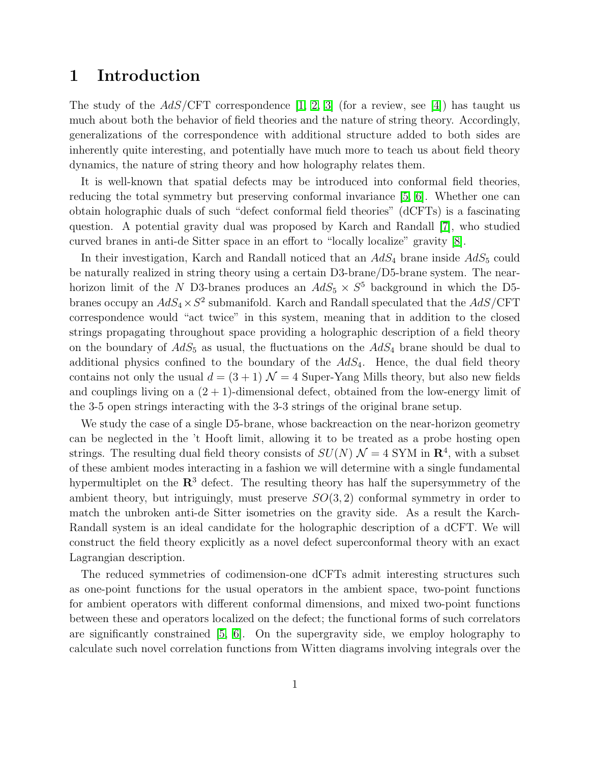### 1 Introduction

The study of the  $AdS/\text{CFT}$  correspondence [\[1,](#page-45-0) [2,](#page-45-1) [3\]](#page-45-2) (for a review, see [\[4\]](#page-45-3)) has taught us much about both the behavior of field theories and the nature of string theory. Accordingly, generalizations of the correspondence with additional structure added to both sides are inherently quite interesting, and potentially have much more to teach us about field theory dynamics, the nature of string theory and how holography relates them.

It is well-known that spatial defects may be introduced into conformal field theories, reducing the total symmetry but preserving conformal invariance [\[5,](#page-45-4) [6\]](#page-46-0). Whether one can obtain holographic duals of such "defect conformal field theories" (dCFTs) is a fascinating question. A potential gravity dual was proposed by Karch and Randall [\[7\]](#page-46-1), who studied curved branes in anti-de Sitter space in an effort to "locally localize" gravity [\[8\]](#page-46-2).

In their investigation, Karch and Randall noticed that an  $AdS_4$  brane inside  $AdS_5$  could be naturally realized in string theory using a certain D3-brane/D5-brane system. The nearhorizon limit of the N D3-branes produces an  $AdS_5 \times S^5$  background in which the D5branes occupy an  $AdS_4 \times S^2$  submanifold. Karch and Randall speculated that the  $AdS/\text{CFT}$ correspondence would "act twice" in this system, meaning that in addition to the closed strings propagating throughout space providing a holographic description of a field theory on the boundary of  $AdS_5$  as usual, the fluctuations on the  $AdS_4$  brane should be dual to additional physics confined to the boundary of the  $AdS_4$ . Hence, the dual field theory contains not only the usual  $d = (3 + 1)$   $\mathcal{N} = 4$  Super-Yang Mills theory, but also new fields and couplings living on a  $(2 + 1)$ -dimensional defect, obtained from the low-energy limit of the 3-5 open strings interacting with the 3-3 strings of the original brane setup.

We study the case of a single D5-brane, whose backreaction on the near-horizon geometry can be neglected in the 't Hooft limit, allowing it to be treated as a probe hosting open strings. The resulting dual field theory consists of  $SU(N)$   $\mathcal{N}=4$  SYM in  $\mathbb{R}^4$ , with a subset of these ambient modes interacting in a fashion we will determine with a single fundamental hypermultiplet on the  $\mathbb{R}^3$  defect. The resulting theory has half the supersymmetry of the ambient theory, but intriguingly, must preserve  $SO(3, 2)$  conformal symmetry in order to match the unbroken anti-de Sitter isometries on the gravity side. As a result the Karch-Randall system is an ideal candidate for the holographic description of a dCFT. We will construct the field theory explicitly as a novel defect superconformal theory with an exact Lagrangian description.

The reduced symmetries of codimension-one dCFTs admit interesting structures such as one-point functions for the usual operators in the ambient space, two-point functions for ambient operators with different conformal dimensions, and mixed two-point functions between these and operators localized on the defect; the functional forms of such correlators are significantly constrained  $[5, 6]$  $[5, 6]$ . On the supergravity side, we employ holography to calculate such novel correlation functions from Witten diagrams involving integrals over the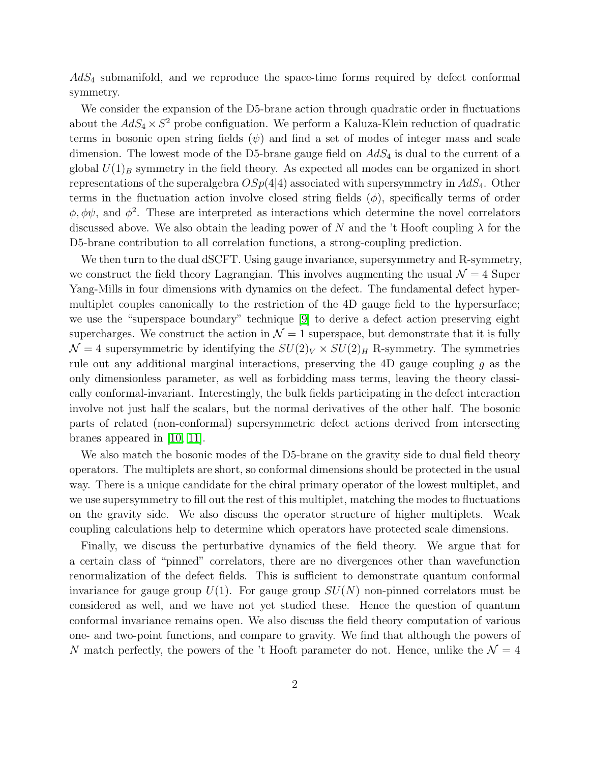$AdS<sub>4</sub>$  submanifold, and we reproduce the space-time forms required by defect conformal symmetry.

We consider the expansion of the D5-brane action through quadratic order in fluctuations about the  $AdS_4 \times S^2$  probe configuation. We perform a Kaluza-Klein reduction of quadratic terms in bosonic open string fields  $(\psi)$  and find a set of modes of integer mass and scale dimension. The lowest mode of the D5-brane gauge field on  $AdS<sub>4</sub>$  is dual to the current of a global  $U(1)_B$  symmetry in the field theory. As expected all modes can be organized in short representations of the superalgebra  $OSp(4|4)$  associated with supersymmetry in  $AdS_4$ . Other terms in the fluctuation action involve closed string fields  $(\phi)$ , specifically terms of order  $\phi, \phi\psi$ , and  $\phi^2$ . These are interpreted as interactions which determine the novel correlators discussed above. We also obtain the leading power of N and the 't Hooft coupling  $\lambda$  for the D5-brane contribution to all correlation functions, a strong-coupling prediction.

We then turn to the dual dSCFT. Using gauge invariance, supersymmetry and R-symmetry, we construct the field theory Lagrangian. This involves augmenting the usual  $\mathcal{N}=4$  Super Yang-Mills in four dimensions with dynamics on the defect. The fundamental defect hypermultiplet couples canonically to the restriction of the 4D gauge field to the hypersurface; we use the "superspace boundary" technique [\[9\]](#page-46-3) to derive a defect action preserving eight supercharges. We construct the action in  $\mathcal{N}=1$  superspace, but demonstrate that it is fully  $\mathcal{N}=4$  supersymmetric by identifying the  $SU(2)_V \times SU(2)_H$  R-symmetry. The symmetries rule out any additional marginal interactions, preserving the 4D gauge coupling  $g$  as the only dimensionless parameter, as well as forbidding mass terms, leaving the theory classically conformal-invariant. Interestingly, the bulk fields participating in the defect interaction involve not just half the scalars, but the normal derivatives of the other half. The bosonic parts of related (non-conformal) supersymmetric defect actions derived from intersecting branes appeared in [\[10,](#page-46-4) [11\]](#page-46-5).

We also match the bosonic modes of the D5-brane on the gravity side to dual field theory operators. The multiplets are short, so conformal dimensions should be protected in the usual way. There is a unique candidate for the chiral primary operator of the lowest multiplet, and we use supersymmetry to fill out the rest of this multiplet, matching the modes to fluctuations on the gravity side. We also discuss the operator structure of higher multiplets. Weak coupling calculations help to determine which operators have protected scale dimensions.

Finally, we discuss the perturbative dynamics of the field theory. We argue that for a certain class of "pinned" correlators, there are no divergences other than wavefunction renormalization of the defect fields. This is sufficient to demonstrate quantum conformal invariance for gauge group  $U(1)$ . For gauge group  $SU(N)$  non-pinned correlators must be considered as well, and we have not yet studied these. Hence the question of quantum conformal invariance remains open. We also discuss the field theory computation of various one- and two-point functions, and compare to gravity. We find that although the powers of N match perfectly, the powers of the 't Hooft parameter do not. Hence, unlike the  $\mathcal{N}=4$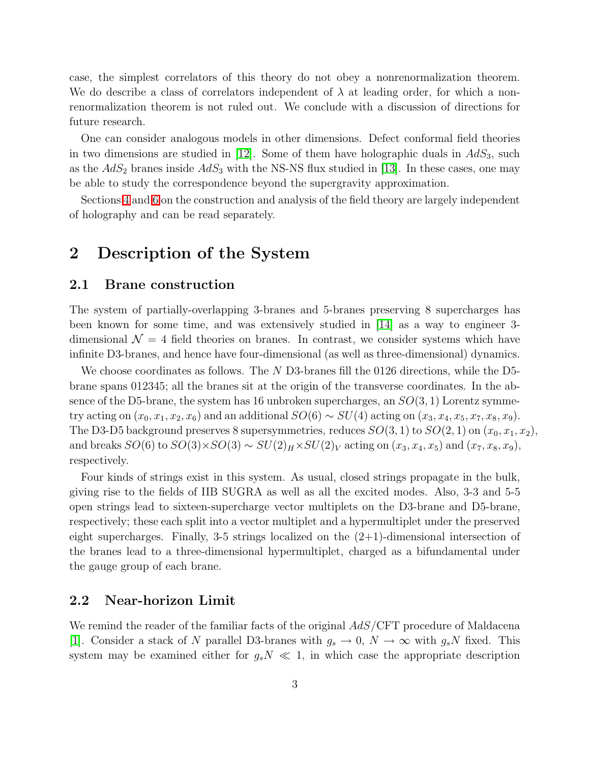case, the simplest correlators of this theory do not obey a nonrenormalization theorem. We do describe a class of correlators independent of  $\lambda$  at leading order, for which a nonrenormalization theorem is not ruled out. We conclude with a discussion of directions for future research.

One can consider analogous models in other dimensions. Defect conformal field theories in two dimensions are studied in [\[12\]](#page-46-6). Some of them have holographic duals in  $AdS_3$ , such as the  $AdS_2$  branes inside  $AdS_3$  with the NS-NS flux studied in [\[13\]](#page-46-7). In these cases, one may be able to study the correspondence beyond the supergravity approximation.

Sections [4](#page-19-0) and [6](#page-36-0) on the construction and analysis of the field theory are largely independent of holography and can be read separately.

# 2 Description of the System

#### 2.1 Brane construction

The system of partially-overlapping 3-branes and 5-branes preserving 8 supercharges has been known for some time, and was extensively studied in [\[14\]](#page-46-8) as a way to engineer 3 dimensional  $\mathcal{N} = 4$  field theories on branes. In contrast, we consider systems which have infinite D3-branes, and hence have four-dimensional (as well as three-dimensional) dynamics.

We choose coordinates as follows. The N D3-branes fill the 0126 directions, while the D5brane spans 012345; all the branes sit at the origin of the transverse coordinates. In the absence of the D5-brane, the system has 16 unbroken supercharges, an  $SO(3,1)$  Lorentz symmetry acting on  $(x_0, x_1, x_2, x_6)$  and an additional  $SO(6) \sim SU(4)$  acting on  $(x_3, x_4, x_5, x_7, x_8, x_9)$ . The D3-D5 background preserves 8 supersymmetries, reduces  $SO(3,1)$  to  $SO(2,1)$  on  $(x_0, x_1, x_2)$ , and breaks  $SO(6)$  to  $SO(3) \times SO(3) \sim SU(2)_H \times SU(2)_V$  acting on  $(x_3, x_4, x_5)$  and  $(x_7, x_8, x_9)$ , respectively.

Four kinds of strings exist in this system. As usual, closed strings propagate in the bulk, giving rise to the fields of IIB SUGRA as well as all the excited modes. Also, 3-3 and 5-5 open strings lead to sixteen-supercharge vector multiplets on the D3-brane and D5-brane, respectively; these each split into a vector multiplet and a hypermultiplet under the preserved eight supercharges. Finally, 3-5 strings localized on the  $(2+1)$ -dimensional intersection of the branes lead to a three-dimensional hypermultiplet, charged as a bifundamental under the gauge group of each brane.

### 2.2 Near-horizon Limit

We remind the reader of the familiar facts of the original  $AdS/\text{CFT}$  procedure of Maldacena [\[1\]](#page-45-0). Consider a stack of N parallel D3-branes with  $g_s \to 0$ ,  $N \to \infty$  with  $g_s N$  fixed. This system may be examined either for  $g_sN \ll 1$ , in which case the appropriate description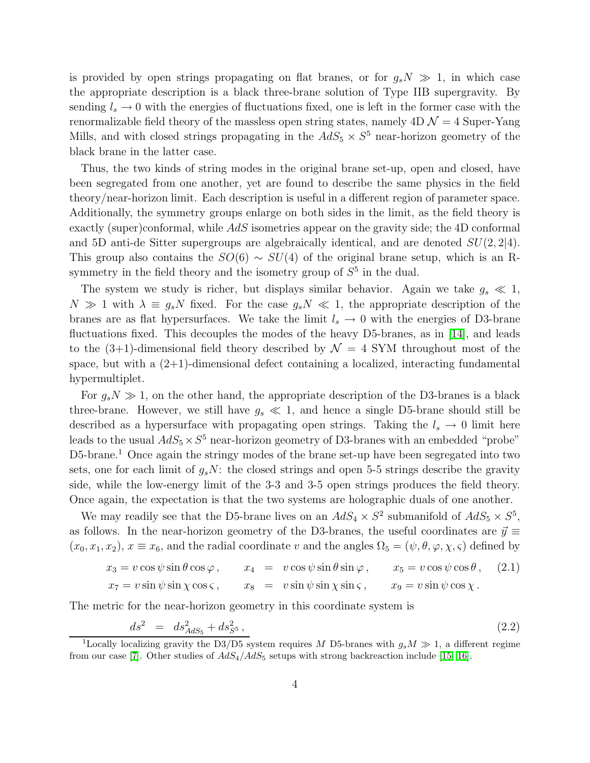is provided by open strings propagating on flat branes, or for  $g_sN \gg 1$ , in which case the appropriate description is a black three-brane solution of Type IIB supergravity. By sending  $l_s \to 0$  with the energies of fluctuations fixed, one is left in the former case with the renormalizable field theory of the massless open string states, namely  $4D\mathcal{N}=4$  Super-Yang Mills, and with closed strings propagating in the  $AdS_5 \times S^5$  near-horizon geometry of the black brane in the latter case.

Thus, the two kinds of string modes in the original brane set-up, open and closed, have been segregated from one another, yet are found to describe the same physics in the field theory/near-horizon limit. Each description is useful in a different region of parameter space. Additionally, the symmetry groups enlarge on both sides in the limit, as the field theory is exactly (super)conformal, while AdS isometries appear on the gravity side; the 4D conformal and 5D anti-de Sitter supergroups are algebraically identical, and are denoted  $SU(2, 2|4)$ . This group also contains the  $SO(6) \sim SU(4)$  of the original brane setup, which is an Rsymmetry in the field theory and the isometry group of  $S<sup>5</sup>$  in the dual.

The system we study is richer, but displays similar behavior. Again we take  $g_s \ll 1$ ,  $N \gg 1$  with  $\lambda \equiv g_s N$  fixed. For the case  $g_s N \ll 1$ , the appropriate description of the branes are as flat hypersurfaces. We take the limit  $l_s \to 0$  with the energies of D3-brane fluctuations fixed. This decouples the modes of the heavy D5-branes, as in [\[14\]](#page-46-8), and leads to the  $(3+1)$ -dimensional field theory described by  $\mathcal{N} = 4$  SYM throughout most of the space, but with a  $(2+1)$ -dimensional defect containing a localized, interacting fundamental hypermultiplet.

For  $q_s N \gg 1$ , on the other hand, the appropriate description of the D3-branes is a black three-brane. However, we still have  $g_s \ll 1$ , and hence a single D5-brane should still be described as a hypersurface with propagating open strings. Taking the  $l_s \rightarrow 0$  limit here leads to the usual  $AdS_5 \times S^5$  near-horizon geometry of D3-branes with an embedded "probe" D5-brane.<sup>1</sup> Once again the stringy modes of the brane set-up have been segregated into two sets, one for each limit of  $g_sN$ : the closed strings and open 5-5 strings describe the gravity side, while the low-energy limit of the 3-3 and 3-5 open strings produces the field theory. Once again, the expectation is that the two systems are holographic duals of one another.

We may readily see that the D5-brane lives on an  $AdS_4 \times S^2$  submanifold of  $AdS_5 \times S^5$ , as follows. In the near-horizon geometry of the D3-branes, the useful coordinates are  $\vec{y} \equiv$  $(x_0, x_1, x_2), x \equiv x_6$ , and the radial coordinate v and the angles  $\Omega_5 = (\psi, \theta, \varphi, \chi, \varsigma)$  defined by

$$
x_3 = v \cos \psi \sin \theta \cos \varphi, \qquad x_4 = v \cos \psi \sin \theta \sin \varphi, \qquad x_5 = v \cos \psi \cos \theta, \qquad (2.1)
$$
  

$$
x_7 = v \sin \psi \sin \chi \cos \zeta, \qquad x_8 = v \sin \psi \sin \chi \sin \zeta, \qquad x_9 = v \sin \psi \cos \chi.
$$

<span id="page-4-0"></span>The metric for the near-horizon geometry in this coordinate system is

$$
ds^2 = ds^2_{AdS_5} + ds^2_{S^5}, \qquad (2.2)
$$

<sup>&</sup>lt;sup>1</sup>Locally localizing gravity the D3/D5 system requires M D5-branes with  $g_s M \gg 1$ , a different regime from our case [\[7\]](#page-46-1). Other studies of  $AdS_4/AdS_5$  setups with strong backreaction include [\[15,](#page-46-9) [16\]](#page-46-10).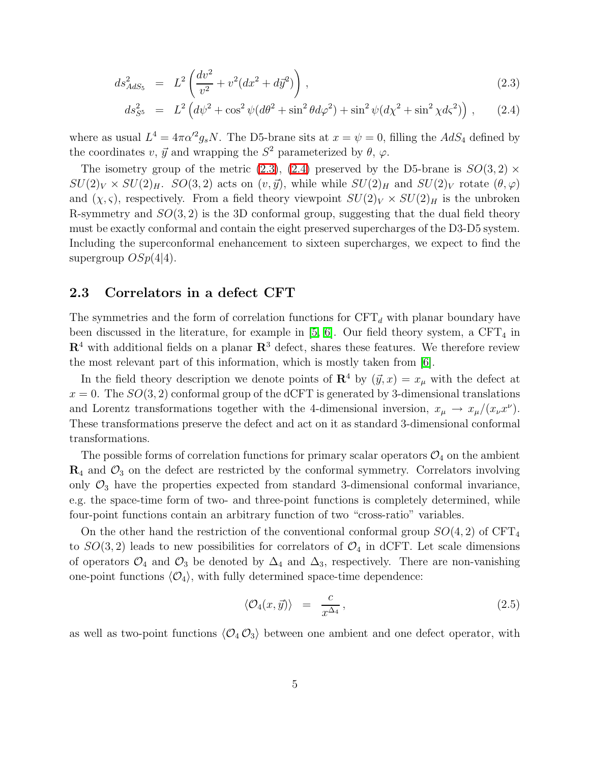$$
ds_{AdS_5}^2 = L^2 \left( \frac{dv^2}{v^2} + v^2 (dx^2 + d\vec{y}^2) \right), \qquad (2.3)
$$

$$
ds_{S^5}^2 = L^2 \left( d\psi^2 + \cos^2 \psi (d\theta^2 + \sin^2 \theta d\varphi^2) + \sin^2 \psi (d\chi^2 + \sin^2 \chi d\varsigma^2) \right), \quad (2.4)
$$

where as usual  $L^4 = 4\pi \alpha'^2 g_s N$ . The D5-brane sits at  $x = \psi = 0$ , filling the  $AdS_4$  defined by the coordinates v,  $\vec{y}$  and wrapping the  $S^2$  parameterized by  $\theta$ ,  $\varphi$ .

The isometry group of the metric [\(2.3\)](#page-4-0), [\(2.4\)](#page-4-0) preserved by the D5-brane is  $SO(3,2)$  ×  $SU(2)_V \times SU(2)_H$ .  $SO(3, 2)$  acts on  $(v, \vec{y})$ , while while  $SU(2)_H$  and  $SU(2)_V$  rotate  $(\theta, \varphi)$ and  $(\chi, \varsigma)$ , respectively. From a field theory viewpoint  $SU(2)_V \times SU(2)_H$  is the unbroken R-symmetry and  $SO(3, 2)$  is the 3D conformal group, suggesting that the dual field theory must be exactly conformal and contain the eight preserved supercharges of the D3-D5 system. Including the superconformal enehancement to sixteen supercharges, we expect to find the supergroup  $OSp(4|4)$ .

### 2.3 Correlators in a defect CFT

The symmetries and the form of correlation functions for  $CFT<sub>d</sub>$  with planar boundary have been discussed in the literature, for example in  $[5, 6]$  $[5, 6]$ . Our field theory system, a CFT<sub>4</sub> in  $\mathbb{R}^4$  with additional fields on a planar  $\mathbb{R}^3$  defect, shares these features. We therefore review the most relevant part of this information, which is mostly taken from [\[6\]](#page-46-0).

In the field theory description we denote points of  $\mathbb{R}^4$  by  $(\vec{y}, x) = x_\mu$  with the defect at  $x = 0$ . The  $SO(3, 2)$  conformal group of the dCFT is generated by 3-dimensional translations and Lorentz transformations together with the 4-dimensional inversion,  $x_{\mu} \to x_{\mu}/(x_{\nu}x^{\nu})$ . These transformations preserve the defect and act on it as standard 3-dimensional conformal transformations.

The possible forms of correlation functions for primary scalar operators  $\mathcal{O}_4$  on the ambient  $\mathbf{R}_4$  and  $\mathcal{O}_3$  on the defect are restricted by the conformal symmetry. Correlators involving only  $\mathcal{O}_3$  have the properties expected from standard 3-dimensional conformal invariance, e.g. the space-time form of two- and three-point functions is completely determined, while four-point functions contain an arbitrary function of two "cross-ratio" variables.

On the other hand the restriction of the conventional conformal group  $SO(4, 2)$  of  $CFT<sub>4</sub>$ to  $SO(3, 2)$  leads to new possibilities for correlators of  $\mathcal{O}_4$  in dCFT. Let scale dimensions of operators  $\mathcal{O}_4$  and  $\mathcal{O}_3$  be denoted by  $\Delta_4$  and  $\Delta_3$ , respectively. There are non-vanishing one-point functions  $\langle \mathcal{O}_4 \rangle$ , with fully determined space-time dependence:

<span id="page-5-0"></span>
$$
\langle \mathcal{O}_4(x, \vec{y}) \rangle = \frac{c}{x^{\Delta_4}}, \qquad (2.5)
$$

as well as two-point functions  $\langle \mathcal{O}_4 \mathcal{O}_3 \rangle$  between one ambient and one defect operator, with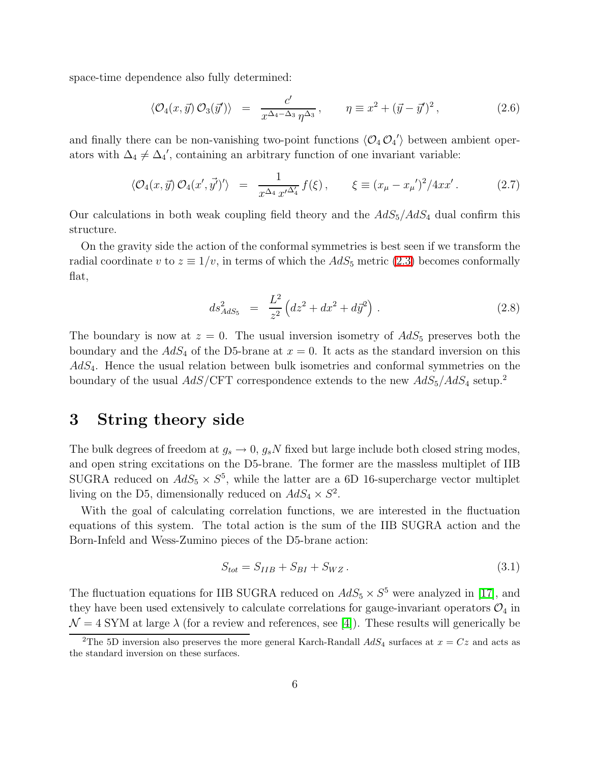<span id="page-6-1"></span>space-time dependence also fully determined:

$$
\langle \mathcal{O}_4(x,\vec{y}) \mathcal{O}_3(\vec{y}') \rangle = \frac{c'}{x^{\Delta_4 - \Delta_3} \eta^{\Delta_3}}, \qquad \eta \equiv x^2 + (\vec{y} - \vec{y}')^2, \tag{2.6}
$$

and finally there can be non-vanishing two-point functions  $\langle \mathcal{O}_4 \mathcal{O}_4' \rangle$  between ambient operators with  $\Delta_4 \neq \Delta_4'$ , containing an arbitrary function of one invariant variable:

$$
\langle \mathcal{O}_4(x, \vec{y}) \, \mathcal{O}_4(x', \vec{y'})' \rangle = \frac{1}{x^{\Delta_4} \, x'^{\Delta_4'}} f(\xi) \,, \qquad \xi \equiv (x_\mu - x_\mu')^2 / 4x x' \,. \tag{2.7}
$$

<span id="page-6-0"></span>Our calculations in both weak coupling field theory and the  $AdS_5/AdS_4$  dual confirm this structure.

On the gravity side the action of the conformal symmetries is best seen if we transform the radial coordinate v to  $z \equiv 1/v$ , in terms of which the  $AdS_5$  metric [\(2.3\)](#page-4-0) becomes conformally flat,

$$
ds_{AdS_5}^2 = \frac{L^2}{z^2} \left( dz^2 + dx^2 + d\vec{y}^2 \right). \tag{2.8}
$$

The boundary is now at  $z = 0$ . The usual inversion isometry of  $AdS_5$  preserves both the boundary and the  $AdS_4$  of the D5-brane at  $x = 0$ . It acts as the standard inversion on this  $AdS_4$ . Hence the usual relation between bulk isometries and conformal symmetries on the boundary of the usual  $AdS/\text{CFT}$  correspondence extends to the new  $AdS_5/AdS_4$  setup.<sup>2</sup>

## <span id="page-6-3"></span>3 String theory side

The bulk degrees of freedom at  $g_s \to 0$ ,  $g_s N$  fixed but large include both closed string modes, and open string excitations on the D5-brane. The former are the massless multiplet of IIB SUGRA reduced on  $AdS_5 \times S^5$ , while the latter are a 6D 16-supercharge vector multiplet living on the D5, dimensionally reduced on  $AdS_4 \times S^2$ .

With the goal of calculating correlation functions, we are interested in the fluctuation equations of this system. The total action is the sum of the IIB SUGRA action and the Born-Infeld and Wess-Zumino pieces of the D5-brane action:

<span id="page-6-2"></span>
$$
S_{tot} = S_{IIB} + S_{BI} + S_{WZ} \,. \tag{3.1}
$$

The fluctuation equations for IIB SUGRA reduced on  $AdS_5 \times S^5$  were analyzed in [\[17\]](#page-46-11), and they have been used extensively to calculate correlations for gauge-invariant operators  $\mathcal{O}_4$  in  $\mathcal{N} = 4$  SYM at large  $\lambda$  (for a review and references, see [\[4\]](#page-45-3)). These results will generically be

<sup>&</sup>lt;sup>2</sup>The 5D inversion also preserves the more general Karch-Randall  $AdS_4$  surfaces at  $x = Cz$  and acts as the standard inversion on these surfaces.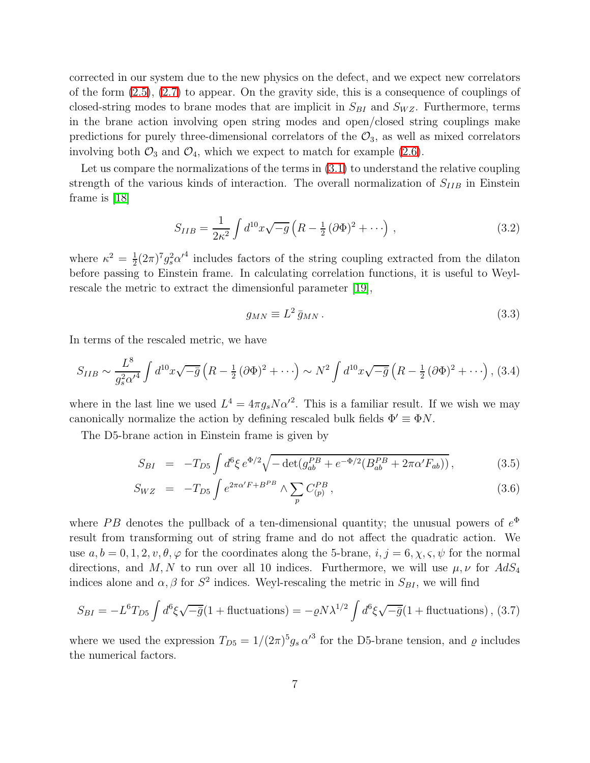corrected in our system due to the new physics on the defect, and we expect new correlators of the form [\(2.5\)](#page-5-0), [\(2.7\)](#page-6-0) to appear. On the gravity side, this is a consequence of couplings of closed-string modes to brane modes that are implicit in  $S_{BI}$  and  $S_{WZ}$ . Furthermore, terms in the brane action involving open string modes and open/closed string couplings make predictions for purely three-dimensional correlators of the  $\mathcal{O}_3$ , as well as mixed correlators involving both  $\mathcal{O}_3$  and  $\mathcal{O}_4$ , which we expect to match for example [\(2.6\)](#page-6-1).

Let us compare the normalizations of the terms in [\(3.1\)](#page-6-2) to understand the relative coupling strength of the various kinds of interaction. The overall normalization of  $S_{IIB}$  in Einstein frame is [\[18\]](#page-46-12)

$$
S_{IIB} = \frac{1}{2\kappa^2} \int d^{10}x \sqrt{-g} \left( R - \frac{1}{2} (\partial \Phi)^2 + \cdots \right) , \qquad (3.2)
$$

where  $\kappa^2 = \frac{1}{2}$  $\frac{1}{2}(2\pi)^7 g_s^2 {\alpha'}^4$  includes factors of the string coupling extracted from the dilaton before passing to Einstein frame. In calculating correlation functions, it is useful to Weylrescale the metric to extract the dimensionful parameter [\[19\]](#page-46-13),

<span id="page-7-2"></span>
$$
g_{MN} \equiv L^2 \bar{g}_{MN} \,. \tag{3.3}
$$

<span id="page-7-0"></span>In terms of the rescaled metric, we have

$$
S_{IIB} \sim \frac{L^8}{g_s^2 \alpha'^4} \int d^{10}x \sqrt{-\bar{g}} \left( R - \frac{1}{2} (\partial \Phi)^2 + \cdots \right) \sim N^2 \int d^{10}x \sqrt{-\bar{g}} \left( R - \frac{1}{2} (\partial \Phi)^2 + \cdots \right), (3.4)
$$

where in the last line we used  $L^4 = 4\pi g_s N \alpha'^2$ . This is a familiar result. If we wish we may canonically normalize the action by defining rescaled bulk fields  $\Phi' \equiv \Phi N$ .

The D5-brane action in Einstein frame is given by

$$
S_{BI} = -T_{D5} \int d^6 \xi \, e^{\Phi/2} \sqrt{-\det(g_{ab}^{PB} + e^{-\Phi/2} (B_{ab}^{PB} + 2\pi \alpha' F_{ab}))}, \tag{3.5}
$$

$$
S_{WZ} = -T_{D5} \int e^{2\pi \alpha' F + B^{PB}} \wedge \sum_{p} C_{(p)}^{PB} , \qquad (3.6)
$$

where PB denotes the pullback of a ten-dimensional quantity; the unusual powers of  $e^{\Phi}$ result from transforming out of string frame and do not affect the quadratic action. We use  $a, b = 0, 1, 2, v, \theta, \varphi$  for the coordinates along the 5-brane,  $i, j = 6, \chi, \varsigma, \psi$  for the normal directions, and M, N to run over all 10 indices. Furthermore, we will use  $\mu, \nu$  for  $AdS_4$ indices alone and  $\alpha$ ,  $\beta$  for  $S^2$  indices. Weyl-rescaling the metric in  $S_{BI}$ , we will find

$$
S_{BI} = -L^6 T_{D5} \int d^6 \xi \sqrt{-\bar{g}} (1 + \text{fluctuations}) = -\varrho N \lambda^{1/2} \int d^6 \xi \sqrt{-\bar{g}} (1 + \text{fluctuations}),
$$
 (3.7)

<span id="page-7-1"></span>where we used the expression  $T_{D5} = 1/(2\pi)^5 g_s \alpha'^3$  for the D5-brane tension, and  $\varrho$  includes the numerical factors.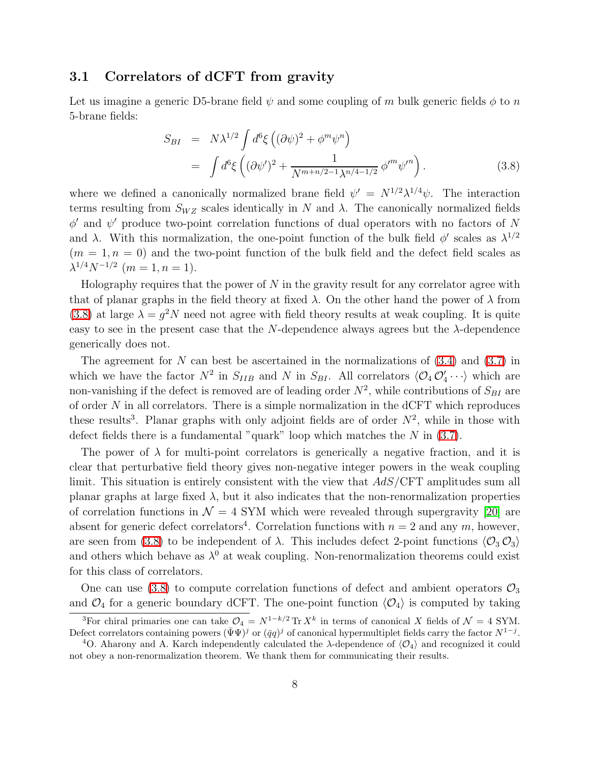### 3.1 Correlators of dCFT from gravity

<span id="page-8-0"></span>Let us imagine a generic D5-brane field  $\psi$  and some coupling of m bulk generic fields  $\phi$  to n 5-brane fields:

$$
S_{BI} = N\lambda^{1/2} \int d^6 \xi \left( (\partial \psi)^2 + \phi^m \psi^n \right)
$$
  
= 
$$
\int d^6 \xi \left( (\partial \psi')^2 + \frac{1}{N^{m+n/2-1} \lambda^{n/4-1/2}} \phi'^m \psi'^n \right).
$$
 (3.8)

where we defined a canonically normalized brane field  $\psi' = N^{1/2} \lambda^{1/4} \psi$ . The interaction terms resulting from  $S_{WZ}$  scales identically in N and  $\lambda$ . The canonically normalized fields  $\phi'$  and  $\psi'$  produce two-point correlation functions of dual operators with no factors of N and  $\lambda$ . With this normalization, the one-point function of the bulk field  $\phi'$  scales as  $\lambda^{1/2}$  $(m = 1, n = 0)$  and the two-point function of the bulk field and the defect field scales as  $\lambda^{1/4} N^{-1/2}$   $(m = 1, n = 1).$ 

Holography requires that the power of  $N$  in the gravity result for any correlator agree with that of planar graphs in the field theory at fixed  $\lambda$ . On the other hand the power of  $\lambda$  from [\(3.8\)](#page-8-0) at large  $\lambda = g^2 N$  need not agree with field theory results at weak coupling. It is quite easy to see in the present case that the N-dependence always agrees but the  $\lambda$ -dependence generically does not.

The agreement for N can best be ascertained in the normalizations of  $(3.4)$  and  $(3.7)$  in which we have the factor  $N^2$  in  $S_{IIB}$  and N in  $S_{BI}$ . All correlators  $\langle \mathcal{O}_4 \mathcal{O}'_4 \cdots \rangle$  which are non-vanishing if the defect is removed are of leading order  $N^2$ , while contributions of  $S_{BI}$  are of order  $N$  in all correlators. There is a simple normalization in the dCFT which reproduces these results<sup>3</sup>. Planar graphs with only adjoint fields are of order  $N^2$ , while in those with defect fields there is a fundamental "quark" loop which matches the  $N$  in  $(3.7)$ .

The power of  $\lambda$  for multi-point correlators is generically a negative fraction, and it is clear that perturbative field theory gives non-negative integer powers in the weak coupling limit. This situation is entirely consistent with the view that AdS/CFT amplitudes sum all planar graphs at large fixed  $\lambda$ , but it also indicates that the non-renormalization properties of correlation functions in  $\mathcal{N} = 4$  SYM which were revealed through supergravity [\[20\]](#page-47-0) are absent for generic defect correlators<sup>4</sup>. Correlation functions with  $n = 2$  and any m, however, are seen from [\(3.8\)](#page-8-0) to be independent of  $\lambda$ . This includes defect 2-point functions  $\langle \mathcal{O}_3 \mathcal{O}_3 \rangle$ and others which behave as  $\lambda^0$  at weak coupling. Non-renormalization theorems could exist for this class of correlators.

One can use [\(3.8\)](#page-8-0) to compute correlation functions of defect and ambient operators  $\mathcal{O}_3$ and  $\mathcal{O}_4$  for a generic boundary dCFT. The one-point function  $\langle \mathcal{O}_4 \rangle$  is computed by taking

<sup>&</sup>lt;sup>3</sup>For chiral primaries one can take  $\mathcal{O}_4 = N^{1-k/2} \text{Tr } X^k$  in terms of canonical X fields of  $\mathcal{N} = 4$  SYM. Defect correlators containing powers  $(\bar{\Psi}\Psi)^j$  or  $(\bar{q}q)^j$  of canonical hypermultiplet fields carry the factor  $N^{1-j}$ .

<sup>&</sup>lt;sup>4</sup>O. Aharony and A. Karch independently calculated the  $\lambda$ -dependence of  $\langle \mathcal{O}_4 \rangle$  and recognized it could not obey a non-renormalization theorem. We thank them for communicating their results.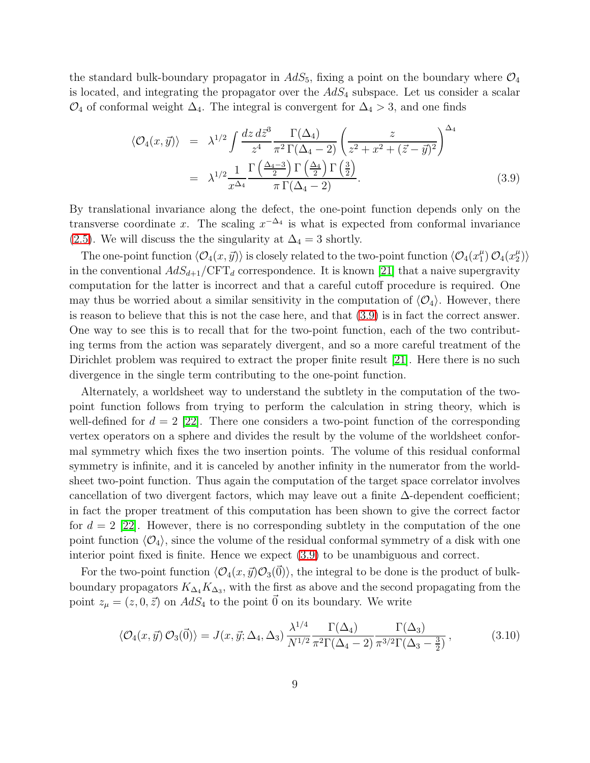<span id="page-9-0"></span>the standard bulk-boundary propagator in  $AdS_5$ , fixing a point on the boundary where  $\mathcal{O}_4$ is located, and integrating the propagator over the  $AdS_4$  subspace. Let us consider a scalar  $\mathcal{O}_4$  of conformal weight  $\Delta_4$ . The integral is convergent for  $\Delta_4 > 3$ , and one finds

$$
\langle \mathcal{O}_4(x, \vec{y}) \rangle = \lambda^{1/2} \int \frac{dz \, d\vec{z}^3}{z^4} \frac{\Gamma(\Delta_4)}{\pi^2 \Gamma(\Delta_4 - 2)} \left( \frac{z}{z^2 + x^2 + (\vec{z} - \vec{y})^2} \right)^{\Delta_4} \n= \lambda^{1/2} \frac{1}{x^{\Delta_4}} \frac{\Gamma\left(\frac{\Delta_4 - 3}{2}\right) \Gamma\left(\frac{\Delta_4}{2}\right) \Gamma\left(\frac{3}{2}\right)}{\pi \Gamma(\Delta_4 - 2)}.
$$
\n(3.9)

By translational invariance along the defect, the one-point function depends only on the transverse coordinate x. The scaling  $x^{-\Delta_4}$  is what is expected from conformal invariance [\(2.5\)](#page-5-0). We will discuss the the singularity at  $\Delta_4 = 3$  shortly.

The one-point function  $\langle \mathcal{O}_4(x, \vec{y}) \rangle$  is closely related to the two-point function  $\langle \mathcal{O}_4(x_1^{\mu}) \rangle$  $\binom{\mu}{1}$   $\mathcal{O}_4(x_2^{\mu})$  $\binom{\mu}{2}$ in the conventional  $AdS_{d+1}/\text{CFT}_d$  correspondence. It is known [\[21\]](#page-47-1) that a naive supergravity computation for the latter is incorrect and that a careful cutoff procedure is required. One may thus be worried about a similar sensitivity in the computation of  $\langle \mathcal{O}_4 \rangle$ . However, there is reason to believe that this is not the case here, and that [\(3.9\)](#page-9-0) is in fact the correct answer. One way to see this is to recall that for the two-point function, each of the two contributing terms from the action was separately divergent, and so a more careful treatment of the Dirichlet problem was required to extract the proper finite result [\[21\]](#page-47-1). Here there is no such divergence in the single term contributing to the one-point function.

Alternately, a worldsheet way to understand the subtlety in the computation of the twopoint function follows from trying to perform the calculation in string theory, which is well-defined for  $d = 2$  [\[22\]](#page-47-2). There one considers a two-point function of the corresponding vertex operators on a sphere and divides the result by the volume of the worldsheet conformal symmetry which fixes the two insertion points. The volume of this residual conformal symmetry is infinite, and it is canceled by another infinity in the numerator from the worldsheet two-point function. Thus again the computation of the target space correlator involves cancellation of two divergent factors, which may leave out a finite  $\Delta$ -dependent coefficient; in fact the proper treatment of this computation has been shown to give the correct factor for  $d = 2$  [\[22\]](#page-47-2). However, there is no corresponding subtlety in the computation of the one point function  $\langle \mathcal{O}_4 \rangle$ , since the volume of the residual conformal symmetry of a disk with one interior point fixed is finite. Hence we expect [\(3.9\)](#page-9-0) to be unambiguous and correct.

For the two-point function  $\langle \mathcal{O}_4(x,\vec{y})\mathcal{O}_3(\vec{0})\rangle$ , the integral to be done is the product of bulkboundary propagators  $K_{\Delta_4} K_{\Delta_3}$ , with the first as above and the second propagating from the point  $z_{\mu} = (z, 0, \vec{z})$  on  $AdS_4$  to the point  $\vec{0}$  on its boundary. We write

$$
\langle \mathcal{O}_4(x,\vec{y})\,\mathcal{O}_3(\vec{0})\rangle = J(x,\vec{y};\Delta_4,\Delta_3) \frac{\lambda^{1/4}}{N^{1/2}} \frac{\Gamma(\Delta_4)}{\pi^2 \Gamma(\Delta_4-2)} \frac{\Gamma(\Delta_3)}{\pi^{3/2} \Gamma(\Delta_3-\frac{3}{2})},\tag{3.10}
$$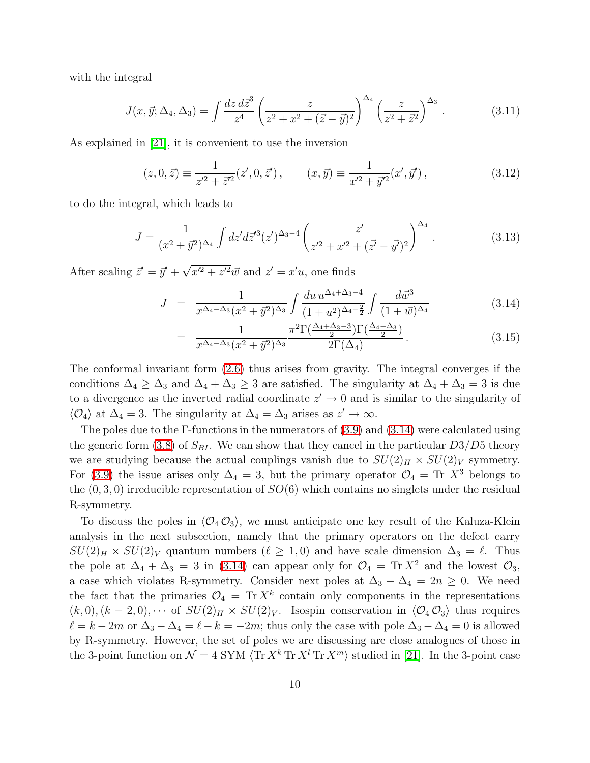with the integral

$$
J(x, \vec{y}; \Delta_4, \Delta_3) = \int \frac{dz \, d\vec{z}^3}{z^4} \left( \frac{z}{z^2 + x^2 + (\vec{z} - \vec{y})^2} \right)^{\Delta_4} \left( \frac{z}{z^2 + \vec{z}^2} \right)^{\Delta_3} . \tag{3.11}
$$

As explained in [\[21\]](#page-47-1), it is convenient to use the inversion

$$
(z, 0, \vec{z}) \equiv \frac{1}{z^2 + \vec{z}^2}(z', 0, \vec{z}'), \qquad (x, \vec{y}) \equiv \frac{1}{x^2 + \vec{y}^2}(x', \vec{y}'), \tag{3.12}
$$

to do the integral, which leads to

$$
J = \frac{1}{(x^2 + \vec{y}^2)^{\Delta_4}} \int dz' d\vec{z}'^3 (z')^{\Delta_3 - 4} \left( \frac{z'}{z'^2 + x'^2 + (\vec{z'} - \vec{y'})^2} \right)^{\Delta_4} . \tag{3.13}
$$

<span id="page-10-0"></span>After scaling  $\vec{z}' = \vec{y}' + \sqrt{x'^2 + z'^2} \vec{w}$  and  $z' = x'u$ , one finds

$$
J = \frac{1}{x^{\Delta_4 - \Delta_3} (x^2 + \vec{y}^2)^{\Delta_3}} \int \frac{du \, u^{\Delta_4 + \Delta_3 - 4}}{(1 + u^2)^{\Delta_4 - \frac{2}{2}}} \int \frac{d\vec{w}^3}{(1 + \vec{w})^{\Delta_4}} \tag{3.14}
$$

$$
= \frac{1}{x^{\Delta_4 - \Delta_3} (x^2 + \vec{y}^2)^{\Delta_3}} \frac{\pi^2 \Gamma(\frac{\Delta_4 + \Delta_3 - 3}{2}) \Gamma(\frac{\Delta_4 - \Delta_3}{2})}{2 \Gamma(\Delta_4)}.
$$
(3.15)

The conformal invariant form [\(2.6\)](#page-6-1) thus arises from gravity. The integral converges if the conditions  $\Delta_4 \geq \Delta_3$  and  $\Delta_4 + \Delta_3 \geq 3$  are satisfied. The singularity at  $\Delta_4 + \Delta_3 = 3$  is due to a divergence as the inverted radial coordinate  $z' \to 0$  and is similar to the singularity of  $\langle \mathcal{O}_4 \rangle$  at  $\Delta_4 = 3$ . The singularity at  $\Delta_4 = \Delta_3$  arises as  $z' \to \infty$ .

The poles due to the Γ-functions in the numerators of  $(3.9)$  and  $(3.14)$  were calculated using the generic form [\(3.8\)](#page-8-0) of  $S_{BI}$ . We can show that they cancel in the particular  $D3/D5$  theory we are studying because the actual couplings vanish due to  $SU(2)_H \times SU(2)_V$  symmetry. For [\(3.9\)](#page-9-0) the issue arises only  $\Delta_4 = 3$ , but the primary operator  $\mathcal{O}_4 = \text{Tr } X^3$  belongs to the  $(0, 3, 0)$  irreducible representation of  $SO(6)$  which contains no singlets under the residual R-symmetry.

To discuss the poles in  $\langle \mathcal{O}_4 \mathcal{O}_3 \rangle$ , we must anticipate one key result of the Kaluza-Klein analysis in the next subsection, namely that the primary operators on the defect carry  $SU(2)_H \times SU(2)_V$  quantum numbers  $(\ell \geq 1, 0)$  and have scale dimension  $\Delta_3 = \ell$ . Thus the pole at  $\Delta_4 + \Delta_3 = 3$  in [\(3.14\)](#page-10-0) can appear only for  $\mathcal{O}_4 = \text{Tr} X^2$  and the lowest  $\mathcal{O}_3$ , a case which violates R-symmetry. Consider next poles at  $\Delta_3 - \Delta_4 = 2n \geq 0$ . We need the fact that the primaries  $\mathcal{O}_4 = \text{Tr} X^k$  contain only components in the representations  $(k, 0), (k - 2, 0), \cdots$  of  $SU(2)_H \times SU(2)_V$ . Isospin conservation in  $\langle \mathcal{O}_4 \mathcal{O}_3 \rangle$  thus requires  $\ell = k - 2m$  or  $\Delta_3 - \Delta_4 = \ell - k = -2m$ ; thus only the case with pole  $\Delta_3 - \Delta_4 = 0$  is allowed by R-symmetry. However, the set of poles we are discussing are close analogues of those in the 3-point function on  $\mathcal{N} = 4$  SYM  $\langle \text{Tr } X^k \text{Tr } X^n \rangle$  studied in [\[21\]](#page-47-1). In the 3-point case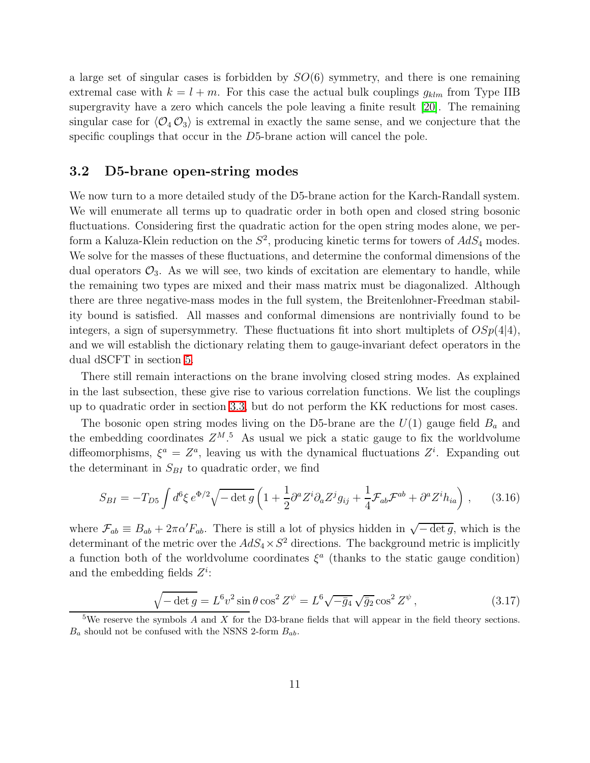a large set of singular cases is forbidden by  $SO(6)$  symmetry, and there is one remaining extremal case with  $k = l + m$ . For this case the actual bulk couplings  $g_{klm}$  from Type IIB supergravity have a zero which cancels the pole leaving a finite result [\[20\]](#page-47-0). The remaining singular case for  $\langle \mathcal{O}_4 \mathcal{O}_3 \rangle$  is extremal in exactly the same sense, and we conjecture that the specific couplings that occur in the D5-brane action will cancel the pole.

### 3.2 D5-brane open-string modes

We now turn to a more detailed study of the D5-brane action for the Karch-Randall system. We will enumerate all terms up to quadratic order in both open and closed string bosonic fluctuations. Considering first the quadratic action for the open string modes alone, we perform a Kaluza-Klein reduction on the  $S^2$ , producing kinetic terms for towers of  $AdS_4$  modes. We solve for the masses of these fluctuations, and determine the conformal dimensions of the dual operators  $\mathcal{O}_3$ . As we will see, two kinds of excitation are elementary to handle, while the remaining two types are mixed and their mass matrix must be diagonalized. Although there are three negative-mass modes in the full system, the Breitenlohner-Freedman stability bound is satisfied. All masses and conformal dimensions are nontrivially found to be integers, a sign of supersymmetry. These fluctuations fit into short multiplets of  $OSp(4|4)$ , and we will establish the dictionary relating them to gauge-invariant defect operators in the dual dSCFT in section [5.](#page-32-0)

There still remain interactions on the brane involving closed string modes. As explained in the last subsection, these give rise to various correlation functions. We list the couplings up to quadratic order in section [3.3,](#page-17-0) but do not perform the KK reductions for most cases.

The bosonic open string modes living on the D5-brane are the  $U(1)$  gauge field  $B<sub>a</sub>$  and the embedding coordinates  $Z^{M.5}$  As usual we pick a static gauge to fix the worldvolume diffeomorphisms,  $\xi^a = Z^a$ , leaving us with the dynamical fluctuations  $Z^i$ . Expanding out the determinant in  $S_{BI}$  to quadratic order, we find

$$
S_{BI} = -T_{D5} \int d^6 \xi \, e^{\Phi/2} \sqrt{-\det g} \left( 1 + \frac{1}{2} \partial^a Z^i \partial_a Z^j g_{ij} + \frac{1}{4} \mathcal{F}_{ab} \mathcal{F}^{ab} + \partial^a Z^i h_{ia} \right) \,, \tag{3.16}
$$

<span id="page-11-0"></span>where  $\mathcal{F}_{ab} \equiv B_{ab} + 2\pi \alpha' F_{ab}$ . There is still a lot of physics hidden in  $\sqrt{-\det g}$ , which is the determinant of the metric over the  $AdS_4 \times S^2$  directions. The background metric is implicitly a function both of the worldvolume coordinates  $\xi^a$  (thanks to the static gauge condition) and the embedding fields  $Z^i$ :

$$
\sqrt{-\det g} = L^6 v^2 \sin \theta \cos^2 Z^{\psi} = L^6 \sqrt{-\bar{g}_4} \sqrt{\bar{g}_2} \cos^2 Z^{\psi},\qquad(3.17)
$$

<sup>&</sup>lt;sup>5</sup>We reserve the symbols A and X for the D3-brane fields that will appear in the field theory sections.  $B_a$  should not be confused with the NSNS 2-form  $B_{ab}$ .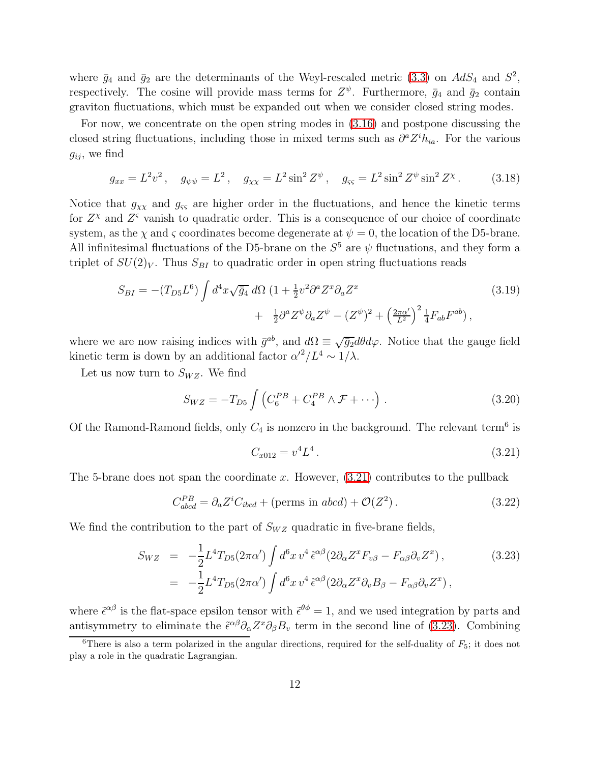where  $\bar{g}_4$  and  $\bar{g}_2$  are the determinants of the Weyl-rescaled metric [\(3.3\)](#page-7-2) on  $AdS_4$  and  $S^2$ , respectively. The cosine will provide mass terms for  $Z^{\psi}$ . Furthermore,  $\bar{g}_4$  and  $\bar{g}_2$  contain graviton fluctuations, which must be expanded out when we consider closed string modes.

For now, we concentrate on the open string modes in [\(3.16\)](#page-11-0) and postpone discussing the closed string fluctuations, including those in mixed terms such as  $\partial^a Z^i h_{ia}$ . For the various  $g_{ij}$ , we find

$$
g_{xx} = L^2 v^2, \quad g_{\psi\psi} = L^2, \quad g_{\chi\chi} = L^2 \sin^2 Z^{\psi}, \quad g_{\varsigma\varsigma} = L^2 \sin^2 Z^{\psi} \sin^2 Z^{\chi}.
$$
 (3.18)

Notice that  $g_{\chi\chi}$  and  $g_{\varsigma\varsigma}$  are higher order in the fluctuations, and hence the kinetic terms for  $Z^{\chi}$  and  $Z^{\varsigma}$  vanish to quadratic order. This is a consequence of our choice of coordinate system, as the  $\chi$  and  $\varsigma$  coordinates become degenerate at  $\psi = 0$ , the location of the D5-brane. All infinitesimal fluctuations of the D5-brane on the  $S<sup>5</sup>$  are  $\psi$  fluctuations, and they form a triplet of  $SU(2)_V$ . Thus  $S_{BI}$  to quadratic order in open string fluctuations reads

$$
S_{BI} = -(T_{D5}L^6) \int d^4x \sqrt{\bar{g}_4} \, d\Omega \, (1 + \frac{1}{2}v^2 \partial^a Z^x \partial_a Z^x + \frac{1}{2} \partial^a Z^{\psi} \partial_a Z^{\psi} - (Z^{\psi})^2 + \left(\frac{2\pi\alpha'}{L^2}\right)^2 \frac{1}{4} F_{ab} F^{ab}), \tag{3.19}
$$

<span id="page-12-2"></span>where we are now raising indices with  $\bar{g}^{ab}$ , and  $d\Omega \equiv \sqrt{\bar{g}_2} d\theta d\varphi$ . Notice that the gauge field kinetic term is down by an additional factor  $\alpha'^2/L^4 \sim 1/\lambda$ .

<span id="page-12-3"></span>Let us now turn to  $S_{WZ}$ . We find

$$
S_{WZ} = -T_{D5} \int \left( C_6^{PB} + C_4^{PB} \wedge \mathcal{F} + \cdots \right) . \tag{3.20}
$$

Of the Ramond-Ramond fields, only  $C_4$  is nonzero in the background. The relevant term<sup>6</sup> is

$$
C_{x012} = v^4 L^4. \tag{3.21}
$$

The 5-brane does not span the coordinate x. However,  $(3.21)$  contributes to the pullback

<span id="page-12-0"></span>
$$
C_{abcd}^{PB} = \partial_a Z^i C_{ibcd} + (\text{perms in } abcd) + \mathcal{O}(Z^2) \,. \tag{3.22}
$$

<span id="page-12-1"></span>We find the contribution to the part of  $S_{WZ}$  quadratic in five-brane fields,

$$
S_{WZ} = -\frac{1}{2} L^4 T_{D5} (2\pi \alpha') \int d^6 x \, v^4 \, \tilde{\epsilon}^{\alpha \beta} (2\partial_\alpha Z^x F_{\nu \beta} - F_{\alpha \beta} \partial_\nu Z^x) \,, \tag{3.23}
$$

$$
= -\frac{1}{2} L^4 T_{D5} (2\pi \alpha') \int d^6 x \, v^4 \, \tilde{\epsilon}^{\alpha \beta} (2\partial_\alpha Z^x \partial_\nu B_\beta - F_{\alpha \beta} \partial_\nu Z^x) \,,
$$

where  $\tilde{\epsilon}^{\alpha\beta}$  is the flat-space epsilon tensor with  $\tilde{\epsilon}^{\theta\phi} = 1$ , and we used integration by parts and antisymmetry to eliminate the  $\tilde{\epsilon}^{\alpha\beta}\partial_{\alpha}Z^{\alpha}\partial_{\beta}B_{\nu}$  term in the second line of [\(3.23\)](#page-12-1). Combining

<sup>&</sup>lt;sup>6</sup>There is also a term polarized in the angular directions, required for the self-duality of  $F_5$ ; it does not play a role in the quadratic Lagrangian.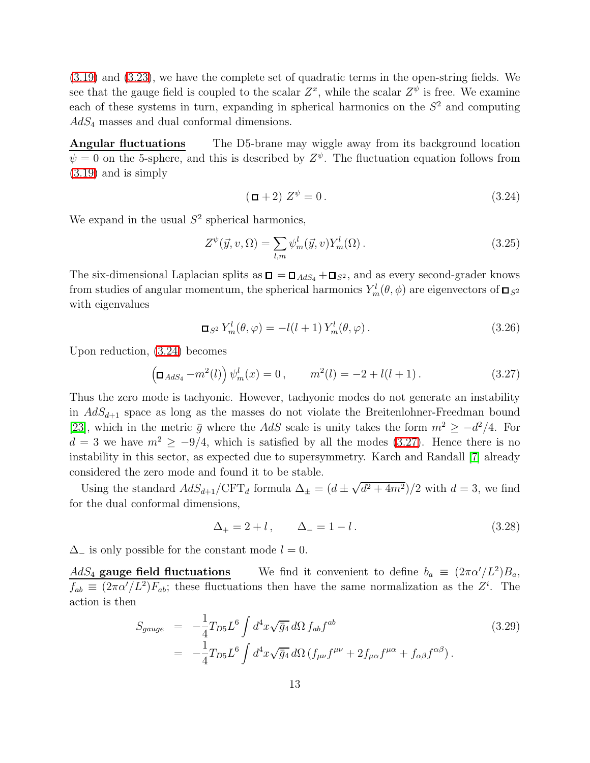[\(3.19\)](#page-12-2) and [\(3.23\)](#page-12-1), we have the complete set of quadratic terms in the open-string fields. We see that the gauge field is coupled to the scalar  $Z^x$ , while the scalar  $Z^{\psi}$  is free. We examine each of these systems in turn, expanding in spherical harmonics on the  $S<sup>2</sup>$  and computing  $AdS_4$  masses and dual conformal dimensions.

**Angular fluctuations** The D5-brane may wiggle away from its background location  $\psi = 0$  on the 5-sphere, and this is described by  $Z^{\psi}$ . The fluctuation equation follows from [\(3.19\)](#page-12-2) and is simply

$$
(\Box + 2) Z^{\psi} = 0. \tag{3.24}
$$

<span id="page-13-2"></span>We expand in the usual  $S^2$  spherical harmonics,

<span id="page-13-0"></span>
$$
Z^{\psi}(\vec{y}, v, \Omega) = \sum_{l,m} \psi_m^l(\vec{y}, v) Y_m^l(\Omega).
$$
 (3.25)

The six-dimensional Laplacian splits as  $\Box = \Box_{AdS_4} + \Box_{S^2}$ , and as every second-grader knows from studies of angular momentum, the spherical harmonics  $Y_m^l(\theta, \phi)$  are eigenvectors of  $\Box_{S^2}$ with eigenvalues

$$
\Box_{S^2} Y_m^l(\theta, \varphi) = -l(l+1) Y_m^l(\theta, \varphi).
$$
\n(3.26)

<span id="page-13-1"></span>Upon reduction, [\(3.24\)](#page-13-0) becomes

$$
\left(\Box_{AdS_4} - m^2(l)\right)\psi_m^l(x) = 0, \qquad m^2(l) = -2 + l(l+1). \tag{3.27}
$$

Thus the zero mode is tachyonic. However, tachyonic modes do not generate an instability in  $AdS_{d+1}$  space as long as the masses do not violate the Breitenlohner-Freedman bound [\[23\]](#page-47-3), which in the metric  $\bar{g}$  where the AdS scale is unity takes the form  $m^2 \ge -d^2/4$ . For  $d = 3$  we have  $m^2 \ge -9/4$ , which is satisfied by all the modes [\(3.27\)](#page-13-1). Hence there is no instability in this sector, as expected due to supersymmetry. Karch and Randall [\[7\]](#page-46-1) already considered the zero mode and found it to be stable.

Using the standard  $AdS_{d+1}/\text{CFT}_d$  formula  $\Delta_{\pm} = (d \pm \sqrt{d^2 + 4m^2})/2$  with  $d = 3$ , we find for the dual conformal dimensions,

<span id="page-13-3"></span>
$$
\Delta_{+} = 2 + l, \qquad \Delta_{-} = 1 - l. \tag{3.28}
$$

 $\Delta_-\;$  is only possible for the constant mode  $l=0$ .

 $AdS_4$  gauge field fluctuations We find it convenient to define  $b_a \equiv (2\pi\alpha'/L^2)B_a$ ,  $f_{ab} \equiv (2\pi\alpha'/L^2)F_{ab}$ ; these fluctuations then have the same normalization as the  $Z^i$ . The action is then

$$
S_{gauge} = -\frac{1}{4}T_{D5}L^6 \int d^4x \sqrt{\bar{g}_4} d\Omega f_{ab} f^{ab}
$$
  
= 
$$
-\frac{1}{4}T_{D5}L^6 \int d^4x \sqrt{\bar{g}_4} d\Omega (f_{\mu\nu}f^{\mu\nu} + 2f_{\mu\alpha}f^{\mu\alpha} + f_{\alpha\beta}f^{\alpha\beta}).
$$
 (3.29)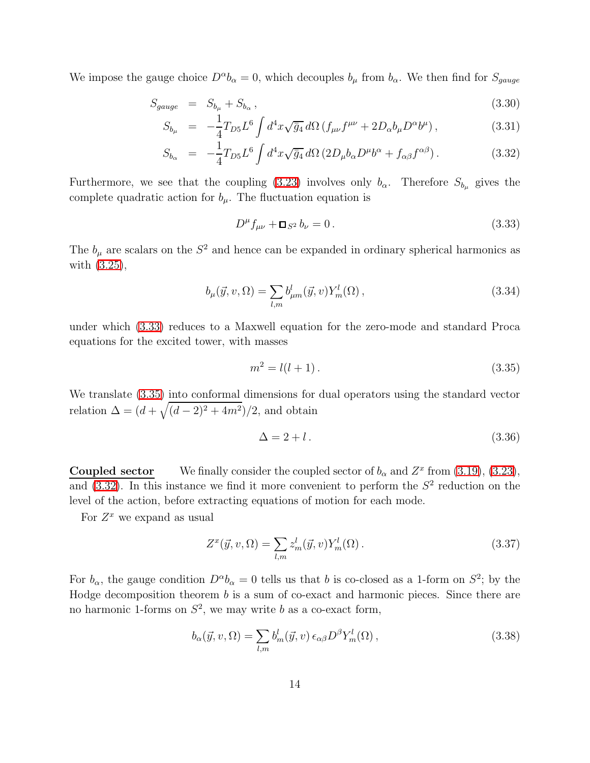<span id="page-14-2"></span>We impose the gauge choice  $D^{\alpha}b_{\alpha}=0$ , which decouples  $b_{\mu}$  from  $b_{\alpha}$ . We then find for  $S_{gauge}$ 

$$
S_{gauge} = S_{b_{\mu}} + S_{b_{\alpha}}, \qquad (3.30)
$$

$$
S_{b_{\mu}} = -\frac{1}{4} T_{D5} L^6 \int d^4x \sqrt{\bar{g}_4} d\Omega \left( f_{\mu\nu} f^{\mu\nu} + 2D_{\alpha} b_{\mu} D^{\alpha} b^{\mu} \right), \tag{3.31}
$$

$$
S_{b_{\alpha}} = -\frac{1}{4}T_{D5}L^6 \int d^4x \sqrt{\bar{g}_4} d\Omega \left(2D_{\mu}b_{\alpha}D^{\mu}b^{\alpha} + f_{\alpha\beta}f^{\alpha\beta}\right). \tag{3.32}
$$

Furthermore, we see that the coupling [\(3.23\)](#page-12-1) involves only  $b_{\alpha}$ . Therefore  $S_{b_{\mu}}$  gives the complete quadratic action for  $b_{\mu}$ . The fluctuation equation is

<span id="page-14-0"></span>
$$
D^{\mu}f_{\mu\nu} + \Box_{S^2}b_{\nu} = 0. \qquad (3.33)
$$

The  $b_{\mu}$  are scalars on the  $S^2$  and hence can be expanded in ordinary spherical harmonics as with [\(3.25\)](#page-13-2),

$$
b_{\mu}(\vec{y}, v, \Omega) = \sum_{l,m} b_{\mu m}^{l}(\vec{y}, v) Y_{m}^{l}(\Omega) , \qquad (3.34)
$$

under which [\(3.33\)](#page-14-0) reduces to a Maxwell equation for the zero-mode and standard Proca equations for the excited tower, with masses

<span id="page-14-1"></span>
$$
m^2 = l(l+1). \tag{3.35}
$$

We translate [\(3.35\)](#page-14-1) into conformal dimensions for dual operators using the standard vector relation  $\Delta = (d + \sqrt{(d-2)^2 + 4m^2})/2$ , and obtain

<span id="page-14-4"></span>
$$
\Delta = 2 + l. \tag{3.36}
$$

**Coupled sector** We finally consider the coupled sector of  $b_{\alpha}$  and  $Z^x$  from [\(3.19\)](#page-12-2), [\(3.23\)](#page-12-1), and  $(3.32)$ . In this instance we find it more convenient to perform the  $S<sup>2</sup>$  reduction on the level of the action, before extracting equations of motion for each mode.

For  $Z^x$  we expand as usual

$$
Z^x(\vec{y}, v, \Omega) = \sum_{l,m} z_m^l(\vec{y}, v) Y_m^l(\Omega).
$$
\n(3.37)

For  $b_{\alpha}$ , the gauge condition  $D^{\alpha}b_{\alpha}=0$  tells us that b is co-closed as a 1-form on  $S^2$ ; by the Hodge decomposition theorem b is a sum of co-exact and harmonic pieces. Since there are no harmonic 1-forms on  $S^2$ , we may write b as a co-exact form,

<span id="page-14-3"></span>
$$
b_{\alpha}(\vec{y}, v, \Omega) = \sum_{l,m} b_m^l(\vec{y}, v) \epsilon_{\alpha\beta} D^{\beta} Y_m^l(\Omega) , \qquad (3.38)
$$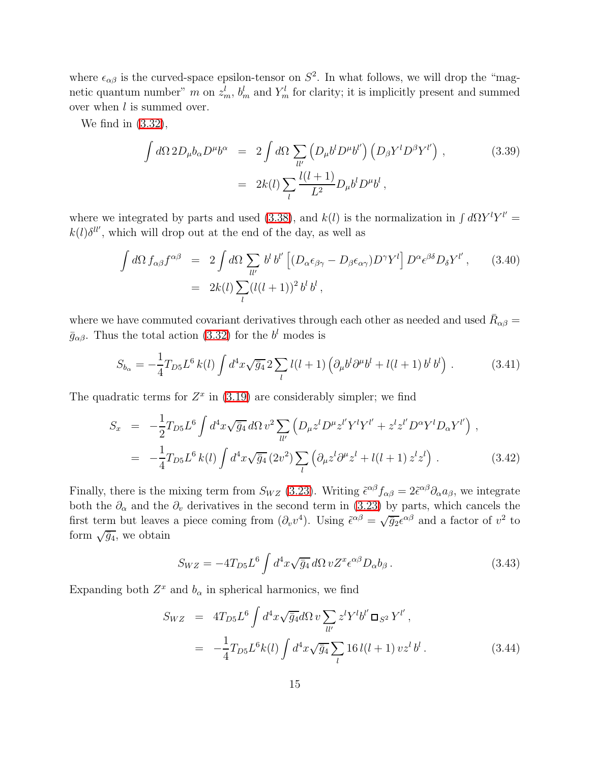where  $\epsilon_{\alpha\beta}$  is the curved-space epsilon-tensor on  $S^2$ . In what follows, we will drop the "magnetic quantum number" m on  $z_m^l$ ,  $b_m^l$  and  $Y_m^l$  for clarity; it is implicitly present and summed over when  $l$  is summed over.

We find in [\(3.32\)](#page-14-2),

$$
\int d\Omega 2D_{\mu}b_{\alpha}D^{\mu}b^{\alpha} = 2 \int d\Omega \sum_{ll'} \left( D_{\mu}b^{l}D^{\mu}b^{l'} \right) \left( D_{\beta}Y^{l}D^{\beta}Y^{l'} \right),
$$
\n(3.39)\n
$$
= 2k(l) \sum_{l} \frac{l(l+1)}{L^{2}} D_{\mu}b^{l}D^{\mu}b^{l},
$$

where we integrated by parts and used [\(3.38\)](#page-14-3), and  $k(l)$  is the normalization in  $\int d\Omega Y^l Y^{l'} =$  $k(l)\delta^{ll'}$ , which will drop out at the end of the day, as well as

$$
\int d\Omega f_{\alpha\beta} f^{\alpha\beta} = 2 \int d\Omega \sum_{ll'} b^l b^{l'} \left[ (D_{\alpha}\epsilon_{\beta\gamma} - D_{\beta}\epsilon_{\alpha\gamma}) D^{\gamma} Y^l \right] D^{\alpha} \epsilon^{\beta\delta} D_{\delta} Y^{l'}, \qquad (3.40)
$$

$$
= 2k(l) \sum_{l} (l(l+1))^2 b^l b^l,
$$

where we have commuted covariant derivatives through each other as needed and used  $\bar{R}_{\alpha\beta} =$  $\bar{g}_{\alpha\beta}$ . Thus the total action [\(3.32\)](#page-14-2) for the  $b^{l}$  modes is

$$
S_{b_{\alpha}} = -\frac{1}{4} T_{D5} L^6 k(l) \int d^4 x \sqrt{\bar{g}_4} 2 \sum_l l(l+1) \left( \partial_{\mu} b^l \partial^{\mu} b^l + l(l+1) b^l b^l \right) . \tag{3.41}
$$

<span id="page-15-1"></span><span id="page-15-0"></span>The quadratic terms for  $Z^x$  in [\(3.19\)](#page-12-2) are considerably simpler; we find

$$
S_x = -\frac{1}{2} T_{D5} L^6 \int d^4 x \sqrt{\bar{g}_4} d\Omega v^2 \sum_{ll'} \left( D_\mu z^l D^\mu z^{l'} Y^l Y^{l'} + z^l z^{l'} D^\alpha Y^l D_\alpha Y^{l'} \right) ,
$$
  

$$
= -\frac{1}{4} T_{D5} L^6 k(l) \int d^4 x \sqrt{\bar{g}_4} (2v^2) \sum_l \left( \partial_\mu z^l \partial^\mu z^l + l(l+1) z^l z^l \right) . \tag{3.42}
$$

Finally, there is the mixing term from  $S_{WZ}$  [\(3.23\)](#page-12-1). Writing  $\tilde{\epsilon}^{\alpha\beta} f_{\alpha\beta} = 2\tilde{\epsilon}^{\alpha\beta} \partial_{\alpha} a_{\beta}$ , we integrate both the  $\partial_{\alpha}$  and the  $\partial_{\nu}$  derivatives in the second term in [\(3.23\)](#page-12-1) by parts, which cancels the first term but leaves a piece coming from  $(\partial_v v^4)$ . Using  $\tilde{\epsilon}^{\alpha\beta} = \sqrt{\overline{g}_2} \epsilon^{\alpha\beta}$  and a factor of  $v^2$  to form  $\sqrt{\bar{g}_4}$ , we obtain

$$
S_{WZ} = -4T_{D5}L^6 \int d^4x \sqrt{\bar{g}_4} \, d\Omega \, v Z^x \epsilon^{\alpha\beta} D_\alpha b_\beta \,. \tag{3.43}
$$

<span id="page-15-2"></span>Expanding both  $Z^x$  and  $b_\alpha$  in spherical harmonics, we find

$$
S_{WZ} = 4T_{D5}L^{6} \int d^{4}x \sqrt{\bar{g}_{4}} d\Omega v \sum_{ll'} z^{l} Y^{l} b^{l'} \Box_{S^{2}} Y^{l'},
$$
  

$$
= -\frac{1}{4} T_{D5}L^{6} k(l) \int d^{4}x \sqrt{\bar{g}_{4}} \sum_{l} 16 l(l+1) v z^{l} b^{l}. \qquad (3.44)
$$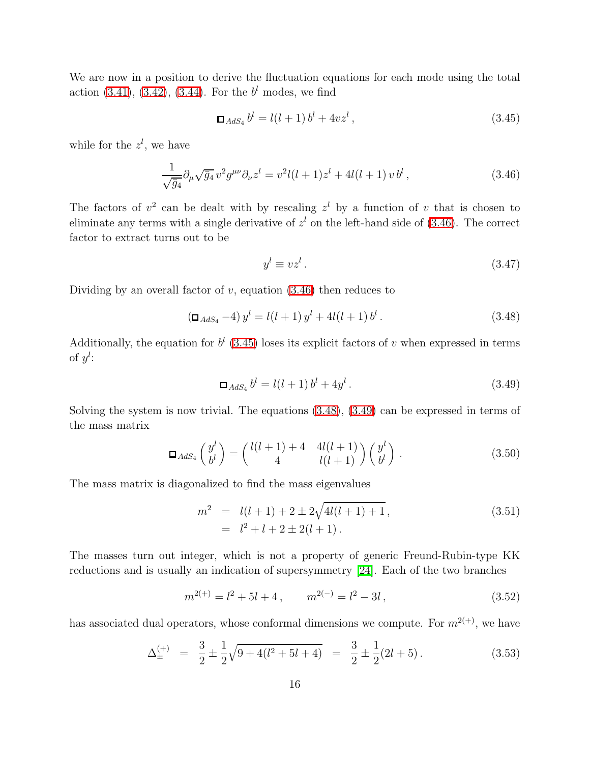We are now in a position to derive the fluctuation equations for each mode using the total action  $(3.41)$ ,  $(3.42)$ ,  $(3.44)$ . For the  $b<sup>l</sup>$  modes, we find

$$
\Box_{AdS_4} b^l = l(l+1) b^l + 4v z^l, \qquad (3.45)
$$

<span id="page-16-0"></span>while for the  $z^l$ , we have

<span id="page-16-1"></span>
$$
\frac{1}{\sqrt{\bar{g}_4}} \partial_\mu \sqrt{\bar{g}_4} \, v^2 g^{\mu\nu} \partial_\nu z^l = v^2 l(l+1) z^l + 4l(l+1) \, v \, b^l \,, \tag{3.46}
$$

The factors of  $v^2$  can be dealt with by rescaling  $z^l$  by a function of v that is chosen to eliminate any terms with a single derivative of  $z<sup>l</sup>$  on the left-hand side of [\(3.46\)](#page-16-0). The correct factor to extract turns out to be

$$
y^l \equiv vz^l. \tag{3.47}
$$

<span id="page-16-2"></span>Dividing by an overall factor of  $v$ , equation  $(3.46)$  then reduces to

$$
\left(\Box_{AdS_4} - 4\right) y^l = l(l+1) y^l + 4l(l+1) b^l. \tag{3.48}
$$

Additionally, the equation for  $b^l$  [\(3.45\)](#page-16-1) loses its explicit factors of v when expressed in terms of  $y^l$ :

$$
\Box_{AdS_4} b^l = l(l+1) b^l + 4y^l. \tag{3.49}
$$

Solving the system is now trivial. The equations [\(3.48\)](#page-16-2), [\(3.49\)](#page-16-3) can be expressed in terms of the mass matrix

<span id="page-16-3"></span>
$$
\Box_{AdS_4}\begin{pmatrix} y^l \\ b^l \end{pmatrix} = \begin{pmatrix} l(l+1) + 4 & 4l(l+1) \\ 4 & l(l+1) \end{pmatrix} \begin{pmatrix} y^l \\ b^l \end{pmatrix} . \tag{3.50}
$$

The mass matrix is diagonalized to find the mass eigenvalues

$$
m2 = l(l+1) + 2 \pm 2\sqrt{4l(l+1) + 1},
$$
  
=  $l2 + l + 2 \pm 2(l+1).$  (3.51)

The masses turn out integer, which is not a property of generic Freund-Rubin-type KK reductions and is usually an indication of supersymmetry [\[24\]](#page-47-4). Each of the two branches

$$
m^{2(+)} = l^2 + 5l + 4, \qquad m^{2(-)} = l^2 - 3l, \tag{3.52}
$$

<span id="page-16-5"></span><span id="page-16-4"></span>has associated dual operators, whose conformal dimensions we compute. For  $m^{2(+)}$ , we have

$$
\Delta_{\pm}^{(+)} = \frac{3}{2} \pm \frac{1}{2} \sqrt{9 + 4(l^2 + 5l + 4)} = \frac{3}{2} \pm \frac{1}{2}(2l + 5). \tag{3.53}
$$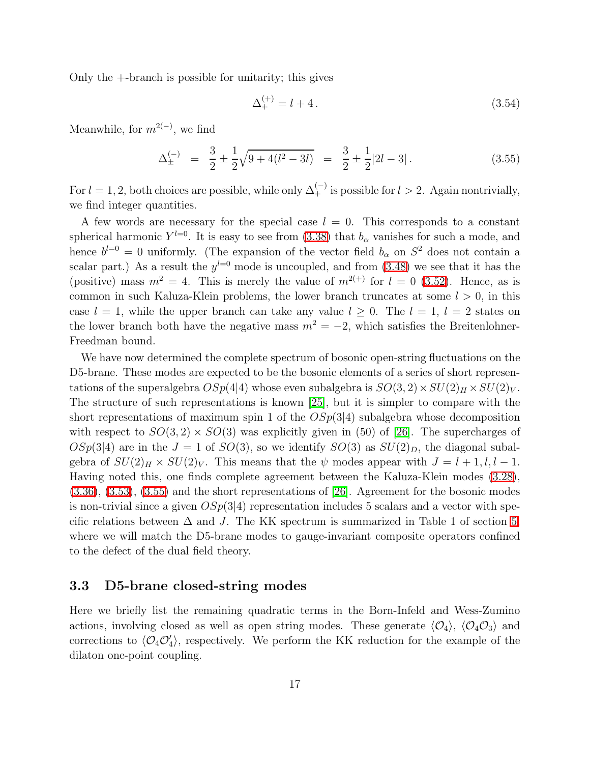Only the +-branch is possible for unitarity; this gives

$$
\Delta_{+}^{(+)} = l + 4. \tag{3.54}
$$

<span id="page-17-1"></span>Meanwhile, for  $m^{2(-)}$ , we find

$$
\Delta_{\pm}^{(-)} = \frac{3}{2} \pm \frac{1}{2} \sqrt{9 + 4(l^2 - 3l)} = \frac{3}{2} \pm \frac{1}{2} |2l - 3| \,. \tag{3.55}
$$

For  $l = 1, 2$ , both choices are possible, while only  $\Delta_{+}^{(-)}$  is possible for  $l > 2$ . Again nontrivially, we find integer quantities.

A few words are necessary for the special case  $l = 0$ . This corresponds to a constant spherical harmonic  $Y^{l=0}$ . It is easy to see from [\(3.38\)](#page-14-3) that  $b_{\alpha}$  vanishes for such a mode, and hence  $b^{l=0} = 0$  uniformly. (The expansion of the vector field  $b_{\alpha}$  on  $S^2$  does not contain a scalar part.) As a result the  $y^{l=0}$  mode is uncoupled, and from  $(3.48)$  we see that it has the (positive) mass  $m^2 = 4$ . This is merely the value of  $m^{2(+)}$  for  $l = 0$  [\(3.52\)](#page-16-4). Hence, as is common in such Kaluza-Klein problems, the lower branch truncates at some  $l > 0$ , in this case  $l = 1$ , while the upper branch can take any value  $l \geq 0$ . The  $l = 1$ ,  $l = 2$  states on the lower branch both have the negative mass  $m^2 = -2$ , which satisfies the Breitenlohner-Freedman bound.

We have now determined the complete spectrum of bosonic open-string fluctuations on the D5-brane. These modes are expected to be the bosonic elements of a series of short representations of the superalgebra  $OSp(4|4)$  whose even subalgebra is  $SO(3, 2) \times SU(2)_H \times SU(2)_V$ . The structure of such representations is known [\[25\]](#page-47-5), but it is simpler to compare with the short representations of maximum spin 1 of the  $OSp(3|4)$  subalgebra whose decomposition with respect to  $SO(3, 2) \times SO(3)$  was explicitly given in (50) of [\[26\]](#page-47-6). The supercharges of  $OSp(3|4)$  are in the  $J = 1$  of  $SO(3)$ , so we identify  $SO(3)$  as  $SU(2)_D$ , the diagonal subalgebra of  $SU(2)_H \times SU(2)_V$ . This means that the  $\psi$  modes appear with  $J = l + 1, l, l - 1$ . Having noted this, one finds complete agreement between the Kaluza-Klein modes [\(3.28\)](#page-13-3), [\(3.36\)](#page-14-4), [\(3.53\)](#page-16-5), [\(3.55\)](#page-17-1) and the short representations of [\[26\]](#page-47-6). Agreement for the bosonic modes is non-trivial since a given  $OSp(3|4)$  representation includes 5 scalars and a vector with specific relations between  $\Delta$  and J. The KK spectrum is summarized in Table 1 of section [5,](#page-32-0) where we will match the D5-brane modes to gauge-invariant composite operators confined to the defect of the dual field theory.

#### <span id="page-17-0"></span>3.3 D5-brane closed-string modes

Here we briefly list the remaining quadratic terms in the Born-Infeld and Wess-Zumino actions, involving closed as well as open string modes. These generate  $\langle \mathcal{O}_4 \rangle$ ,  $\langle \mathcal{O}_4 \mathcal{O}_3 \rangle$  and corrections to  $\langle \mathcal{O}_4 \mathcal{O}'_4 \rangle$ , respectively. We perform the KK reduction for the example of the dilaton one-point coupling.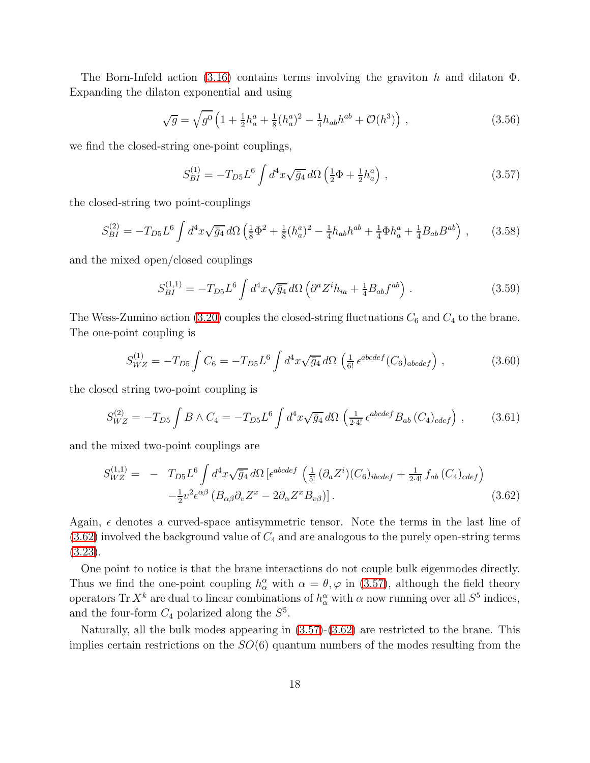The Born-Infeld action [\(3.16\)](#page-11-0) contains terms involving the graviton h and dilaton  $\Phi$ . Expanding the dilaton exponential and using

$$
\sqrt{g} = \sqrt{g^0} \left( 1 + \frac{1}{2} h_a^a + \frac{1}{8} (h_a^a)^2 - \frac{1}{4} h_{ab} h^{ab} + \mathcal{O}(h^3) \right) , \qquad (3.56)
$$

<span id="page-18-1"></span>we find the closed-string one-point couplings,

$$
S_{BI}^{(1)} = -T_{D5}L^6 \int d^4x \sqrt{\bar{g}_4} \, d\Omega \left(\frac{1}{2}\Phi + \frac{1}{2}h_a^a\right) \,,\tag{3.57}
$$

<span id="page-18-2"></span>the closed-string two point-couplings

$$
S_{BI}^{(2)} = -T_{D5}L^6 \int d^4x \sqrt{\bar{g}_4} \, d\Omega \left(\frac{1}{8}\Phi^2 + \frac{1}{8}(h_a^a)^2 - \frac{1}{4}h_{ab}h^{ab} + \frac{1}{4}\Phi h_a^a + \frac{1}{4}B_{ab}B^{ab}\right) \,,\tag{3.58}
$$

<span id="page-18-3"></span>and the mixed open/closed couplings

$$
S_{BI}^{(1,1)} = -T_{D5}L^6 \int d^4x \sqrt{\bar{g}_4} \, d\Omega \left( \partial^a Z^i h_{ia} + \frac{1}{4} B_{ab} f^{ab} \right) \,. \tag{3.59}
$$

The Wess-Zumino action [\(3.20\)](#page-12-3) couples the closed-string fluctuations  $C_6$  and  $C_4$  to the brane. The one-point coupling is

$$
S_{WZ}^{(1)} = -T_{D5} \int C_6 = -T_{D5} L^6 \int d^4x \sqrt{\bar{g}_4} d\Omega \left( \frac{1}{6!} \epsilon^{abcdef} (C_6)_{abcdef} \right) , \qquad (3.60)
$$

the closed string two-point coupling is

$$
S_{WZ}^{(2)} = -T_{D5} \int B \wedge C_4 = -T_{D5} L^6 \int d^4x \sqrt{\bar{g}_4} d\Omega \left( \frac{1}{2 \cdot 4!} \epsilon^{abcdef} B_{ab} (C_4)_{cdef} \right), \qquad (3.61)
$$

<span id="page-18-0"></span>and the mixed two-point couplings are

$$
S_{WZ}^{(1,1)} = -T_{D5}L^6 \int d^4x \sqrt{\bar{g}_4} d\Omega \left[ \epsilon^{abcdef} \left( \frac{1}{5!} (\partial_a Z^i)(C_6)_{ibcdef} + \frac{1}{2 \cdot 4!} f_{ab} (C_4)_{cdef} \right) - \frac{1}{2} v^2 \epsilon^{\alpha\beta} \left( B_{\alpha\beta} \partial_v Z^x - 2 \partial_\alpha Z^x B_{v\beta} \right) \right].
$$
\n(3.62)

Again,  $\epsilon$  denotes a curved-space antisymmetric tensor. Note the terms in the last line of  $(3.62)$  involved the background value of  $C_4$  and are analogous to the purely open-string terms [\(3.23\)](#page-12-1).

One point to notice is that the brane interactions do not couple bulk eigenmodes directly. Thus we find the one-point coupling  $h^{\alpha}_{\alpha}$  with  $\alpha = \theta, \varphi$  in [\(3.57\)](#page-18-1), although the field theory operators Tr  $X^k$  are dual to linear combinations of  $h^{\alpha}_{\alpha}$  with  $\alpha$  now running over all  $S^5$  indices, and the four-form  $C_4$  polarized along the  $S^5$ .

Naturally, all the bulk modes appearing in [\(3.57\)](#page-18-1)-[\(3.62\)](#page-18-0) are restricted to the brane. This implies certain restrictions on the  $SO(6)$  quantum numbers of the modes resulting from the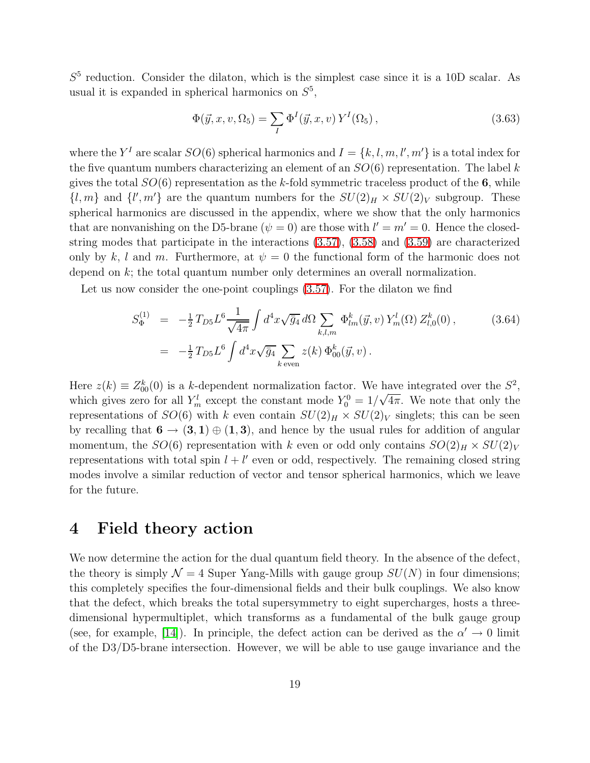$S<sup>5</sup>$  reduction. Consider the dilaton, which is the simplest case since it is a 10D scalar. As usual it is expanded in spherical harmonics on  $S^5$ ,

$$
\Phi(\vec{y}, x, v, \Omega_5) = \sum_{I} \Phi^I(\vec{y}, x, v) Y^I(\Omega_5), \qquad (3.63)
$$

where the  $Y^I$  are scalar  $SO(6)$  spherical harmonics and  $I = \{k, l, m, l', m'\}$  is a total index for the five quantum numbers characterizing an element of an  $SO(6)$  representation. The label k gives the total  $SO(6)$  representation as the k-fold symmetric traceless product of the 6, while  $\{l, m\}$  and  $\{l', m'\}$  are the quantum numbers for the  $SU(2)_H \times SU(2)_V$  subgroup. These spherical harmonics are discussed in the appendix, where we show that the only harmonics that are nonvanishing on the D5-brane  $(\psi = 0)$  are those with  $l' = m' = 0$ . Hence the closedstring modes that participate in the interactions [\(3.57\)](#page-18-1), [\(3.58\)](#page-18-2) and [\(3.59\)](#page-18-3) are characterized only by k, l and m. Furthermore, at  $\psi = 0$  the functional form of the harmonic does not depend on k; the total quantum number only determines an overall normalization.

Let us now consider the one-point couplings [\(3.57\)](#page-18-1). For the dilaton we find

$$
S_{\Phi}^{(1)} = -\frac{1}{2} T_{D5} L^6 \frac{1}{\sqrt{4\pi}} \int d^4x \sqrt{\bar{g}_4} d\Omega \sum_{k,l,m} \Phi_{lm}^k(\vec{y}, v) Y_m^l(\Omega) Z_{l,0}^k(0) ,
$$
 (3.64)  

$$
= -\frac{1}{2} T_{D5} L^6 \int d^4x \sqrt{\bar{g}_4} \sum_{k \text{ even}} z(k) \Phi_{00}^k(\vec{y}, v) .
$$

Here  $z(k) \equiv Z_{00}^{k}(0)$  is a k-dependent normalization factor. We have integrated over the  $S^2$ , which gives zero for all  $Y_m^l$  except the constant mode  $Y_0^0 = 1/\sqrt{4\pi}$ . We note that only the representations of  $SO(6)$  with k even contain  $SU(2)_H \times SU(2)_V$  singlets; this can be seen by recalling that  $6 \rightarrow (3,1) \oplus (1,3)$ , and hence by the usual rules for addition of angular momentum, the  $SO(6)$  representation with k even or odd only contains  $SO(2)_H \times SU(2)_V$ representations with total spin  $l + l'$  even or odd, respectively. The remaining closed string modes involve a similar reduction of vector and tensor spherical harmonics, which we leave for the future.

### <span id="page-19-0"></span>4 Field theory action

We now determine the action for the dual quantum field theory. In the absence of the defect, the theory is simply  $\mathcal{N} = 4$  Super Yang-Mills with gauge group  $SU(N)$  in four dimensions; this completely specifies the four-dimensional fields and their bulk couplings. We also know that the defect, which breaks the total supersymmetry to eight supercharges, hosts a threedimensional hypermultiplet, which transforms as a fundamental of the bulk gauge group (see, for example, [\[14\]](#page-46-8)). In principle, the defect action can be derived as the  $\alpha' \to 0$  limit of the D3/D5-brane intersection. However, we will be able to use gauge invariance and the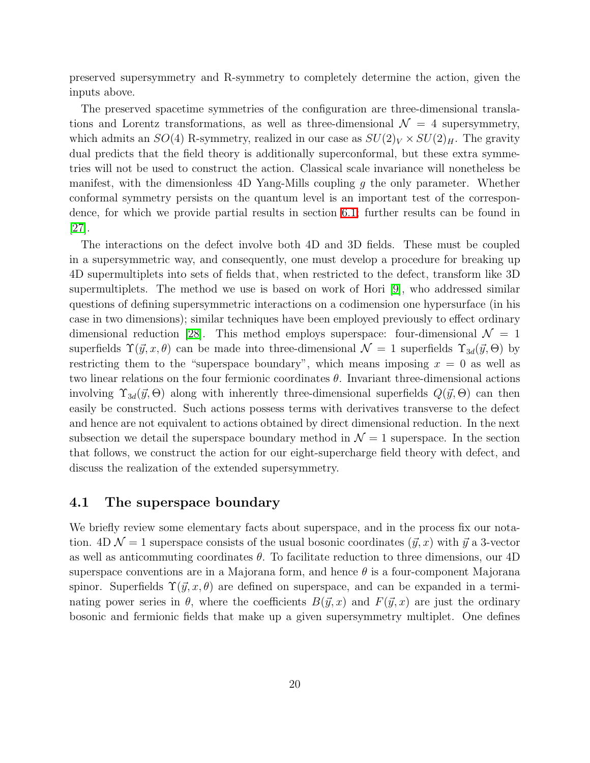preserved supersymmetry and R-symmetry to completely determine the action, given the inputs above.

The preserved spacetime symmetries of the configuration are three-dimensional translations and Lorentz transformations, as well as three-dimensional  $\mathcal{N} = 4$  supersymmetry, which admits an  $SO(4)$  R-symmetry, realized in our case as  $SU(2)_V \times SU(2)_H$ . The gravity dual predicts that the field theory is additionally superconformal, but these extra symmetries will not be used to construct the action. Classical scale invariance will nonetheless be manifest, with the dimensionless 4D Yang-Mills coupling  $g$  the only parameter. Whether conformal symmetry persists on the quantum level is an important test of the correspondence, for which we provide partial results in section [6.1;](#page-36-1) further results can be found in [\[27\]](#page-47-7).

The interactions on the defect involve both 4D and 3D fields. These must be coupled in a supersymmetric way, and consequently, one must develop a procedure for breaking up 4D supermultiplets into sets of fields that, when restricted to the defect, transform like 3D supermultiplets. The method we use is based on work of Hori [\[9\]](#page-46-3), who addressed similar questions of defining supersymmetric interactions on a codimension one hypersurface (in his case in two dimensions); similar techniques have been employed previously to effect ordinary dimensional reduction [\[28\]](#page-47-8). This method employs superspace: four-dimensional  $\mathcal{N} = 1$ superfields  $\Upsilon(\vec{y}, x, \theta)$  can be made into three-dimensional  $\mathcal{N} = 1$  superfields  $\Upsilon_{3d}(\vec{y}, \Theta)$  by restricting them to the "superspace boundary", which means imposing  $x = 0$  as well as two linear relations on the four fermionic coordinates  $\theta$ . Invariant three-dimensional actions involving  $\Upsilon_{3d}(\vec{y},\Theta)$  along with inherently three-dimensional superfields  $Q(\vec{y},\Theta)$  can then easily be constructed. Such actions possess terms with derivatives transverse to the defect and hence are not equivalent to actions obtained by direct dimensional reduction. In the next subsection we detail the superspace boundary method in  $\mathcal{N}=1$  superspace. In the section that follows, we construct the action for our eight-supercharge field theory with defect, and discuss the realization of the extended supersymmetry.

#### 4.1 The superspace boundary

We briefly review some elementary facts about superspace, and in the process fix our notation.  $4D \mathcal{N} = 1$  superspace consists of the usual bosonic coordinates  $(\vec{y}, x)$  with  $\vec{y}$  a 3-vector as well as anticommuting coordinates  $\theta$ . To facilitate reduction to three dimensions, our 4D superspace conventions are in a Majorana form, and hence  $\theta$  is a four-component Majorana spinor. Superfields  $\Upsilon(\vec{y}, x, \theta)$  are defined on superspace, and can be expanded in a terminating power series in  $\theta$ , where the coefficients  $B(\vec{y}, x)$  and  $F(\vec{y}, x)$  are just the ordinary bosonic and fermionic fields that make up a given supersymmetry multiplet. One defines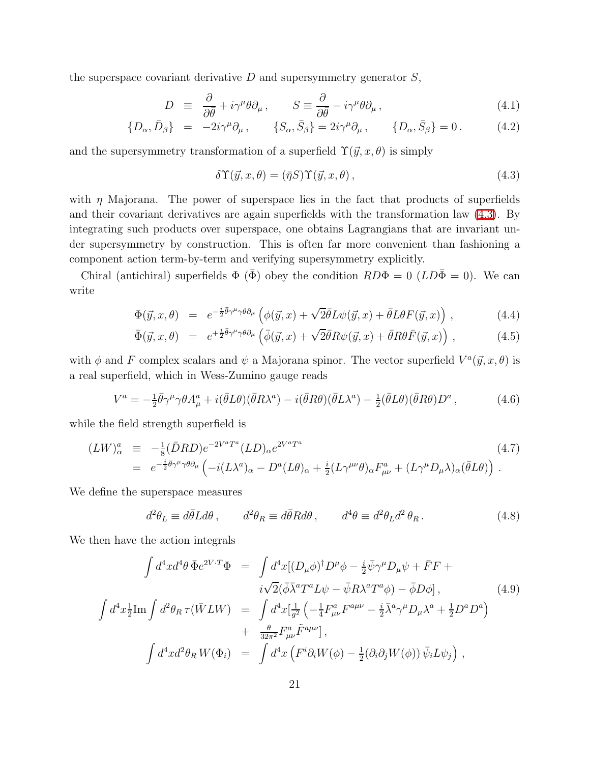the superspace covariant derivative  $D$  and supersymmetry generator  $S$ ,

$$
D \equiv \frac{\partial}{\partial \bar{\theta}} + i\gamma^{\mu} \theta \partial_{\mu}, \qquad S \equiv \frac{\partial}{\partial \bar{\theta}} - i\gamma^{\mu} \theta \partial_{\mu}, \qquad (4.1)
$$

<span id="page-21-0"></span>
$$
\{D_{\alpha}, \bar{D}_{\beta}\} = -2i\gamma^{\mu}\partial_{\mu}, \qquad \{S_{\alpha}, \bar{S}_{\beta}\} = 2i\gamma^{\mu}\partial_{\mu}, \qquad \{D_{\alpha}, \bar{S}_{\beta}\} = 0. \tag{4.2}
$$

and the supersymmetry transformation of a superfield  $\Upsilon(\vec{y}, x, \theta)$  is simply

$$
\delta \Upsilon(\vec{y}, x, \theta) = (\bar{\eta} S) \Upsilon(\vec{y}, x, \theta), \qquad (4.3)
$$

with  $\eta$  Majorana. The power of superspace lies in the fact that products of superfields and their covariant derivatives are again superfields with the transformation law [\(4.3\)](#page-21-0). By integrating such products over superspace, one obtains Lagrangians that are invariant under supersymmetry by construction. This is often far more convenient than fashioning a component action term-by-term and verifying supersymmetry explicitly.

Chiral (antichiral) superfields  $\Phi$  ( $\bar{\Phi}$ ) obey the condition  $RD\Phi = 0$  ( $LD\bar{\Phi} = 0$ ). We can write

$$
\Phi(\vec{y},x,\theta) = e^{-\frac{i}{2}\bar{\theta}\gamma^{\mu}\gamma\theta\partial_{\mu}} \left( \phi(\vec{y},x) + \sqrt{2}\bar{\theta}L\psi(\vec{y},x) + \bar{\theta}L\theta F(\vec{y},x) \right), \qquad (4.4)
$$

$$
\bar{\Phi}(\vec{y},x,\theta) = e^{+\frac{i}{2}\bar{\theta}\gamma^{\mu}\gamma\theta\partial_{\mu}}\left(\bar{\phi}(\vec{y},x) + \sqrt{2}\bar{\theta}R\psi(\vec{y},x) + \bar{\theta}R\theta\bar{F}(\vec{y},x)\right),
$$
\n(4.5)

with  $\phi$  and F complex scalars and  $\psi$  a Majorana spinor. The vector superfield  $V^a(\vec{y}, x, \theta)$  is a real superfield, which in Wess-Zumino gauge reads

$$
V^{a} = -\frac{1}{2}\bar{\theta}\gamma^{\mu}\gamma\theta A^{a}_{\mu} + i(\bar{\theta}L\theta)(\bar{\theta}R\lambda^{a}) - i(\bar{\theta}R\theta)(\bar{\theta}L\lambda^{a}) - \frac{1}{2}(\bar{\theta}L\theta)(\bar{\theta}R\theta)D^{a}, \qquad (4.6)
$$

<span id="page-21-1"></span>while the field strength superfield is

$$
(LW)_{\alpha}^{a} \equiv -\frac{1}{8} (\bar{D}RD)e^{-2V^{a}T^{a}} (LD)_{\alpha}e^{2V^{a}T^{a}} \n= e^{-\frac{i}{2}\bar{\theta}\gamma^{\mu}\gamma\theta\partial_{\mu}} \left( -i(L\lambda^{a})_{\alpha} - D^{a}(L\theta)_{\alpha} + \frac{i}{2}(L\gamma^{\mu\nu}\theta)_{\alpha}F^{a}_{\mu\nu} + (L\gamma^{\mu}D_{\mu}\lambda)_{\alpha}(\bar{\theta}L\theta) \right).
$$
\n(4.7)

We define the superspace measures

$$
d^2\theta_L \equiv d\bar{\theta}L d\theta \,, \qquad d^2\theta_R \equiv d\bar{\theta}R d\theta \,, \qquad d^4\theta \equiv d^2\theta_L d^2\theta_R \,. \tag{4.8}
$$

We then have the action integrals

$$
\int d^4x d^4\theta \,\bar{\Phi} e^{2V\cdot T} \Phi = \int d^4x [(D_\mu \phi)^\dagger D^\mu \phi - \frac{i}{2} \bar{\psi} \gamma^\mu D_\mu \psi + \bar{F} F + i \sqrt{2} (\bar{\phi} \bar{\lambda}^a T^a L \psi - \bar{\psi} R \lambda^a T^a \phi) - \bar{\phi} D \phi],
$$
\n
$$
\int d^4x \frac{1}{2} \text{Im} \int d^2\theta_R \,\tau(\bar{W} L W) = \int d^4x [\frac{1}{g^2} \left( -\frac{1}{4} F^a_{\mu\nu} F^{a\mu\nu} - \frac{i}{2} \bar{\lambda}^a \gamma^\mu D_\mu \lambda^a + \frac{1}{2} D^a D^a \right) + \frac{\theta}{32\pi^2} F^a_{\mu\nu} \tilde{F}^{a\mu\nu}],
$$
\n
$$
\int d^4x d^2\theta_R W(\Phi_i) = \int d^4x \left( F^i \partial_i W(\phi) - \frac{1}{2} (\partial_i \partial_j W(\phi)) \bar{\psi}_i L \psi_j \right),
$$
\n(4.9)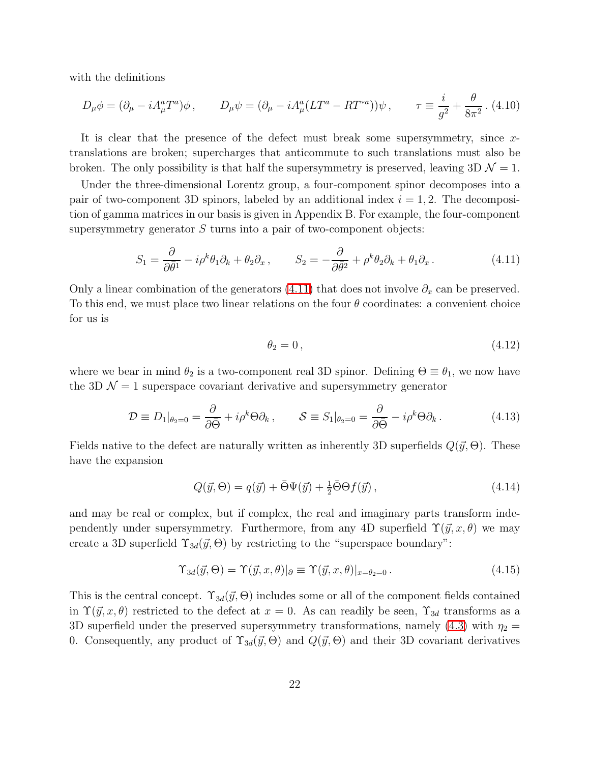with the definitions

$$
D_{\mu}\phi = (\partial_{\mu} - iA_{\mu}^{a}T^{a})\phi \,, \qquad D_{\mu}\psi = (\partial_{\mu} - iA_{\mu}^{a}(LT^{a} - RT^{*a}))\psi \,, \qquad \tau \equiv \frac{i}{g^{2}} + \frac{\theta}{8\pi^{2}} \,. \tag{4.10}
$$

It is clear that the presence of the defect must break some supersymmetry, since xtranslations are broken; supercharges that anticommute to such translations must also be broken. The only possibility is that half the supersymmetry is preserved, leaving  $3D \mathcal{N} = 1$ .

Under the three-dimensional Lorentz group, a four-component spinor decomposes into a pair of two-component 3D spinors, labeled by an additional index  $i = 1, 2$ . The decomposition of gamma matrices in our basis is given in Appendix B. For example, the four-component supersymmetry generator  $S$  turns into a pair of two-component objects:

$$
S_1 = \frac{\partial}{\partial \bar{\theta}^1} - i\rho^k \theta_1 \partial_k + \theta_2 \partial_x, \qquad S_2 = -\frac{\partial}{\partial \bar{\theta}^2} + \rho^k \theta_2 \partial_k + \theta_1 \partial_x. \tag{4.11}
$$

<span id="page-22-0"></span>Only a linear combination of the generators [\(4.11\)](#page-22-0) that does not involve  $\partial_x$  can be preserved. To this end, we must place two linear relations on the four  $\theta$  coordinates: a convenient choice for us is

$$
\theta_2 = 0 \,, \tag{4.12}
$$

where we bear in mind  $\theta_2$  is a two-component real 3D spinor. Defining  $\Theta \equiv \theta_1$ , we now have the 3D  $\mathcal{N} = 1$  superspace covariant derivative and supersymmetry generator

$$
\mathcal{D} \equiv D_1|_{\theta_2=0} = \frac{\partial}{\partial \bar{\Theta}} + i\rho^k \Theta \partial_k, \qquad \mathcal{S} \equiv S_1|_{\theta_2=0} = \frac{\partial}{\partial \bar{\Theta}} - i\rho^k \Theta \partial_k. \tag{4.13}
$$

Fields native to the defect are naturally written as inherently 3D superfields  $Q(\vec{y}, \Theta)$ . These have the expansion

$$
Q(\vec{y}, \Theta) = q(\vec{y}) + \bar{\Theta}\Psi(\vec{y}) + \frac{1}{2}\bar{\Theta}\Theta f(\vec{y}), \qquad (4.14)
$$

and may be real or complex, but if complex, the real and imaginary parts transform independently under supersymmetry. Furthermore, from any 4D superfield  $\Upsilon(\vec{y}, x, \theta)$  we may create a 3D superfield  $\Upsilon_{3d}(\vec{y}, \Theta)$  by restricting to the "superspace boundary":

$$
\Upsilon_{3d}(\vec{y},\Theta) = \Upsilon(\vec{y},x,\theta)|_{\partial} \equiv \Upsilon(\vec{y},x,\theta)|_{x=\theta_2=0}.
$$
\n(4.15)

This is the central concept.  $\Upsilon_{3d}(\vec{y}, \Theta)$  includes some or all of the component fields contained in  $\Upsilon(\vec{y}, x, \theta)$  restricted to the defect at  $x = 0$ . As can readily be seen,  $\Upsilon_{3d}$  transforms as a 3D superfield under the preserved supersymmetry transformations, namely [\(4.3\)](#page-21-0) with  $\eta_2 =$ 0. Consequently, any product of  $\Upsilon_{3d}(\vec{y},\Theta)$  and  $Q(\vec{y},\Theta)$  and their 3D covariant derivatives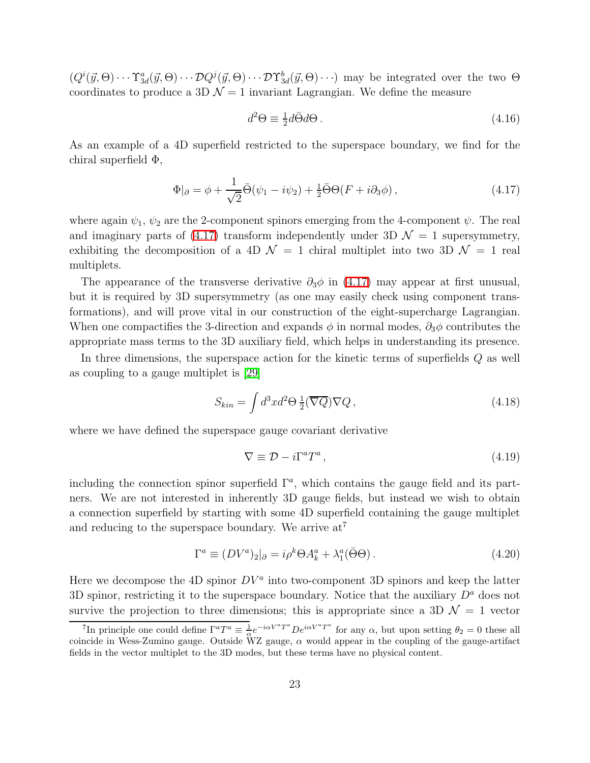$(Q^i(\vec{y},\Theta)\cdots\Upsilon^a_{3d}(\vec{y},\Theta)\cdots\mathcal{D}Q^j(\vec{y},\Theta)\cdots\mathcal{D}\Upsilon^b_{3d}(\vec{y},\Theta)\cdots)$  may be integrated over the two  $\Theta$ coordinates to produce a 3D  $\mathcal{N}=1$  invariant Lagrangian. We define the measure

$$
d^2\Theta \equiv \frac{1}{2}d\bar{\Theta}d\Theta\,. \tag{4.16}
$$

As an example of a 4D superfield restricted to the superspace boundary, we find for the chiral superfield Φ,

$$
\Phi|_{\partial} = \phi + \frac{1}{\sqrt{2}} \bar{\Theta}(\psi_1 - i\psi_2) + \frac{1}{2} \bar{\Theta} \Theta(F + i\partial_3 \phi), \qquad (4.17)
$$

<span id="page-23-0"></span>where again  $\psi_1, \psi_2$  are the 2-component spinors emerging from the 4-component  $\psi$ . The real and imaginary parts of [\(4.17\)](#page-23-0) transform independently under 3D  $\mathcal{N} = 1$  supersymmetry, exhibiting the decomposition of a 4D  $\mathcal{N} = 1$  chiral multiplet into two 3D  $\mathcal{N} = 1$  real multiplets.

The appearance of the transverse derivative  $\partial_3 \phi$  in [\(4.17\)](#page-23-0) may appear at first unusual, but it is required by 3D supersymmetry (as one may easily check using component transformations), and will prove vital in our construction of the eight-supercharge Lagrangian. When one compactifies the 3-direction and expands  $\phi$  in normal modes,  $\partial_3 \phi$  contributes the appropriate mass terms to the 3D auxiliary field, which helps in understanding its presence.

In three dimensions, the superspace action for the kinetic terms of superfields Q as well as coupling to a gauge multiplet is [\[29\]](#page-47-9)

<span id="page-23-2"></span>
$$
S_{kin} = \int d^3x d^2\Theta \, \frac{1}{2} (\overline{\nabla Q}) \nabla Q \,, \tag{4.18}
$$

where we have defined the superspace gauge covariant derivative

<span id="page-23-3"></span>
$$
\nabla \equiv \mathcal{D} - i\Gamma^a T^a \,,\tag{4.19}
$$

including the connection spinor superfield  $\Gamma^a$ , which contains the gauge field and its partners. We are not interested in inherently 3D gauge fields, but instead we wish to obtain a connection superfield by starting with some 4D superfield containing the gauge multiplet and reducing to the superspace boundary. We arrive  $at^7$ 

$$
\Gamma^a \equiv (DV^a)_2|_{\partial} = i\rho^k \Theta A_k^a + \lambda_1^a(\bar{\Theta}\Theta). \tag{4.20}
$$

<span id="page-23-1"></span>Here we decompose the 4D spinor  $DV^a$  into two-component 3D spinors and keep the latter 3D spinor, restricting it to the superspace boundary. Notice that the auxiliary  $D^a$  does not survive the projection to three dimensions; this is appropriate since a 3D  $\mathcal{N} = 1$  vector

<sup>&</sup>lt;sup>7</sup>In principle one could define  $\Gamma^a T^a \equiv \frac{1}{\alpha}$  $\frac{1}{\alpha}e^{-i\alpha V^a T^a}De^{i\alpha V^a T^a}$  for any  $\alpha$ , but upon setting  $\theta_2=0$  these all coincide in Wess-Zumino gauge. Outside  $\widetilde{W}Z$  gauge,  $\alpha$  would appear in the coupling of the gauge-artifact fields in the vector multiplet to the 3D modes, but these terms have no physical content.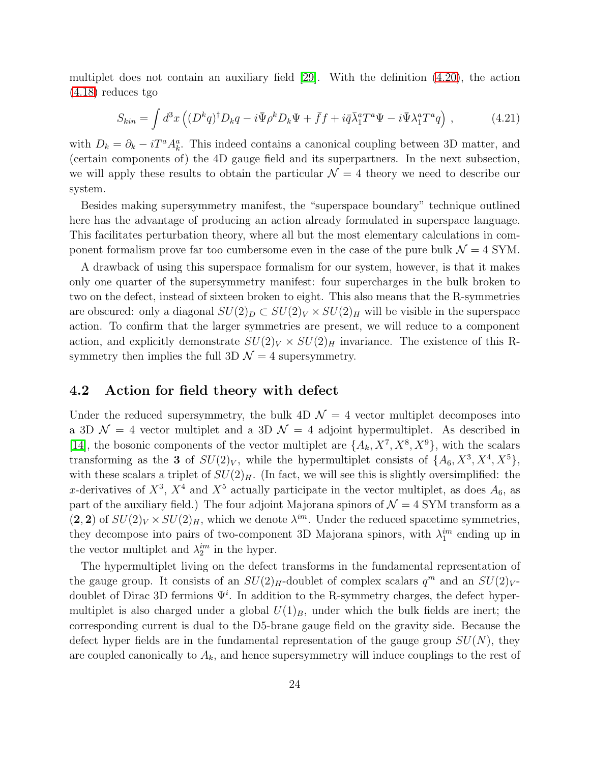multiplet does not contain an auxiliary field [\[29\]](#page-47-9). With the definition [\(4.20\)](#page-23-1), the action [\(4.18\)](#page-23-2) reduces tgo

$$
S_{kin} = \int d^3x \left( (D^k q)^\dagger D_k q - i \bar{\Psi} \rho^k D_k \Psi + \bar{f} f + i \bar{q} \bar{\lambda}_1^a T^a \Psi - i \bar{\Psi} \lambda_1^a T^a q \right) , \qquad (4.21)
$$

with  $D_k = \partial_k - iT^a A_k^a$ . This indeed contains a canonical coupling between 3D matter, and (certain components of) the 4D gauge field and its superpartners. In the next subsection, we will apply these results to obtain the particular  $\mathcal{N} = 4$  theory we need to describe our system.

Besides making supersymmetry manifest, the "superspace boundary" technique outlined here has the advantage of producing an action already formulated in superspace language. This facilitates perturbation theory, where all but the most elementary calculations in component formalism prove far too cumbersome even in the case of the pure bulk  $\mathcal{N} = 4$  SYM.

A drawback of using this superspace formalism for our system, however, is that it makes only one quarter of the supersymmetry manifest: four supercharges in the bulk broken to two on the defect, instead of sixteen broken to eight. This also means that the R-symmetries are obscured: only a diagonal  $SU(2)_D \subset SU(2)_V \times SU(2)_H$  will be visible in the superspace action. To confirm that the larger symmetries are present, we will reduce to a component action, and explicitly demonstrate  $SU(2)_V \times SU(2)_H$  invariance. The existence of this Rsymmetry then implies the full 3D  $\mathcal{N}=4$  supersymmetry.

#### <span id="page-24-0"></span>4.2 Action for field theory with defect

Under the reduced supersymmetry, the bulk  $4D \mathcal{N} = 4$  vector multiplet decomposes into a 3D  $\mathcal{N} = 4$  vector multiplet and a 3D  $\mathcal{N} = 4$  adjoint hypermultiplet. As described in [\[14\]](#page-46-8), the bosonic components of the vector multiplet are  $\{A_k, X^7, X^8, X^9\}$ , with the scalars transforming as the 3 of  $SU(2)_V$ , while the hypermultiplet consists of  $\{A_6, X^3, X^4, X^5\}$ , with these scalars a triplet of  $SU(2)_H$ . (In fact, we will see this is slightly oversimplified: the x-derivatives of  $X^3$ ,  $X^4$  and  $X^5$  actually participate in the vector multiplet, as does  $A_6$ , as part of the auxiliary field.) The four adjoint Majorana spinors of  $\mathcal{N}=4$  SYM transform as a  $(2, 2)$  of  $SU(2)_V \times SU(2)_H$ , which we denote  $\lambda^{im}$ . Under the reduced spacetime symmetries, they decompose into pairs of two-component 3D Majorana spinors, with  $\lambda_1^{im}$  ending up in the vector multiplet and  $\lambda_2^{im}$  in the hyper.

The hypermultiplet living on the defect transforms in the fundamental representation of the gauge group. It consists of an  $SU(2)_H$ -doublet of complex scalars  $q^m$  and an  $SU(2)_V$ doublet of Dirac 3D fermions  $\Psi^i$ . In addition to the R-symmetry charges, the defect hypermultiplet is also charged under a global  $U(1)_B$ , under which the bulk fields are inert; the corresponding current is dual to the D5-brane gauge field on the gravity side. Because the defect hyper fields are in the fundamental representation of the gauge group  $SU(N)$ , they are coupled canonically to  $A_k$ , and hence supersymmetry will induce couplings to the rest of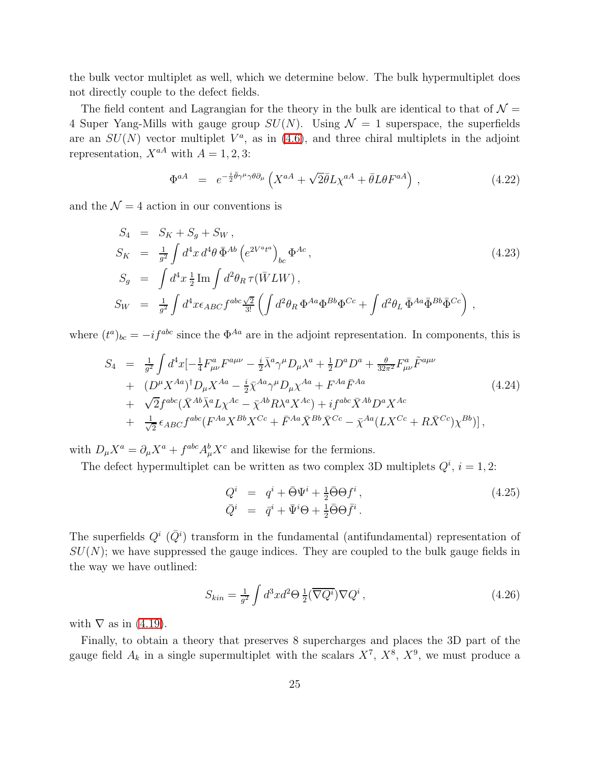the bulk vector multiplet as well, which we determine below. The bulk hypermultiplet does not directly couple to the defect fields.

The field content and Lagrangian for the theory in the bulk are identical to that of  $\mathcal{N} =$ 4 Super Yang-Mills with gauge group  $SU(N)$ . Using  $\mathcal{N}=1$  superspace, the superfields are an  $SU(N)$  vector multiplet  $V^a$ , as in [\(4.6\)](#page-21-1), and three chiral multiplets in the adjoint representation,  $X^{aA}$  with  $A = 1, 2, 3$ :

$$
\Phi^{aA} = e^{-\frac{i}{2}\bar{\theta}\gamma^{\mu}\gamma\theta\partial_{\mu}} \left( X^{aA} + \sqrt{2}\bar{\theta}L\chi^{aA} + \bar{\theta}L\theta F^{aA} \right), \qquad (4.22)
$$

<span id="page-25-1"></span>and the  $\mathcal{N} = 4$  action in our conventions is

$$
S_4 = S_K + S_g + S_W, \nS_K = \frac{1}{g^2} \int d^4x \, d^4\theta \, \bar{\Phi}^{Ab} \left( e^{2V^a t^a} \right)_{bc} \Phi^{Ac}, \nS_g = \int d^4x \, \frac{1}{2} \operatorname{Im} \int d^2\theta_R \, \tau(\bar{W} L W), \nS_W = \frac{1}{g^2} \int d^4x \epsilon_{ABC} f^{abc} \frac{\sqrt{2}}{3!} \left( \int d^2\theta_R \, \Phi^{Aa} \Phi^{Bb} \Phi^{Cc} + \int d^2\theta_L \, \bar{\Phi}^{Aa} \bar{\Phi}^{Bb} \bar{\Phi}^{Cc} \right),
$$
\n(4.23)

where  $(t^a)_{bc} = -i f^{abc}$  since the  $\Phi^{Aa}$  are in the adjoint representation. In components, this is

$$
S_{4} = \frac{1}{g^{2}} \int d^{4}x \left[ -\frac{1}{4} F^{a}_{\mu\nu} F^{a\mu\nu} - \frac{i}{2} \bar{\lambda}^{a} \gamma^{\mu} D_{\mu} \lambda^{a} + \frac{1}{2} D^{a} D^{a} + \frac{\theta}{32\pi^{2}} F^{a}_{\mu\nu} \tilde{F}^{a\mu\nu} \right. + (D^{\mu} X^{Aa})^{\dagger} D_{\mu} X^{Aa} - \frac{i}{2} \bar{\chi}^{Aa} \gamma^{\mu} D_{\mu} \chi^{Aa} + F^{Aa} \bar{F}^{Aa} + \sqrt{2} f^{abc} (\bar{X}^{Ab} \bar{\lambda}^{a} L \chi^{Ac} - \bar{\chi}^{Ab} R \lambda^{a} X^{Ac}) + i f^{abc} \bar{X}^{Ab} D^{a} X^{Ac} + \frac{1}{\sqrt{2}} \epsilon_{ABC} f^{abc} (F^{Aa} X^{Bb} X^{Cc} + \bar{F}^{Aa} \bar{X}^{Bb} \bar{X}^{Cc} - \bar{\chi}^{Aa} (L X^{Cc} + R \bar{X}^{Cc}) \chi^{Bb})],
$$
(4.24)

with  $D_{\mu}X^{a} = \partial_{\mu}X^{a} + f^{abc}A_{\mu}^{b}X^{c}$  and likewise for the fermions.

The defect hypermultiplet can be written as two complex 3D multiplets  $Q^i$ ,  $i = 1, 2$ :

$$
Q^i = q^i + \bar{\Theta}\Psi^i + \frac{1}{2}\bar{\Theta}\Theta f^i, \n\bar{Q}^i = \bar{q}^i + \bar{\Psi}^i\Theta + \frac{1}{2}\bar{\Theta}\Theta \bar{f}^i.
$$
\n(4.25)

The superfields  $Q^i$  ( $\overline{Q}^i$ ) transform in the fundamental (antifundamental) representation of  $SU(N)$ ; we have suppressed the gauge indices. They are coupled to the bulk gauge fields in the way we have outlined:

<span id="page-25-0"></span>
$$
S_{kin} = \frac{1}{g^2} \int d^3x d^2\Theta \frac{1}{2} (\overline{\nabla Q^i}) \nabla Q^i , \qquad (4.26)
$$

with  $\nabla$  as in [\(4.19\)](#page-23-3).

Finally, to obtain a theory that preserves 8 supercharges and places the 3D part of the gauge field  $A_k$  in a single supermultiplet with the scalars  $X^7$ ,  $X^8$ ,  $X^9$ , we must produce a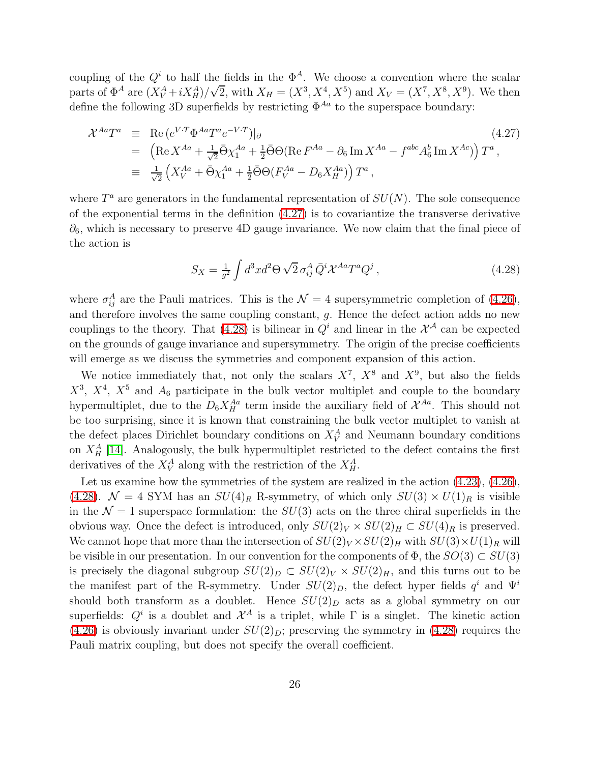coupling of the  $Q^i$  to half the fields in the  $\Phi^A$ . We choose a convention where the scalar parts of  $\Phi^A$  are  $(X_V^A + iX_H^A)/\sqrt{2}$ , with  $X_H = (X^3, X^4, X^5)$  and  $X_V = (X^7, X^8, X^9)$ . We then define the following 3D superfields by restricting  $\Phi^{Aa}$  to the superspace boundary:

<span id="page-26-0"></span>
$$
\mathcal{X}^{Aa}T^{a} \equiv \text{Re}(e^{V\cdot T}\Phi^{Aa}T^{a}e^{-V\cdot T})|_{\partial}
$$
\n
$$
= (\text{Re}X^{Aa} + \frac{1}{\sqrt{2}}\bar{\Theta}\chi_{1}^{Aa} + \frac{1}{2}\bar{\Theta}\Theta(\text{Re}F^{Aa} - \partial_{6}\text{Im}X^{Aa} - f^{abc}A_{6}^{b}\text{Im}X^{Ac}))T^{a},
$$
\n
$$
\equiv \frac{1}{\sqrt{2}}\left(X_{V}^{Aa} + \bar{\Theta}\chi_{1}^{Aa} + \frac{1}{2}\bar{\Theta}\Theta(F_{V}^{Aa} - D_{6}X_{H}^{Aa})\right)T^{a},
$$
\n(4.27)

where  $T^a$  are generators in the fundamental representation of  $SU(N)$ . The sole consequence of the exponential terms in the definition [\(4.27\)](#page-26-0) is to covariantize the transverse derivative  $\partial_6$ , which is necessary to preserve 4D gauge invariance. We now claim that the final piece of the action is

$$
S_X = \frac{1}{g^2} \int d^3x d^2\Theta \sqrt{2} \,\sigma_{ij}^A \,\bar{Q}^i \mathcal{X}^{Aa} T^a Q^j \,, \tag{4.28}
$$

<span id="page-26-1"></span>where  $\sigma_{ij}^A$  are the Pauli matrices. This is the  $\mathcal{N}=4$  supersymmetric completion of [\(4.26\)](#page-25-0), and therefore involves the same coupling constant, g. Hence the defect action adds no new couplings to the theory. That [\(4.28\)](#page-26-1) is bilinear in  $Q^i$  and linear in the  $\mathcal{X}^{\mathcal{A}}$  can be expected on the grounds of gauge invariance and supersymmetry. The origin of the precise coefficients will emerge as we discuss the symmetries and component expansion of this action.

We notice immediately that, not only the scalars  $X^7$ ,  $X^8$  and  $X^9$ , but also the fields  $X^3$ ,  $X^4$ ,  $X^5$  and  $A_6$  participate in the bulk vector multiplet and couple to the boundary hypermultiplet, due to the  $D_6 X_H^{Aa}$  term inside the auxiliary field of  $\mathcal{X}^{Aa}$ . This should not be too surprising, since it is known that constraining the bulk vector multiplet to vanish at the defect places Dirichlet boundary conditions on  $X_V^A$  and Neumann boundary conditions on  $X_H^A$  [\[14\]](#page-46-8). Analogously, the bulk hypermultiplet restricted to the defect contains the first derivatives of the  $X^A_V$  along with the restriction of the  $X^A_H$ .

Let us examine how the symmetries of the system are realized in the action  $(4.23)$ ,  $(4.26)$ , [\(4.28\)](#page-26-1).  $\mathcal{N} = 4$  SYM has an  $SU(4)_R$  R-symmetry, of which only  $SU(3) \times U(1)_R$  is visible in the  $\mathcal{N} = 1$  superspace formulation: the  $SU(3)$  acts on the three chiral superfields in the obvious way. Once the defect is introduced, only  $SU(2)_V \times SU(2)_H \subset SU(4)_R$  is preserved. We cannot hope that more than the intersection of  $SU(2)_V \times SU(2)_H$  with  $SU(3) \times U(1)_R$  will be visible in our presentation. In our convention for the components of  $\Phi$ , the  $SO(3) \subset SU(3)$ is precisely the diagonal subgroup  $SU(2)_D \subset SU(2)_V \times SU(2)_H$ , and this turns out to be the manifest part of the R-symmetry. Under  $SU(2)_D$ , the defect hyper fields  $q^i$  and  $\Psi^i$ should both transform as a doublet. Hence  $SU(2)_D$  acts as a global symmetry on our superfields:  $Q^i$  is a doublet and  $\mathcal{X}^A$  is a triplet, while  $\Gamma$  is a singlet. The kinetic action  $(4.26)$  is obviously invariant under  $SU(2)_D$ ; preserving the symmetry in  $(4.28)$  requires the Pauli matrix coupling, but does not specify the overall coefficient.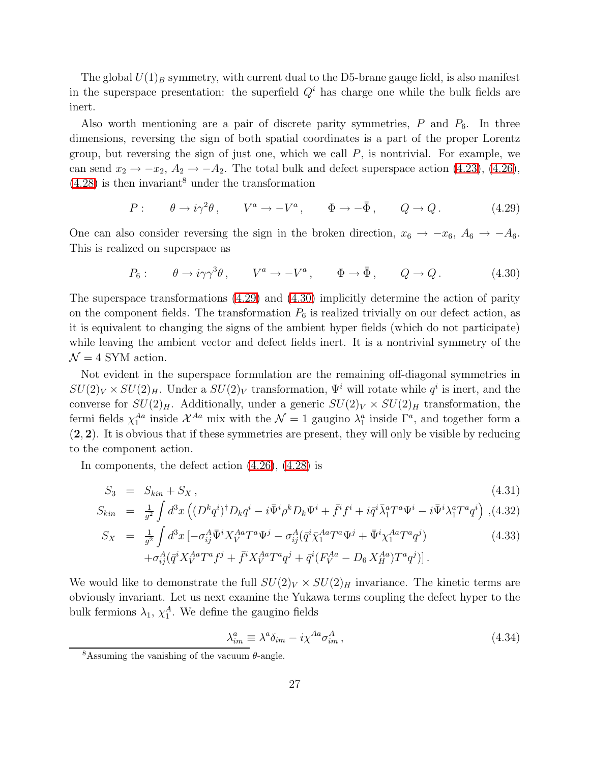The global  $U(1)_B$  symmetry, with current dual to the D5-brane gauge field, is also manifest in the superspace presentation: the superfield  $Q<sup>i</sup>$  has charge one while the bulk fields are inert.

Also worth mentioning are a pair of discrete parity symmetries,  $P$  and  $P_6$ . In three dimensions, reversing the sign of both spatial coordinates is a part of the proper Lorentz group, but reversing the sign of just one, which we call  $P$ , is nontrivial. For example, we can send  $x_2 \rightarrow -x_2$ ,  $A_2 \rightarrow -A_2$ . The total bulk and defect superspace action [\(4.23\)](#page-25-1), [\(4.26\)](#page-25-0),  $(4.28)$  is then invariant<sup>8</sup> under the transformation

$$
P: \qquad \theta \to i\gamma^2 \theta \,, \qquad V^a \to -V^a \,, \qquad \Phi \to -\bar{\Phi} \,, \qquad Q \to Q \,. \tag{4.29}
$$

<span id="page-27-0"></span>One can also consider reversing the sign in the broken direction,  $x_6 \rightarrow -x_6$ ,  $A_6 \rightarrow -A_6$ . This is realized on superspace as

$$
P_6: \qquad \theta \to i\gamma\gamma^3\theta \,, \qquad V^a \to -V^a \,, \qquad \Phi \to \bar{\Phi} \,, \qquad Q \to Q \,. \tag{4.30}
$$

<span id="page-27-1"></span>The superspace transformations [\(4.29\)](#page-27-0) and [\(4.30\)](#page-27-1) implicitly determine the action of parity on the component fields. The transformation  $P_6$  is realized trivially on our defect action, as it is equivalent to changing the signs of the ambient hyper fields (which do not participate) while leaving the ambient vector and defect fields inert. It is a nontrivial symmetry of the  $\mathcal{N} = 4$  SYM action.

Not evident in the superspace formulation are the remaining off-diagonal symmetries in  $SU(2)_V \times SU(2)_H$ . Under a  $SU(2)_V$  transformation,  $\Psi^i$  will rotate while  $q^i$  is inert, and the converse for  $SU(2)_H$ . Additionally, under a generic  $SU(2)_V \times SU(2)_H$  transformation, the fermi fields  $\chi_1^{Aa}$  inside  $\mathcal{X}^{Aa}$  mix with the  $\mathcal{N}=1$  gaugino  $\lambda_1^a$  inside  $\Gamma^a$ , and together form a (2, 2). It is obvious that if these symmetries are present, they will only be visible by reducing to the component action.

<span id="page-27-2"></span>In components, the defect action [\(4.26\)](#page-25-0), [\(4.28\)](#page-26-1) is

$$
S_3 = S_{kin} + S_X, \tag{4.31}
$$

$$
S_{kin} = \frac{1}{g^2} \int d^3x \left( (D^k q^i)^{\dagger} D_k q^i - i \bar{\Psi}^i \rho^k D_k \Psi^i + \bar{f}^i f^i + i \bar{q}^i \bar{\lambda}_1^a T^a \Psi^i - i \bar{\Psi}^i \lambda_1^a T^a q^i \right) ,
$$
(4.32)

$$
S_X = \frac{1}{g^2} \int d^3x \left[ -\sigma_{ij}^A \bar{\Psi}^i X_V^{Aa} T^a \Psi^j - \sigma_{ij}^A (\bar{q}^i \bar{\chi}_1^{Aa} T^a \Psi^j + \bar{\Psi}^i \chi_1^{Aa} T^a q^j) + \sigma_{ij}^A (\bar{q}^i X_V^{Aa} T^a f^j + \bar{f}^i X_V^{Aa} T^a q^j + \bar{q}^i (F_V^{Aa} - D_6 X_H^{Aa}) T^a q^j) \right].
$$
\n(4.33)

We would like to demonstrate the full  $SU(2)_V \times SU(2)_H$  invariance. The kinetic terms are obviously invariant. Let us next examine the Yukawa terms coupling the defect hyper to the bulk fermions  $\lambda_1$ ,  $\chi_1^A$ . We define the gaugino fields

$$
\lambda_{im}^a \equiv \lambda^a \delta_{im} - i \chi^{Aa} \sigma_{im}^A \,, \tag{4.34}
$$

<sup>&</sup>lt;sup>8</sup>Assuming the vanishing of the vacuum  $\theta$ -angle.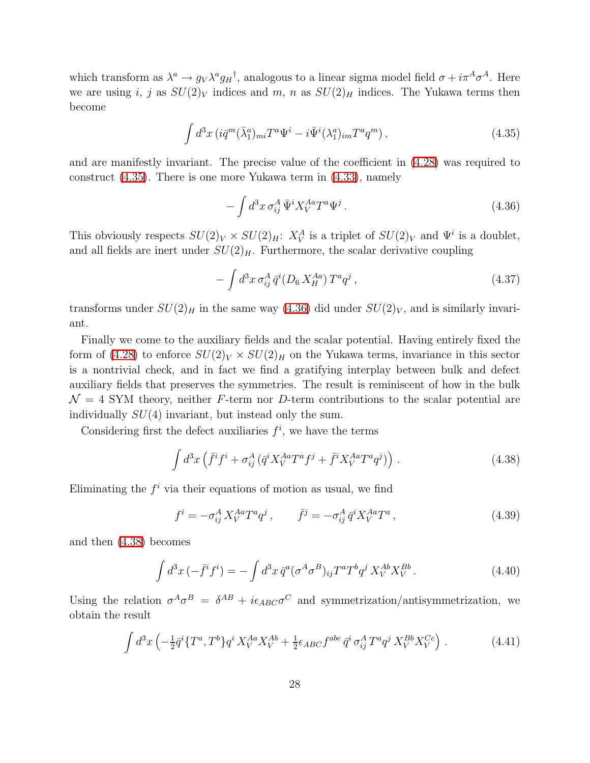which transform as  $\lambda^a \to g_V \lambda^a g_H^{\dagger}$ , analogous to a linear sigma model field  $\sigma + i \pi^A \sigma^A$ . Here we are using i, j as  $SU(2)_V$  indices and m, n as  $SU(2)_H$  indices. The Yukawa terms then become

$$
\int d^3x \left( i\bar{q}^m (\bar{\lambda}_1^a)_{mi} T^a \Psi^i - i\bar{\Psi}^i (\lambda_1^a)_{im} T^a q^m \right), \tag{4.35}
$$

<span id="page-28-0"></span>and are manifestly invariant. The precise value of the coefficient in [\(4.28\)](#page-26-1) was required to construct [\(4.35\)](#page-28-0). There is one more Yukawa term in [\(4.33\)](#page-27-2), namely

<span id="page-28-1"></span>
$$
-\int d^3x \,\sigma_{ij}^A \,\bar{\Psi}^i X_V^{Aa} T^a \Psi^j . \tag{4.36}
$$

This obviously respects  $SU(2)_V \times SU(2)_H$ :  $X_V^A$  is a triplet of  $SU(2)_V$  and  $\Psi^i$  is a doublet, and all fields are inert under  $SU(2)_H$ . Furthermore, the scalar derivative coupling

$$
- \int d^3x \,\sigma_{ij}^A \,\bar{q}^i (D_6 \, X_H^{Aa}) \, T^a q^j \,, \tag{4.37}
$$

transforms under  $SU(2)_H$  in the same way [\(4.36\)](#page-28-1) did under  $SU(2)_V$ , and is similarly invariant.

Finally we come to the auxiliary fields and the scalar potential. Having entirely fixed the form of [\(4.28\)](#page-26-1) to enforce  $SU(2)_V \times SU(2)_H$  on the Yukawa terms, invariance in this sector is a nontrivial check, and in fact we find a gratifying interplay between bulk and defect auxiliary fields that preserves the symmetries. The result is reminiscent of how in the bulk  $\mathcal{N} = 4$  SYM theory, neither F-term nor D-term contributions to the scalar potential are individually  $SU(4)$  invariant, but instead only the sum.

<span id="page-28-2"></span>Considering first the defect auxiliaries  $f^i$ , we have the terms

$$
\int d^3x \left( \bar{f}^i f^i + \sigma_{ij}^A \left( \bar{q}^i X_V^{Aa} T^a f^j + \bar{f}^i X_V^{Aa} T^a q^j \right) \right) \,. \tag{4.38}
$$

<span id="page-28-4"></span>Eliminating the  $f^i$  via their equations of motion as usual, we find

$$
f^{i} = -\sigma_{ij}^{A} X_{V}^{Aa} T^{a} q^{j} , \qquad \bar{f}^{j} = -\sigma_{ij}^{A} \bar{q}^{i} X_{V}^{Aa} T^{a} , \qquad (4.39)
$$

and then [\(4.38\)](#page-28-2) becomes

$$
\int d^3x \, (-\bar{f}^i f^i) = -\int d^3x \, \bar{q}^a (\sigma^A \sigma^B)_{ij} T^a T^b q^j X_V^{Ab} X_V^{Bb} \,. \tag{4.40}
$$

<span id="page-28-3"></span>Using the relation  $\sigma^A \sigma^B = \delta^{AB} + i \epsilon_{ABC} \sigma^C$  and symmetrization/antisymmetrization, we obtain the result

$$
\int d^3x \left( -\frac{1}{2}\bar{q}^i \{T^a, T^b\} q^i X_V^{Aa} X_V^{Ab} + \frac{1}{2} \epsilon_{ABC} f^{abc} \, \bar{q}^i \, \sigma_{ij}^A T^a q^j X_V^{Bb} X_V^{Cc} \right) \,. \tag{4.41}
$$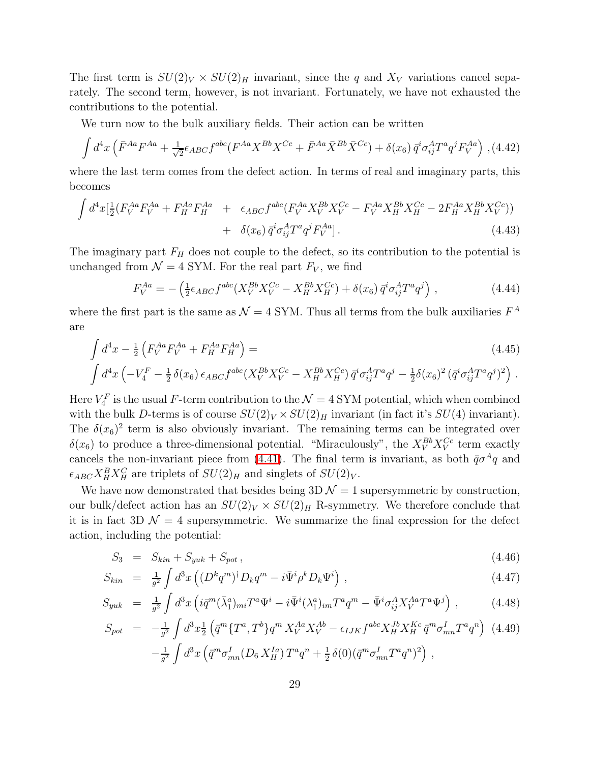The first term is  $SU(2)_V \times SU(2)_H$  invariant, since the q and  $X_V$  variations cancel separately. The second term, however, is not invariant. Fortunately, we have not exhausted the contributions to the potential.

We turn now to the bulk auxiliary fields. Their action can be written

$$
\int d^4x \left( \bar{F}^{Aa} F^{Aa} + \frac{1}{\sqrt{2}} \epsilon_{ABC} f^{abc} (F^{Aa} X^{Bb} X^{Cc} + \bar{F}^{Aa} \bar{X}^{Bb} \bar{X}^{Cc}) + \delta(x_6) \bar{q}^i \sigma_{ij}^A T^a q^j F_V^{Aa} \right) , (4.42)
$$

where the last term comes from the defect action. In terms of real and imaginary parts, this becomes

$$
\int d^4x \left[ \frac{1}{2} (F_V^{Aa} F_V^{Aa} + F_H^{Aa} F_H^{Aa} + \epsilon_{ABC} f^{abc} (F_V^{Aa} X_V^{Bb} X_V^{Cc} - F_V^{Aa} X_H^{Bb} X_H^{Cc} - 2F_H^{Aa} X_H^{Bb} X_V^{Cc}) \right] + \delta(x_6) \bar{q}^i \sigma_{ij}^A T^a q^j F_V^{Aa}]. \tag{4.43}
$$

The imaginary part  $F_H$  does not couple to the defect, so its contribution to the potential is unchanged from  $\mathcal{N} = 4$  SYM. For the real part  $F_V$ , we find

$$
F_V^{Aa} = -\left(\frac{1}{2}\epsilon_{ABC}f^{abc}(X_V^{Bb}X_V^{Cc} - X_H^{Bb}X_H^{Cc}) + \delta(x_6)\,\bar{q}^i\sigma_{ij}^A T^a q^j\right) \,,\tag{4.44}
$$

where the first part is the same as  $\mathcal{N} = 4$  SYM. Thus all terms from the bulk auxiliaries  $F^A$ are

$$
\int d^4x - \frac{1}{2} \left( F_V^{Aa} F_V^{Aa} + F_H^{Aa} F_H^{Aa} \right) =
$$
\n
$$
\int d^4x \left( -V_4^F - \frac{1}{2} \delta(x_6) \epsilon_{ABC} f^{abc} (X_V^{Bb} X_V^{Cc} - X_H^{Bb} X_H^{Cc}) \bar{q}^i \sigma_{ij}^A T^a q^j - \frac{1}{2} \delta(x_6)^2 (\bar{q}^i \sigma_{ij}^A T^a q^j)^2 \right).
$$
\n(4.45)

Here  $V_4^F$  is the usual F-term contribution to the  $\mathcal{N}=4$  SYM potential, which when combined with the bulk D-terms is of course  $SU(2)_V \times SU(2)_H$  invariant (in fact it's  $SU(4)$  invariant). The  $\delta(x_6)^2$  term is also obviously invariant. The remaining terms can be integrated over  $\delta(x_6)$  to produce a three-dimensional potential. "Miraculously", the  $X_V^{Bb} X_V^{Cc}$  term exactly cancels the non-invariant piece from [\(4.41\)](#page-28-3). The final term is invariant, as both  $\bar{q}\sigma^A q$  and  $\epsilon_{ABC} X_H^B X_H^C$  are triplets of  $SU(2)_H$  and singlets of  $SU(2)_V$ .

We have now demonstrated that besides being  $3D\mathcal{N}=1$  supersymmetric by construction, our bulk/defect action has an  $SU(2)_V \times SU(2)_H$  R-symmetry. We therefore conclude that it is in fact 3D  $\mathcal{N} = 4$  supersymmetric. We summarize the final expression for the defect action, including the potential:

$$
S_3 = S_{kin} + S_{yuk} + S_{pot} \,, \tag{4.46}
$$

<span id="page-29-0"></span>
$$
S_{kin} = \frac{1}{g^2} \int d^3x \left( (D^k q^m)^{\dagger} D_k q^m - i \bar{\Psi}^i \rho^k D_k \Psi^i \right), \qquad (4.47)
$$

$$
S_{yuk} = \frac{1}{g^2} \int d^3x \left( i \bar{q}^m (\bar{\lambda}_1^a)_{mi} T^a \Psi^i - i \bar{\Psi}^i (\lambda_1^a)_{im} T^a q^m - \bar{\Psi}^i \sigma_{ij}^A X_V^{Aa} T^a \Psi^j \right) , \qquad (4.48)
$$

$$
S_{pot} = -\frac{1}{g^2} \int d^3x \frac{1}{2} \left( \bar{q}^m \{T^a, T^b\} q^m X_V^{Aa} X_V^{Ab} - \epsilon_{IJK} f^{abc} X_H^{Jb} X_H^{Kc} \bar{q}^m \sigma_{mn}^I T^a q^n \right) (4.49)
$$

$$
- \frac{1}{g^2} \int d^3x \left( \bar{q}^m \sigma_{mn}^I (D_6 X_H^{Ia}) T^a q^n + \frac{1}{2} \delta(0) (\bar{q}^m \sigma_{mn}^I T^a q^n)^2 \right),
$$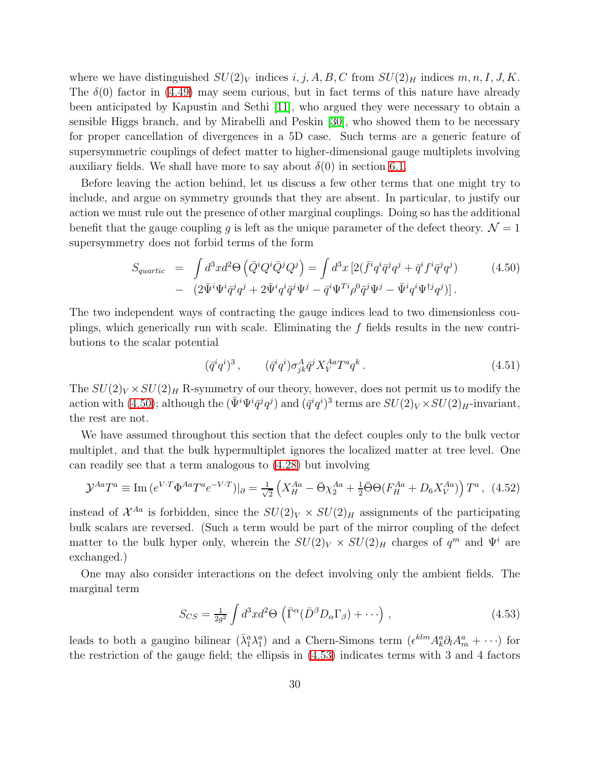where we have distinguished  $SU(2)_V$  indices i, j, A, B, C from  $SU(2)_H$  indices m, n, I, J, K. The  $\delta(0)$  factor in [\(4.49\)](#page-29-0) may seem curious, but in fact terms of this nature have already been anticipated by Kapustin and Sethi [\[11\]](#page-46-5), who argued they were necessary to obtain a sensible Higgs branch, and by Mirabelli and Peskin [\[30\]](#page-47-10), who showed them to be necessary for proper cancellation of divergences in a 5D case. Such terms are a generic feature of supersymmetric couplings of defect matter to higher-dimensional gauge multiplets involving auxiliary fields. We shall have more to say about  $\delta(0)$  in section [6.1.](#page-36-1)

Before leaving the action behind, let us discuss a few other terms that one might try to include, and argue on symmetry grounds that they are absent. In particular, to justify our action we must rule out the presence of other marginal couplings. Doing so has the additional benefit that the gauge coupling q is left as the unique parameter of the defect theory.  $\mathcal{N} = 1$ supersymmetry does not forbid terms of the form

$$
S_{quartic} = \int d^3x d^2\Theta \left( \bar{Q}^i Q^i \bar{Q}^j Q^j \right) = \int d^3x \left[ 2(\bar{f}^i q^i \bar{q}^j q^j + \bar{q}^i f^i \bar{q}^j q^j) \right] \tag{4.50}
$$

$$
- \left( 2\bar{\Psi}^i \Psi^i \bar{q}^j q^j + 2\bar{\Psi}^i q^i \bar{q}^j \Psi^j - \bar{q}^i \Psi^{Ti} \rho^0 \bar{q}^j \Psi^j - \bar{\Psi}^i q^i \Psi^{\dagger j} q^j \right) \right].
$$

<span id="page-30-0"></span>The two independent ways of contracting the gauge indices lead to two dimensionless couplings, which generically run with scale. Eliminating the f fields results in the new contributions to the scalar potential

$$
(\bar{q}^i q^i)^3, \qquad (\bar{q}^i q^i) \sigma^A_{jk} \bar{q}^j X_V^{Aa} T^a q^k. \qquad (4.51)
$$

The  $SU(2)_V \times SU(2)_H$  R-symmetry of our theory, however, does not permit us to modify the action with [\(4.50\)](#page-30-0); although the  $(\bar{\Psi}^i\Psi^i \bar{q}^j q^j)$  and  $(\bar{q}^i q^i)^3$  terms are  $SU(2)_V \times SU(2)_H$ -invariant, the rest are not.

We have assumed throughout this section that the defect couples only to the bulk vector multiplet, and that the bulk hypermultiplet ignores the localized matter at tree level. One can readily see that a term analogous to [\(4.28\)](#page-26-1) but involving

$$
\mathcal{Y}^{Aa}T^a \equiv \text{Im}\,(e^{V\cdot T}\Phi^{Aa}T^ae^{-V\cdot T})|_{\partial} = \frac{1}{\sqrt{2}}\left(X_H^{Aa} - \bar{\Theta}\chi_2^{Aa} + \frac{1}{2}\bar{\Theta}\Theta(F_H^{Aa} + D_6X_V^{Aa})\right)T^a\,,\tag{4.52}
$$

instead of  $\mathcal{X}^{Aa}$  is forbidden, since the  $SU(2)_V \times SU(2)_H$  assignments of the participating bulk scalars are reversed. (Such a term would be part of the mirror coupling of the defect matter to the bulk hyper only, wherein the  $SU(2)_V \times SU(2)_H$  charges of  $q^m$  and  $\Psi^i$  are exchanged.)

One may also consider interactions on the defect involving only the ambient fields. The marginal term

$$
S_{CS} = \frac{1}{2g^2} \int d^3x d^2\Theta \left( \bar{\Gamma}^{\alpha} (\bar{D}^{\beta} D_{\alpha} \Gamma_{\beta}) + \cdots \right), \qquad (4.53)
$$

<span id="page-30-1"></span>leads to both a gaugino bilinear  $(\bar{\lambda}_1^a \lambda_1^a)$  and a Chern-Simons term  $(\epsilon^{klm} A_k^a \partial_l A_m^a + \cdots)$  for the restriction of the gauge field; the ellipsis in [\(4.53\)](#page-30-1) indicates terms with 3 and 4 factors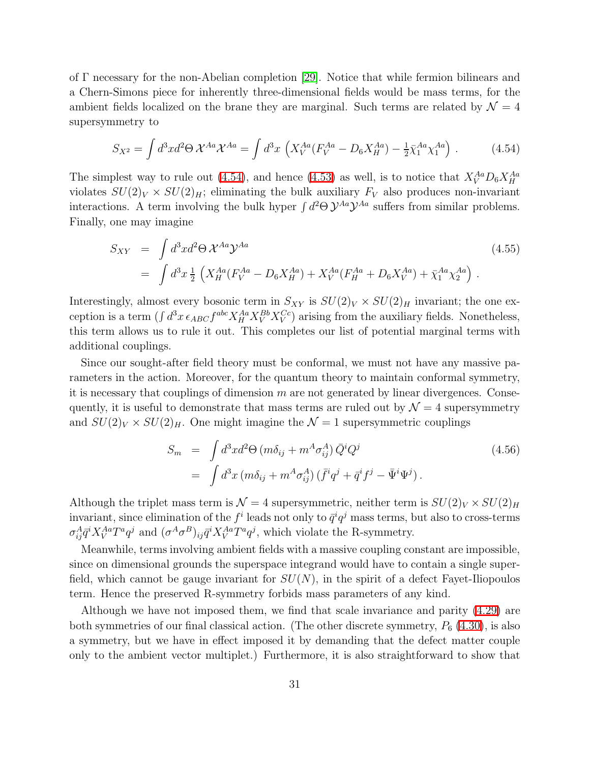of Γ necessary for the non-Abelian completion [\[29\]](#page-47-9). Notice that while fermion bilinears and a Chern-Simons piece for inherently three-dimensional fields would be mass terms, for the ambient fields localized on the brane they are marginal. Such terms are related by  $\mathcal{N} = 4$ supersymmetry to

$$
S_{X^2} = \int d^3x d^2\Theta \, \mathcal{X}^{Aa} \mathcal{X}^{Aa} = \int d^3x \, \left( X_V^{Aa} (F_V^{Aa} - D_6 X_H^{Aa}) - \frac{1}{2} \bar{\chi}_1^{Aa} \chi_1^{Aa} \right) \,. \tag{4.54}
$$

<span id="page-31-0"></span>The simplest way to rule out [\(4.54\)](#page-31-0), and hence [\(4.53\)](#page-30-1) as well, is to notice that  $X_V^{Aa}D_6X_H^{Aa}$ violates  $SU(2)_V \times SU(2)_H$ ; eliminating the bulk auxiliary  $F_V$  also produces non-invariant interactions. A term involving the bulk hyper  $\int d^2\Theta \mathcal{Y}^{Aa} \mathcal{Y}^{Aa}$  suffers from similar problems. Finally, one may imagine

$$
S_{XY} = \int d^3x d^2\Theta \, \mathcal{X}^{Aa} \mathcal{Y}^{Aa}
$$
\n
$$
= \int d^3x \, \frac{1}{2} \left( X_H^{Aa} (F_V^{Aa} - D_6 X_H^{Aa}) + X_V^{Aa} (F_H^{Aa} + D_6 X_V^{Aa}) + \bar{\chi}_1^{Aa} \chi_2^{Aa} \right). \tag{4.55}
$$

<span id="page-31-1"></span>Interestingly, almost every bosonic term in  $S_{XY}$  is  $SU(2)_V \times SU(2)_H$  invariant; the one exception is a term  $(\int d^3x \epsilon_{ABC} f^{abc} X_H^{Aa} X_V^{Bb} X_V^{Cc})$  arising from the auxiliary fields. Nonetheless, this term allows us to rule it out. This completes our list of potential marginal terms with additional couplings.

Since our sought-after field theory must be conformal, we must not have any massive parameters in the action. Moreover, for the quantum theory to maintain conformal symmetry, it is necessary that couplings of dimension  $m$  are not generated by linear divergences. Consequently, it is useful to demonstrate that mass terms are ruled out by  $\mathcal{N}=4$  supersymmetry and  $SU(2)_V \times SU(2)_H$ . One might imagine the  $\mathcal{N}=1$  supersymmetric couplings

$$
S_m = \int d^3x d^2\Theta \left( m \delta_{ij} + m^A \sigma_{ij}^A \right) \bar{Q}^i Q^j
$$
  
= 
$$
\int d^3x \left( m \delta_{ij} + m^A \sigma_{ij}^A \right) \left( \bar{f}^i q^j + \bar{q}^i f^j - \bar{\Psi}^i \Psi^j \right).
$$
 (4.56)

Although the triplet mass term is  $\mathcal{N} = 4$  supersymmetric, neither term is  $SU(2)_V \times SU(2)_H$ invariant, since elimination of the  $f^i$  leads not only to  $\bar{q}^i q^j$  mass terms, but also to cross-terms  $\sigma_{ij}^A \bar{q}^i X_V^{Aa} T^a q^j$  and  $(\sigma^A \sigma^B)_{ij} \bar{q}^i X_V^{Aa} T^a q^j$ , which violate the R-symmetry.

Meanwhile, terms involving ambient fields with a massive coupling constant are impossible, since on dimensional grounds the superspace integrand would have to contain a single superfield, which cannot be gauge invariant for  $SU(N)$ , in the spirit of a defect Fayet-Iliopoulos term. Hence the preserved R-symmetry forbids mass parameters of any kind.

Although we have not imposed them, we find that scale invariance and parity [\(4.29\)](#page-27-0) are both symmetries of our final classical action. (The other discrete symmetry,  $P_6$  [\(4.30\)](#page-27-1), is also a symmetry, but we have in effect imposed it by demanding that the defect matter couple only to the ambient vector multiplet.) Furthermore, it is also straightforward to show that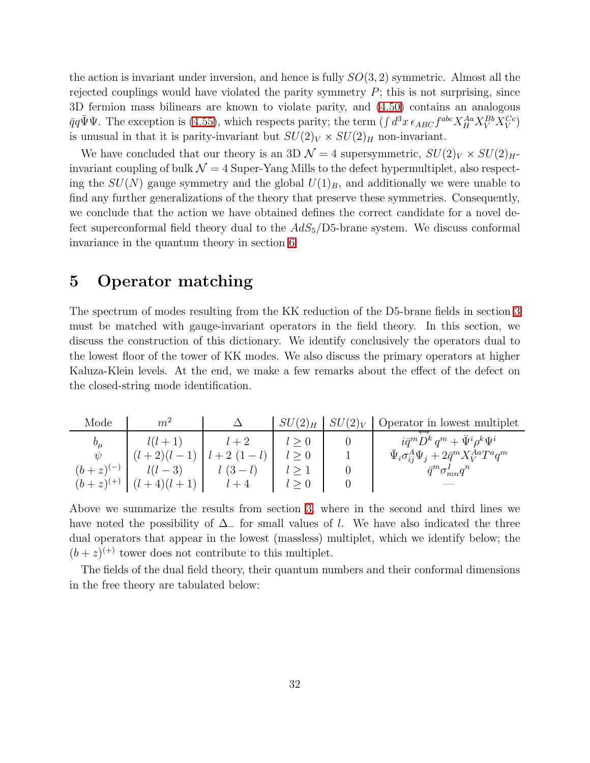the action is invariant under inversion, and hence is fully  $SO(3, 2)$  symmetric. Almost all the rejected couplings would have violated the parity symmetry  $P$ ; this is not surprising, since 3D fermion mass bilinears are known to violate parity, and [\(4.50\)](#page-30-0) contains an analogous  $\bar{q}q\bar{\Psi}\Psi$ . The exception is [\(4.55\)](#page-31-1), which respects parity; the term  $(\int d^3x \epsilon_{ABC} f^{abc} X_H^{Aa} X_V^{Bb} X_V^{Cc})$ is unusual in that it is parity-invariant but  $SU(2)_V \times SU(2)_H$  non-invariant.

We have concluded that our theory is an 3D  $\mathcal{N}=4$  supersymmetric,  $SU(2)_V \times SU(2)_H$ invariant coupling of bulk  $\mathcal{N} = 4$  Super-Yang Mills to the defect hypermultiplet, also respecting the  $SU(N)$  gauge symmetry and the global  $U(1)_B$ , and additionally we were unable to find any further generalizations of the theory that preserve these symmetries. Consequently, we conclude that the action we have obtained defines the correct candidate for a novel defect superconformal field theory dual to the  $AdS_5/D5$ -brane system. We discuss conformal invariance in the quantum theory in section [6.](#page-36-0)

# <span id="page-32-0"></span>5 Operator matching

The spectrum of modes resulting from the KK reduction of the D5-brane fields in section [3](#page-6-3) must be matched with gauge-invariant operators in the field theory. In this section, we discuss the construction of this dictionary. We identify conclusively the operators dual to the lowest floor of the tower of KK modes. We also discuss the primary operators at higher Kaluza-Klein levels. At the end, we make a few remarks about the effect of the defect on the closed-string mode identification.

| Mode            | m <sup>2</sup> |            | $SU(2)_H$ | $SU(2)_V$ Operator in lowest multiplet                             |
|-----------------|----------------|------------|-----------|--------------------------------------------------------------------|
| $b_\mu$         | $l(l+1)$       |            |           | $i \bar{q}^m D^k q^m + \bar{\Psi}^i \rho^k \Psi^i$                 |
| W               | $(l+2)(l-1)$   | $l+2(1-l)$ |           | $\bar{\Psi}_i \sigma^A_{ij} \Psi_j + 2 \bar{q}^m X_V^{Aa} T^a q^m$ |
| $(b + z)^{(-)}$ | $l(l-3)$       | $l(3-l)$   |           | $\bar{q}^m \sigma_{mn}^I q^n$                                      |
| $(b+z)^{(+)}$   | $(l+4)(l+1)$   | $l+4$      |           |                                                                    |

Above we summarize the results from section [3,](#page-6-3) where in the second and third lines we have noted the possibility of  $\Delta_-\$  for small values of l. We have also indicated the three dual operators that appear in the lowest (massless) multiplet, which we identify below; the  $(b+z)^{(+)}$  tower does not contribute to this multiplet.

The fields of the dual field theory, their quantum numbers and their conformal dimensions in the free theory are tabulated below: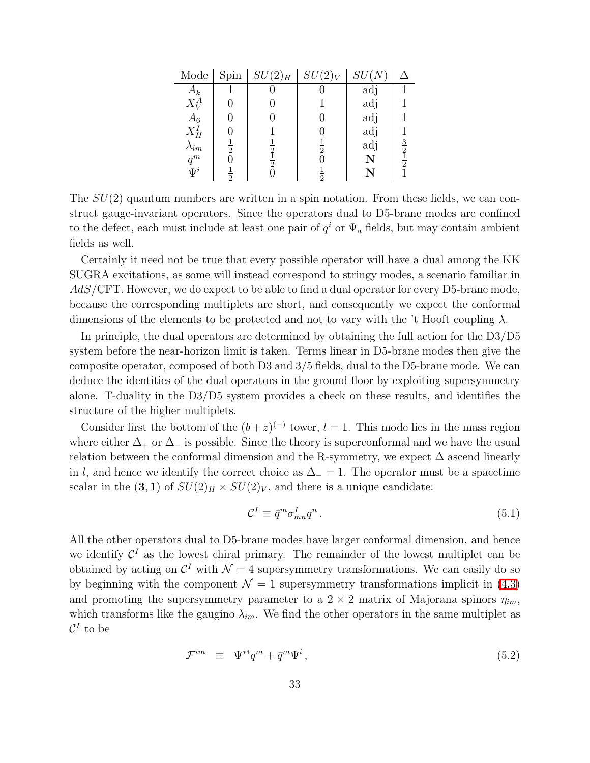| Mode           | Spin          | $SU(2)_H$     | $SU(2)_V$      | SU      |                             |
|----------------|---------------|---------------|----------------|---------|-----------------------------|
| $A_k$          |               |               |                | adj     |                             |
| $X^A_V$        | 0             |               |                | adj     |                             |
| $A_6$          | 0             |               |                | adj     |                             |
| $X_H^I$        |               |               |                | adj     |                             |
| $\lambda_{im}$ | $\frac{1}{2}$ |               | $\overline{2}$ | adj     |                             |
| $q^m$          | 0             | $\frac{2}{2}$ |                | N       | $\frac{3}{2}$ $\frac{1}{2}$ |
| $\Psi^i$       | $\frac{1}{2}$ |               | $\frac{1}{2}$  | $\bf N$ |                             |

The  $SU(2)$  quantum numbers are written in a spin notation. From these fields, we can construct gauge-invariant operators. Since the operators dual to D5-brane modes are confined to the defect, each must include at least one pair of  $q<sup>i</sup>$  or  $\Psi_a$  fields, but may contain ambient fields as well.

Certainly it need not be true that every possible operator will have a dual among the KK SUGRA excitations, as some will instead correspond to stringy modes, a scenario familiar in  $AdS/\text{CFT}$ . However, we do expect to be able to find a dual operator for every D5-brane mode, because the corresponding multiplets are short, and consequently we expect the conformal dimensions of the elements to be protected and not to vary with the 't Hooft coupling  $\lambda$ .

In principle, the dual operators are determined by obtaining the full action for the D3/D5 system before the near-horizon limit is taken. Terms linear in D5-brane modes then give the composite operator, composed of both D3 and 3/5 fields, dual to the D5-brane mode. We can deduce the identities of the dual operators in the ground floor by exploiting supersymmetry alone. T-duality in the D3/D5 system provides a check on these results, and identifies the structure of the higher multiplets.

Consider first the bottom of the  $(b+z)^{(-)}$  tower,  $l=1$ . This mode lies in the mass region where either  $\Delta_+$  or  $\Delta_-$  is possible. Since the theory is superconformal and we have the usual relation between the conformal dimension and the R-symmetry, we expect  $\Delta$  ascend linearly in l, and hence we identify the correct choice as  $\Delta_0 = 1$ . The operator must be a spacetime scalar in the  $(3, 1)$  of  $SU(2)_H \times SU(2)_V$ , and there is a unique candidate:

<span id="page-33-1"></span>
$$
\mathcal{C}^I \equiv \bar{q}^m \sigma^I_{mn} q^n \,. \tag{5.1}
$$

All the other operators dual to D5-brane modes have larger conformal dimension, and hence we identify  $\mathcal{C}^{I}$  as the lowest chiral primary. The remainder of the lowest multiplet can be obtained by acting on  $\mathcal{C}^I$  with  $\mathcal{N}=4$  supersymmetry transformations. We can easily do so by beginning with the component  $\mathcal{N} = 1$  supersymmetry transformations implicit in [\(4.3\)](#page-21-0) and promoting the supersymmetry parameter to a  $2 \times 2$  matrix of Majorana spinors  $\eta_{im}$ , which transforms like the gaugino  $\lambda_{im}$ . We find the other operators in the same multiplet as  $\mathcal{C}^I$  to be

<span id="page-33-0"></span>
$$
\mathcal{F}^{im} \equiv \Psi^{*i} q^m + \bar{q}^m \Psi^i \,, \tag{5.2}
$$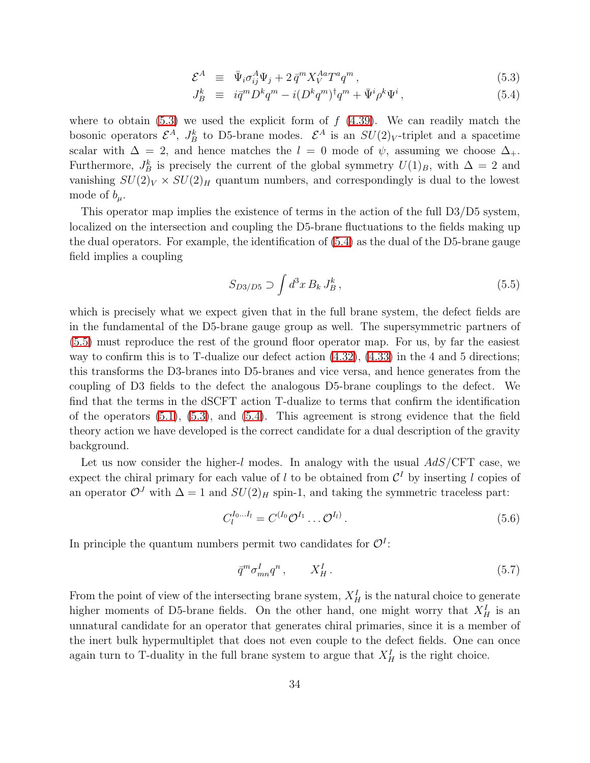$$
\mathcal{E}^A \equiv \bar{\Psi}_i \sigma_{ij}^A \Psi_j + 2 \bar{q}^m X_V^{Aa} T^a q^m , \qquad (5.3)
$$

$$
J_B^k \equiv i \bar{q}^m D^k q^m - i (D^k q^m)^\dagger q^m + \bar{\Psi}^i \rho^k \Psi^i, \qquad (5.4)
$$

where to obtain  $(5.3)$  we used the explicit form of  $f(4.39)$  $f(4.39)$ . We can readily match the bosonic operators  $\mathcal{E}^A$ ,  $J_B^k$  to D5-brane modes.  $\mathcal{E}^A$  is an  $SU(2)_V$ -triplet and a spacetime scalar with  $\Delta = 2$ , and hence matches the  $l = 0$  mode of  $\psi$ , assuming we choose  $\Delta_{+}$ . Furthermore,  $J_B^k$  is precisely the current of the global symmetry  $U(1)_B$ , with  $\Delta = 2$  and vanishing  $SU(2)_V \times SU(2)_H$  quantum numbers, and correspondingly is dual to the lowest mode of  $b_\mu$ .

This operator map implies the existence of terms in the action of the full D3/D5 system, localized on the intersection and coupling the D5-brane fluctuations to the fields making up the dual operators. For example, the identification of [\(5.4\)](#page-33-0) as the dual of the D5-brane gauge field implies a coupling

<span id="page-34-0"></span>
$$
S_{D3/D5} \supset \int d^3x \, B_k \, J_B^k \,, \tag{5.5}
$$

which is precisely what we expect given that in the full brane system, the defect fields are in the fundamental of the D5-brane gauge group as well. The supersymmetric partners of [\(5.5\)](#page-34-0) must reproduce the rest of the ground floor operator map. For us, by far the easiest way to confirm this is to T-dualize our defect action  $(4.32)$ ,  $(4.33)$  in the 4 and 5 directions; this transforms the D3-branes into D5-branes and vice versa, and hence generates from the coupling of D3 fields to the defect the analogous D5-brane couplings to the defect. We find that the terms in the dSCFT action T-dualize to terms that confirm the identification of the operators [\(5.1\)](#page-33-1), [\(5.3\)](#page-33-0), and [\(5.4\)](#page-33-0). This agreement is strong evidence that the field theory action we have developed is the correct candidate for a dual description of the gravity background.

Let us now consider the higher-l modes. In analogy with the usual  $AdS/CFT$  case, we expect the chiral primary for each value of l to be obtained from  $\mathcal{C}^I$  by inserting l copies of an operator  $\mathcal{O}^J$  with  $\Delta = 1$  and  $SU(2)_H$  spin-1, and taking the symmetric traceless part:

<span id="page-34-1"></span>
$$
C_l^{I_0...I_l} = C^{(I_0} \mathcal{O}^{I_1} \dots \mathcal{O}^{I_l)}.
$$
\n(5.6)

In principle the quantum numbers permit two candidates for  $\mathcal{O}^I$ :

$$
\bar{q}^m \sigma^I_{mn} q^n \,, \qquad X^I_H \,. \tag{5.7}
$$

From the point of view of the intersecting brane system,  $X_H^I$  is the natural choice to generate higher moments of D5-brane fields. On the other hand, one might worry that  $X_H^I$  is an unnatural candidate for an operator that generates chiral primaries, since it is a member of the inert bulk hypermultiplet that does not even couple to the defect fields. One can once again turn to T-duality in the full brane system to argue that  $X_H^I$  is the right choice.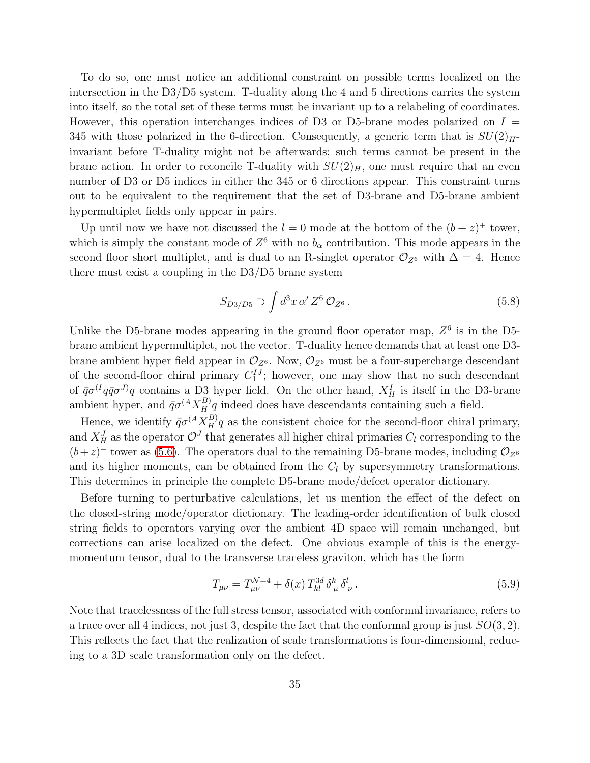To do so, one must notice an additional constraint on possible terms localized on the intersection in the D3/D5 system. T-duality along the 4 and 5 directions carries the system into itself, so the total set of these terms must be invariant up to a relabeling of coordinates. However, this operation interchanges indices of D3 or D5-brane modes polarized on  $I =$ 345 with those polarized in the 6-direction. Consequently, a generic term that is  $SU(2)<sub>H</sub>$ invariant before T-duality might not be afterwards; such terms cannot be present in the brane action. In order to reconcile T-duality with  $SU(2)_H$ , one must require that an even number of D3 or D5 indices in either the 345 or 6 directions appear. This constraint turns out to be equivalent to the requirement that the set of D3-brane and D5-brane ambient hypermultiplet fields only appear in pairs.

Up until now we have not discussed the  $l = 0$  mode at the bottom of the  $(b + z)^{+}$  tower, which is simply the constant mode of  $Z^6$  with no  $b_\alpha$  contribution. This mode appears in the second floor short multiplet, and is dual to an R-singlet operator  $\mathcal{O}_{Z^6}$  with  $\Delta = 4$ . Hence there must exist a coupling in the D3/D5 brane system

$$
S_{D3/D5} \supset \int d^3x \, \alpha' \, Z^6 \, \mathcal{O}_{Z^6} \,. \tag{5.8}
$$

Unlike the D5-brane modes appearing in the ground floor operator map,  $Z^6$  is in the D5brane ambient hypermultiplet, not the vector. T-duality hence demands that at least one D3 brane ambient hyper field appear in  $\mathcal{O}_{Z^6}$ . Now,  $\mathcal{O}_{Z^6}$  must be a four-supercharge descendant of the second-floor chiral primary  $C_1^{IJ}$ ; however, one may show that no such descendant of  $\bar{q}\sigma^{(I}q\bar{q}\sigma^{J)}q$  contains a D<sub>3</sub> hyper field. On the other hand,  $X_H^I$  is itself in the D3-brane ambient hyper, and  $\bar{q}\sigma^{(A}X_H^B)q$  indeed does have descendants containing such a field.

Hence, we identify  $\bar{q}\sigma^{(A}X_{H}^{B)}q$  as the consistent choice for the second-floor chiral primary, and  $X_H^J$  as the operator  $\mathcal{O}^J$  that generates all higher chiral primaries  $C_l$  corresponding to the  $(b+z)^-$  tower as [\(5.6\)](#page-34-1). The operators dual to the remaining D5-brane modes, including  $\mathcal{O}_{Z^6}$ and its higher moments, can be obtained from the  $C_l$  by supersymmetry transformations. This determines in principle the complete D5-brane mode/defect operator dictionary.

Before turning to perturbative calculations, let us mention the effect of the defect on the closed-string mode/operator dictionary. The leading-order identification of bulk closed string fields to operators varying over the ambient 4D space will remain unchanged, but corrections can arise localized on the defect. One obvious example of this is the energymomentum tensor, dual to the transverse traceless graviton, which has the form

$$
T_{\mu\nu} = T_{\mu\nu}^{\mathcal{N}=4} + \delta(x) T_{kl}^{3d} \delta_{\mu}^{k} \delta_{\nu}^{l}.
$$
 (5.9)

Note that tracelessness of the full stress tensor, associated with conformal invariance, refers to a trace over all 4 indices, not just 3, despite the fact that the conformal group is just  $SO(3, 2)$ . This reflects the fact that the realization of scale transformations is four-dimensional, reducing to a 3D scale transformation only on the defect.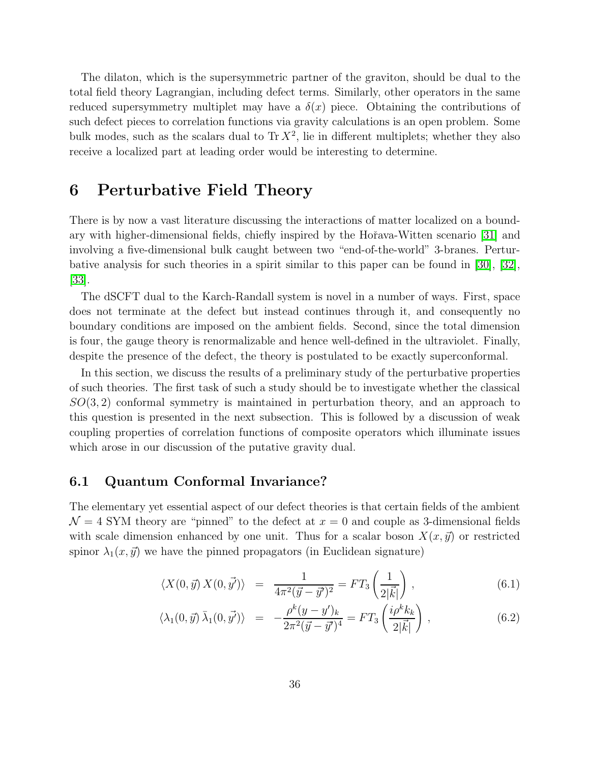The dilaton, which is the supersymmetric partner of the graviton, should be dual to the total field theory Lagrangian, including defect terms. Similarly, other operators in the same reduced supersymmetry multiplet may have a  $\delta(x)$  piece. Obtaining the contributions of such defect pieces to correlation functions via gravity calculations is an open problem. Some bulk modes, such as the scalars dual to  $\text{Tr } X^2$ , lie in different multiplets; whether they also receive a localized part at leading order would be interesting to determine.

# <span id="page-36-0"></span>6 Perturbative Field Theory

There is by now a vast literature discussing the interactions of matter localized on a bound-ary with higher-dimensional fields, chiefly inspired by the Hořava-Witten scenario [\[31\]](#page-47-11) and involving a five-dimensional bulk caught between two "end-of-the-world" 3-branes. Perturbative analysis for such theories in a spirit similar to this paper can be found in [\[30\]](#page-47-10), [\[32\]](#page-48-0), [\[33\]](#page-48-1).

The dSCFT dual to the Karch-Randall system is novel in a number of ways. First, space does not terminate at the defect but instead continues through it, and consequently no boundary conditions are imposed on the ambient fields. Second, since the total dimension is four, the gauge theory is renormalizable and hence well-defined in the ultraviolet. Finally, despite the presence of the defect, the theory is postulated to be exactly superconformal.

In this section, we discuss the results of a preliminary study of the perturbative properties of such theories. The first task of such a study should be to investigate whether the classical  $SO(3, 2)$  conformal symmetry is maintained in perturbation theory, and an approach to this question is presented in the next subsection. This is followed by a discussion of weak coupling properties of correlation functions of composite operators which illuminate issues which arose in our discussion of the putative gravity dual.

### <span id="page-36-1"></span>6.1 Quantum Conformal Invariance?

The elementary yet essential aspect of our defect theories is that certain fields of the ambient  $\mathcal{N}=4$  SYM theory are "pinned" to the defect at  $x=0$  and couple as 3-dimensional fields with scale dimension enhanced by one unit. Thus for a scalar boson  $X(x,\vec{y})$  or restricted spinor  $\lambda_1(x,\vec{y})$  we have the pinned propagators (in Euclidean signature)

$$
\langle X(0,\vec{y}) X(0,\vec{y'}) \rangle = \frac{1}{4\pi^2 (\vec{y} - \vec{y'})^2} = FT_3\left(\frac{1}{2|\vec{k}|}\right), \qquad (6.1)
$$

$$
\langle \lambda_1(0,\vec{y})\,\bar{\lambda}_1(0,\vec{y'}) \rangle = -\frac{\rho^k(y-y')_k}{2\pi^2(\vec{y}-\vec{y'})^4} = FT_3\left(\frac{i\rho^k k_k}{2|\vec{k}|}\right) ,\qquad (6.2)
$$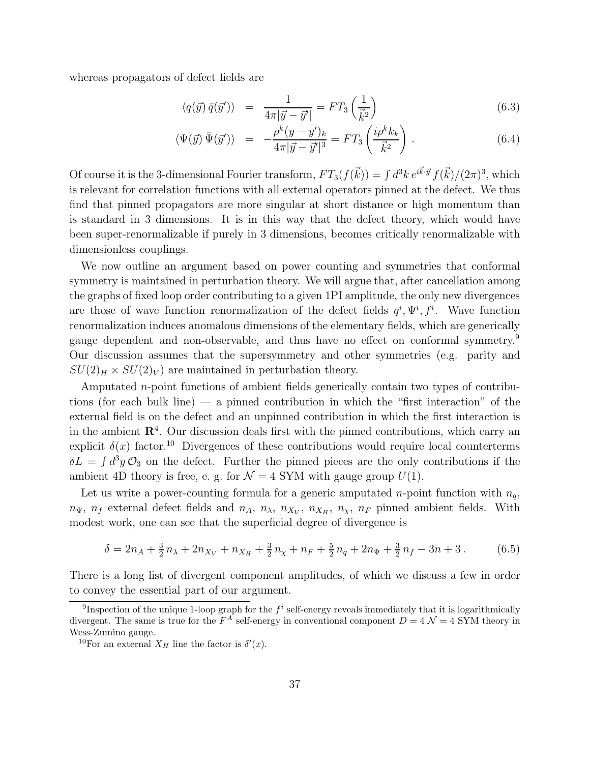whereas propagators of defect fields are

$$
\langle q(\vec{y})\,\bar{q}(\vec{y}')\rangle = \frac{1}{4\pi|\vec{y}-\vec{y}'|} = FT_3\left(\frac{1}{\vec{k}^2}\right) \tag{6.3}
$$

$$
\langle \Psi(\vec{y}) \,\bar{\Psi}(\vec{y}') \rangle = -\frac{\rho^k (y - y')_k}{4\pi |\vec{y} - \vec{y}'|^3} = FT_3 \left( \frac{i \rho^k k_k}{\vec{k}^2} \right). \tag{6.4}
$$

Of course it is the 3-dimensional Fourier transform,  $FT_3(f(\vec{k})) = \int d^3k \, e^{i\vec{k}\cdot\vec{y}} f(\vec{k})/(2\pi)^3$ , which is relevant for correlation functions with all external operators pinned at the defect. We thus find that pinned propagators are more singular at short distance or high momentum than is standard in 3 dimensions. It is in this way that the defect theory, which would have been super-renormalizable if purely in 3 dimensions, becomes critically renormalizable with dimensionless couplings.

We now outline an argument based on power counting and symmetries that conformal symmetry is maintained in perturbation theory. We will argue that, after cancellation among the graphs of fixed loop order contributing to a given 1PI amplitude, the only new divergences are those of wave function renormalization of the defect fields  $q^i, \Psi^i, f^i$ . Wave function renormalization induces anomalous dimensions of the elementary fields, which are generically gauge dependent and non-observable, and thus have no effect on conformal symmetry.<sup>9</sup> Our discussion assumes that the supersymmetry and other symmetries (e.g. parity and  $SU(2)_H \times SU(2)_V$  are maintained in perturbation theory.

Amputated n-point functions of ambient fields generically contain two types of contributions (for each bulk line) — a pinned contribution in which the "first interaction" of the external field is on the defect and an unpinned contribution in which the first interaction is in the ambient  $\mathbb{R}^4$ . Our discussion deals first with the pinned contributions, which carry an explicit  $\delta(x)$  factor.<sup>10</sup> Divergences of these contributions would require local counterterms  $\delta L = \int d^3y \mathcal{O}_3$  on the defect. Further the pinned pieces are the only contributions if the ambient 4D theory is free, e. g. for  $\mathcal{N} = 4$  SYM with gauge group  $U(1)$ .

Let us write a power-counting formula for a generic amputated *n*-point function with  $n_q$ ,  $n_{\Psi}$ ,  $n_f$  external defect fields and  $n_A$ ,  $n_{\lambda}$ ,  $n_{X_V}$ ,  $n_{X_H}$ ,  $n_{\chi}$ ,  $n_F$  pinned ambient fields. With modest work, one can see that the superficial degree of divergence is

$$
\delta = 2n_A + \frac{3}{2}n_A + 2n_{X_V} + n_{X_H} + \frac{3}{2}n_X + n_F + \frac{5}{2}n_q + 2n_{\Psi} + \frac{3}{2}n_f - 3n + 3. \tag{6.5}
$$

There is a long list of divergent component amplitudes, of which we discuss a few in order to convey the essential part of our argument.

<sup>&</sup>lt;sup>9</sup>Inspection of the unique 1-loop graph for the  $f^i$  self-energy reveals immediately that it is logarithmically divergent. The same is true for the  $F^A$  self-energy in conventional component  $D = 4 \mathcal{N} = 4$  SYM theory in Wess-Zumino gauge.

<sup>&</sup>lt;sup>10</sup>For an external  $X_H$  line the factor is  $\delta'(x)$ .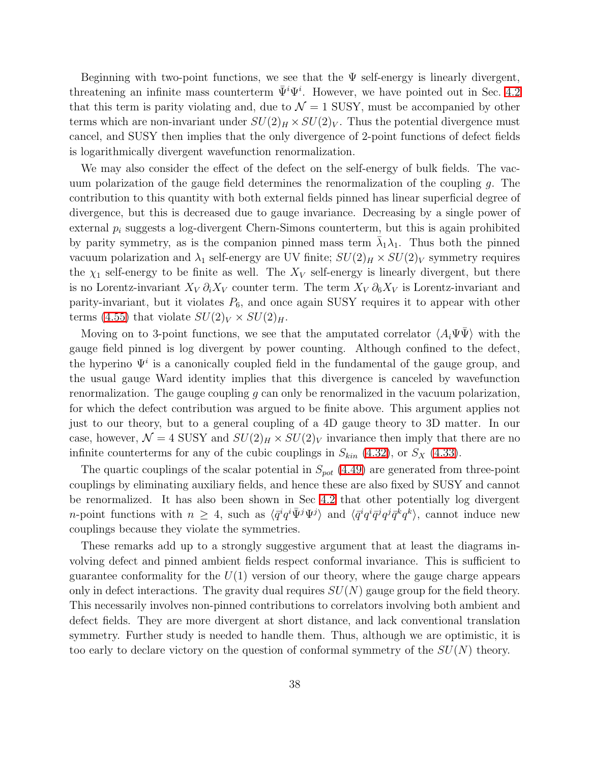Beginning with two-point functions, we see that the  $\Psi$  self-energy is linearly divergent, threatening an infinite mass counterterm  $\bar{\Psi}^i\Psi^i$ . However, we have pointed out in Sec. [4.2](#page-24-0) that this term is parity violating and, due to  $\mathcal{N}=1$  SUSY, must be accompanied by other terms which are non-invariant under  $SU(2)_H \times SU(2)_V$ . Thus the potential divergence must cancel, and SUSY then implies that the only divergence of 2-point functions of defect fields is logarithmically divergent wavefunction renormalization.

We may also consider the effect of the defect on the self-energy of bulk fields. The vacuum polarization of the gauge field determines the renormalization of the coupling g. The contribution to this quantity with both external fields pinned has linear superficial degree of divergence, but this is decreased due to gauge invariance. Decreasing by a single power of external  $p_i$  suggests a log-divergent Chern-Simons counterterm, but this is again prohibited by parity symmetry, as is the companion pinned mass term  $\bar{\lambda}_1 \lambda_1$ . Thus both the pinned vacuum polarization and  $\lambda_1$  self-energy are UV finite;  $SU(2)_H \times SU(2)_V$  symmetry requires the  $\chi_1$  self-energy to be finite as well. The  $X_V$  self-energy is linearly divergent, but there is no Lorentz-invariant  $X_V \partial_i X_V$  counter term. The term  $X_V \partial_6 X_V$  is Lorentz-invariant and parity-invariant, but it violates  $P_6$ , and once again SUSY requires it to appear with other terms [\(4.55\)](#page-31-1) that violate  $SU(2)_V \times SU(2)_H$ .

Moving on to 3-point functions, we see that the amputated correlator  $\langle A_i \Psi \bar{\Psi} \rangle$  with the gauge field pinned is log divergent by power counting. Although confined to the defect, the hyperino  $\Psi^i$  is a canonically coupled field in the fundamental of the gauge group, and the usual gauge Ward identity implies that this divergence is canceled by wavefunction renormalization. The gauge coupling  $q$  can only be renormalized in the vacuum polarization, for which the defect contribution was argued to be finite above. This argument applies not just to our theory, but to a general coupling of a 4D gauge theory to 3D matter. In our case, however,  $\mathcal{N} = 4$  SUSY and  $SU(2)_H \times SU(2)_V$  invariance then imply that there are no infinite counterterms for any of the cubic couplings in  $S_{kin}$  [\(4.32\)](#page-27-2), or  $S_X$  [\(4.33\)](#page-27-2).

The quartic couplings of the scalar potential in  $S_{pot}$  [\(4.49\)](#page-29-0) are generated from three-point couplings by eliminating auxiliary fields, and hence these are also fixed by SUSY and cannot be renormalized. It has also been shown in Sec [4.2](#page-24-0) that other potentially log divergent *n*-point functions with  $n \geq 4$ , such as  $\langle \bar{q}^i q^i \bar{\Psi}^j \Psi^j \rangle$  and  $\langle \bar{q}^i q^i \bar{q}^j q^j \bar{q}^k q^k \rangle$ , cannot induce new couplings because they violate the symmetries.

These remarks add up to a strongly suggestive argument that at least the diagrams involving defect and pinned ambient fields respect conformal invariance. This is sufficient to guarantee conformality for the  $U(1)$  version of our theory, where the gauge charge appears only in defect interactions. The gravity dual requires  $SU(N)$  gauge group for the field theory. This necessarily involves non-pinned contributions to correlators involving both ambient and defect fields. They are more divergent at short distance, and lack conventional translation symmetry. Further study is needed to handle them. Thus, although we are optimistic, it is too early to declare victory on the question of conformal symmetry of the  $SU(N)$  theory.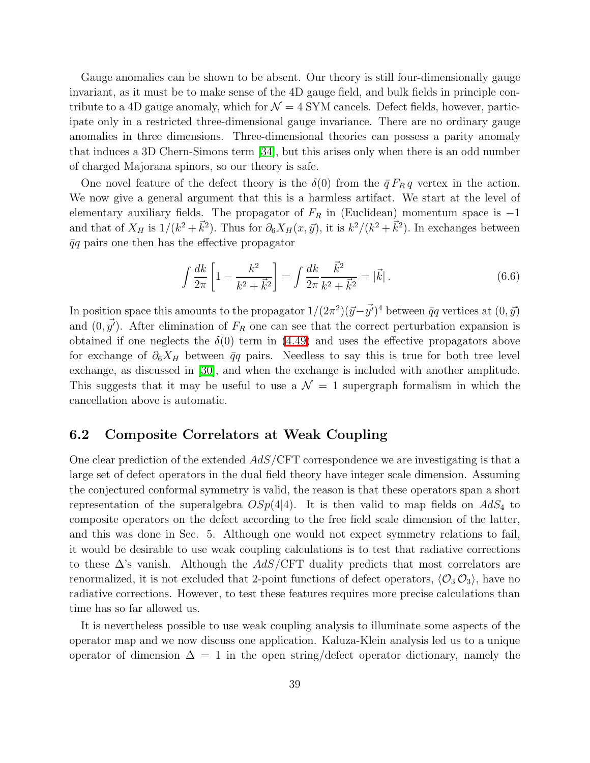Gauge anomalies can be shown to be absent. Our theory is still four-dimensionally gauge invariant, as it must be to make sense of the 4D gauge field, and bulk fields in principle contribute to a 4D gauge anomaly, which for  $\mathcal{N} = 4$  SYM cancels. Defect fields, however, participate only in a restricted three-dimensional gauge invariance. There are no ordinary gauge anomalies in three dimensions. Three-dimensional theories can possess a parity anomaly that induces a 3D Chern-Simons term [\[34\]](#page-48-2), but this arises only when there is an odd number of charged Majorana spinors, so our theory is safe.

One novel feature of the defect theory is the  $\delta(0)$  from the  $\bar{q} F_R q$  vertex in the action. We now give a general argument that this is a harmless artifact. We start at the level of elementary auxiliary fields. The propagator of  $F_R$  in (Euclidean) momentum space is  $-1$ and that of  $X_H$  is  $1/(k^2 + \vec{k}^2)$ . Thus for  $\partial_6 X_H(x, \vec{y})$ , it is  $k^2/(k^2 + \vec{k}^2)$ . In exchanges between  $\bar{q}q$  pairs one then has the effective propagator

$$
\int \frac{dk}{2\pi} \left[ 1 - \frac{k^2}{k^2 + \vec{k}^2} \right] = \int \frac{dk}{2\pi} \frac{\vec{k}^2}{k^2 + \vec{k}^2} = |\vec{k}|.
$$
 (6.6)

In position space this amounts to the propagator  $1/(2\pi^2)(\vec{y}-\vec{y'})^4$  between  $\bar{q}q$  vertices at  $(0,\vec{y})$ and  $(0, \vec{y'})$ . After elimination of  $F_R$  one can see that the correct perturbation expansion is obtained if one neglects the  $\delta(0)$  term in [\(4.49\)](#page-29-0) and uses the effective propagators above for exchange of  $\partial_6 X_H$  between  $\bar{q}q$  pairs. Needless to say this is true for both tree level exchange, as discussed in [\[30\]](#page-47-10), and when the exchange is included with another amplitude. This suggests that it may be useful to use a  $\mathcal{N} = 1$  supergraph formalism in which the cancellation above is automatic.

### 6.2 Composite Correlators at Weak Coupling

One clear prediction of the extended AdS/CFT correspondence we are investigating is that a large set of defect operators in the dual field theory have integer scale dimension. Assuming the conjectured conformal symmetry is valid, the reason is that these operators span a short representation of the superalgebra  $OSp(4|4)$ . It is then valid to map fields on  $AdS_4$  to composite operators on the defect according to the free field scale dimension of the latter, and this was done in Sec. 5. Although one would not expect symmetry relations to fail, it would be desirable to use weak coupling calculations is to test that radiative corrections to these  $\Delta$ 's vanish. Although the  $AdS/CFT$  duality predicts that most correlators are renormalized, it is not excluded that 2-point functions of defect operators,  $\langle \mathcal{O}_3 \mathcal{O}_3 \rangle$ , have no radiative corrections. However, to test these features requires more precise calculations than time has so far allowed us.

It is nevertheless possible to use weak coupling analysis to illuminate some aspects of the operator map and we now discuss one application. Kaluza-Klein analysis led us to a unique operator of dimension  $\Delta = 1$  in the open string/defect operator dictionary, namely the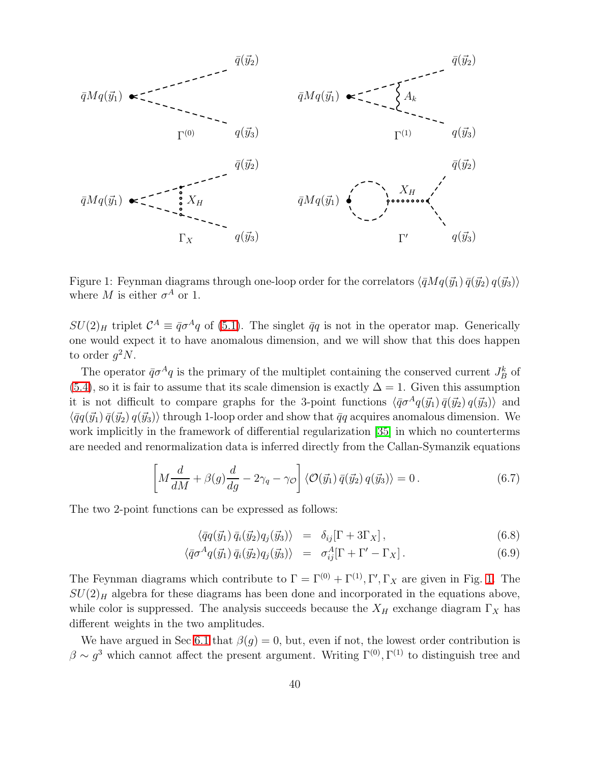

<span id="page-40-0"></span>Figure 1: Feynman diagrams through one-loop order for the correlators  $\langle \bar{q} M q(\vec{y}_1) \bar{q}(\vec{y}_2) q(\vec{y}_3) \rangle$ where M is either  $\sigma^A$  or 1.

 $SU(2)_H$  triplet  $\mathcal{C}^A \equiv \bar{q}\sigma^A q$  of [\(5.1\)](#page-33-1). The singlet  $\bar{q}q$  is not in the operator map. Generically one would expect it to have anomalous dimension, and we will show that this does happen to order  $g^2N$ .

The operator  $\bar{q}\sigma^A q$  is the primary of the multiplet containing the conserved current  $J_B^k$  of [\(5.4\)](#page-33-0), so it is fair to assume that its scale dimension is exactly  $\Delta = 1$ . Given this assumption it is not difficult to compare graphs for the 3-point functions  $\langle \bar{q} \sigma^A q(\vec{y}_1) \bar{q}(\vec{y}_2) q(\vec{y}_3) \rangle$  and  $\langle \bar{q}q(\vec{y}_1) \bar{q}(\vec{y}_2) q(\vec{y}_3) \rangle$  through 1-loop order and show that  $\bar{q}q$  acquires anomalous dimension. We work implicitly in the framework of differential regularization [\[35\]](#page-48-3) in which no counterterms are needed and renormalization data is inferred directly from the Callan-Symanzik equations

$$
\left[M\frac{d}{dM} + \beta(g)\frac{d}{dg} - 2\gamma_q - \gamma_{\mathcal{O}}\right] \langle \mathcal{O}(\vec{y}_1) \,\bar{q}(\vec{y}_2) \, q(\vec{y}_3) \rangle = 0. \tag{6.7}
$$

The two 2-point functions can be expressed as follows:

$$
\langle \bar{q}q(\vec{y}_1) \, \bar{q}_i(\vec{y}_2) q_j(\vec{y}_3) \rangle = \delta_{ij} [\Gamma + 3\Gamma_X], \qquad (6.8)
$$

$$
\langle \bar{q} \sigma^A q(\vec{y}_1) \, \bar{q}_i(\vec{y}_2) q_j(\vec{y}_3) \rangle = \sigma_{ij}^A [\Gamma + \Gamma' - \Gamma_X]. \tag{6.9}
$$

The Feynman diagrams which contribute to  $\Gamma = \Gamma^{(0)} + \Gamma^{(1)}, \Gamma', \Gamma_X$  are given in Fig. [1.](#page-40-0) The  $SU(2)_H$  algebra for these diagrams has been done and incorporated in the equations above, while color is suppressed. The analysis succeeds because the  $X_H$  exchange diagram  $\Gamma_X$  has different weights in the two amplitudes.

We have argued in Sec [6.1](#page-36-1) that  $\beta(q) = 0$ , but, even if not, the lowest order contribution is  $\beta \sim g^3$  which cannot affect the present argument. Writing  $\Gamma^{(0)}$ ,  $\Gamma^{(1)}$  to distinguish tree and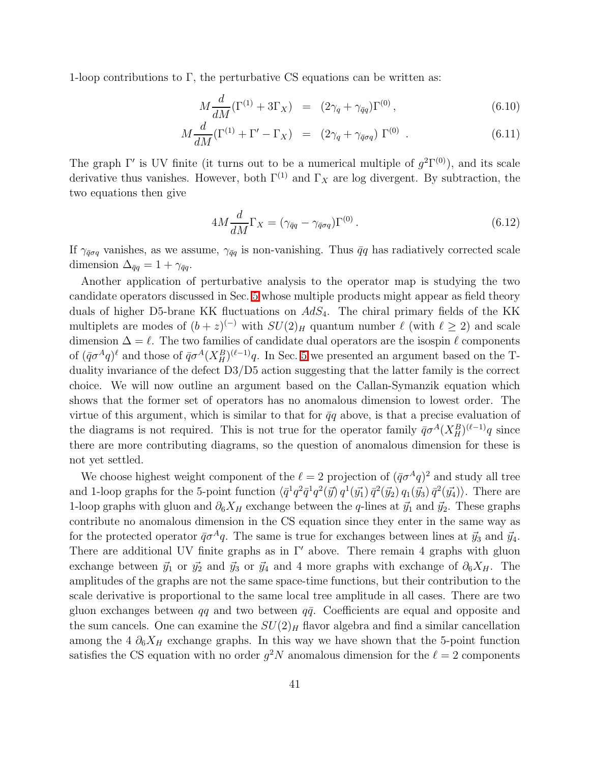1-loop contributions to Γ, the perturbative CS equations can be written as:

$$
M\frac{d}{dM}(\Gamma^{(1)} + 3\Gamma_X) = (2\gamma_q + \gamma_{\bar{q}q})\Gamma^{(0)}, \qquad (6.10)
$$

$$
M\frac{d}{dM}(\Gamma^{(1)} + \Gamma' - \Gamma_X) = (2\gamma_q + \gamma_{\bar{q}\sigma q})\Gamma^{(0)}.
$$
 (6.11)

The graph  $\Gamma'$  is UV finite (it turns out to be a numerical multiple of  $g^2\Gamma^{(0)}$ ), and its scale derivative thus vanishes. However, both  $\Gamma^{(1)}$  and  $\Gamma_X$  are log divergent. By subtraction, the two equations then give

$$
4M\frac{d}{dM}\Gamma_X = (\gamma_{\bar{q}q} - \gamma_{\bar{q}\sigma q})\Gamma^{(0)}.
$$
\n(6.12)

If  $\gamma_{\bar{q}q}$  vanishes, as we assume,  $\gamma_{\bar{q}q}$  is non-vanishing. Thus  $\bar{q}q$  has radiatively corrected scale dimension  $\Delta_{\bar{q}q} = 1 + \gamma_{\bar{q}q}$ .

Another application of perturbative analysis to the operator map is studying the two candidate operators discussed in Sec. [5](#page-32-0) whose multiple products might appear as field theory duals of higher D5-brane KK fluctuations on  $AdS_4$ . The chiral primary fields of the KK multiplets are modes of  $(b+z)^{(-)}$  with  $SU(2)_H$  quantum number  $\ell$  (with  $\ell \geq 2$ ) and scale dimension  $\Delta = \ell$ . The two families of candidate dual operators are the isospin  $\ell$  components of  $(\bar{q}\sigma^A q)^{\ell}$  and those of  $\bar{q}\sigma^A (X_H^B)^{(\ell-1)} q$ . In Sec. [5](#page-32-0) we presented an argument based on the Tduality invariance of the defect D3/D5 action suggesting that the latter family is the correct choice. We will now outline an argument based on the Callan-Symanzik equation which shows that the former set of operators has no anomalous dimension to lowest order. The virtue of this argument, which is similar to that for  $\bar{q}q$  above, is that a precise evaluation of the diagrams is not required. This is not true for the operator family  $\bar{q}\sigma^A(X_H^B)^{(\ell-1)}q$  since there are more contributing diagrams, so the question of anomalous dimension for these is not yet settled.

We choose highest weight component of the  $\ell = 2$  projection of  $(\bar{q}\sigma^A q)^2$  and study all tree and 1-loop graphs for the 5-point function  $\langle \bar{q}^1 q^2 \bar{q}^1 q^2 (\vec{y}) q^1 (\vec{y}_1) \bar{q}^2 (\vec{y}_2) q_1 (\vec{y}_3) \bar{q}^2 (\vec{y}_4) \rangle$ . There are 1-loop graphs with gluon and  $\partial_6X_H$  exchange between the q-lines at  $\vec{y}_1$  and  $\vec{y}_2$ . These graphs contribute no anomalous dimension in the CS equation since they enter in the same way as for the protected operator  $\bar{q}\sigma^A q$ . The same is true for exchanges between lines at  $\vec{y}_3$  and  $\vec{y}_4$ . There are additional UV finite graphs as in  $\Gamma'$  above. There remain 4 graphs with gluon exchange between  $\vec{y}_1$  or  $\vec{y}_2$  and  $\vec{y}_3$  or  $\vec{y}_4$  and 4 more graphs with exchange of  $\partial_6X_H$ . The amplitudes of the graphs are not the same space-time functions, but their contribution to the scale derivative is proportional to the same local tree amplitude in all cases. There are two gluon exchanges between  $q\bar{q}$  and two between  $q\bar{q}$ . Coefficients are equal and opposite and the sum cancels. One can examine the  $SU(2)_H$  flavor algebra and find a similar cancellation among the 4  $\partial_6X_H$  exchange graphs. In this way we have shown that the 5-point function satisfies the CS equation with no order  $g^2N$  anomalous dimension for the  $\ell = 2$  components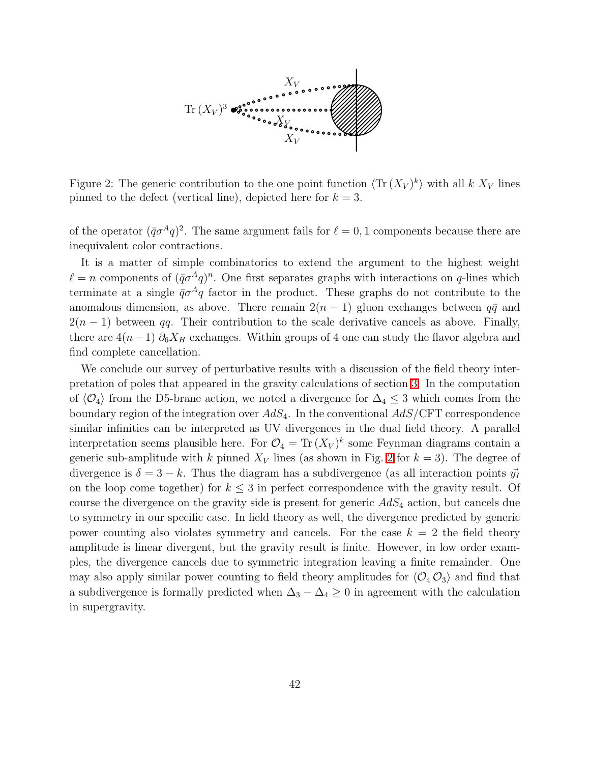

<span id="page-42-0"></span>Figure 2: The generic contribution to the one point function  $\langle \text{Tr} (X_V)^k \rangle$  with all k  $X_V$  lines pinned to the defect (vertical line), depicted here for  $k = 3$ .

of the operator  $({\bar q}\sigma^A q)^2$ . The same argument fails for  $\ell = 0, 1$  components because there are inequivalent color contractions.

It is a matter of simple combinatorics to extend the argument to the highest weight  $\ell = n$  components of  $(\bar{q}\sigma^A q)^n$ . One first separates graphs with interactions on q-lines which terminate at a single  $\bar{q}\sigma^4q$  factor in the product. These graphs do not contribute to the anomalous dimension, as above. There remain  $2(n-1)$  gluon exchanges between  $q\bar{q}$  and  $2(n-1)$  between qq. Their contribution to the scale derivative cancels as above. Finally, there are  $4(n-1)$   $\partial_6 X_H$  exchanges. Within groups of 4 one can study the flavor algebra and find complete cancellation.

We conclude our survey of perturbative results with a discussion of the field theory interpretation of poles that appeared in the gravity calculations of section [3.](#page-6-3) In the computation of  $\langle \mathcal{O}_4 \rangle$  from the D5-brane action, we noted a divergence for  $\Delta_4 \leq 3$  which comes from the boundary region of the integration over  $AdS_4$ . In the conventional  $AdS/\text{CFT}$  correspondence similar infinities can be interpreted as UV divergences in the dual field theory. A parallel interpretation seems plausible here. For  $\mathcal{O}_4 = \text{Tr}(X_V)^k$  some Feynman diagrams contain a generic sub-amplitude with k pinned  $X_V$  lines (as shown in Fig. [2](#page-42-0) for  $k = 3$ ). The degree of divergence is  $\delta = 3 - k$ . Thus the diagram has a subdivergence (as all interaction points  $\vec{y}_I$ on the loop come together) for  $k \leq 3$  in perfect correspondence with the gravity result. Of course the divergence on the gravity side is present for generic  $AdS<sub>4</sub>$  action, but cancels due to symmetry in our specific case. In field theory as well, the divergence predicted by generic power counting also violates symmetry and cancels. For the case  $k = 2$  the field theory amplitude is linear divergent, but the gravity result is finite. However, in low order examples, the divergence cancels due to symmetric integration leaving a finite remainder. One may also apply similar power counting to field theory amplitudes for  $\langle O_4 O_3 \rangle$  and find that a subdivergence is formally predicted when  $\Delta_3 - \Delta_4 \geq 0$  in agreement with the calculation in supergravity.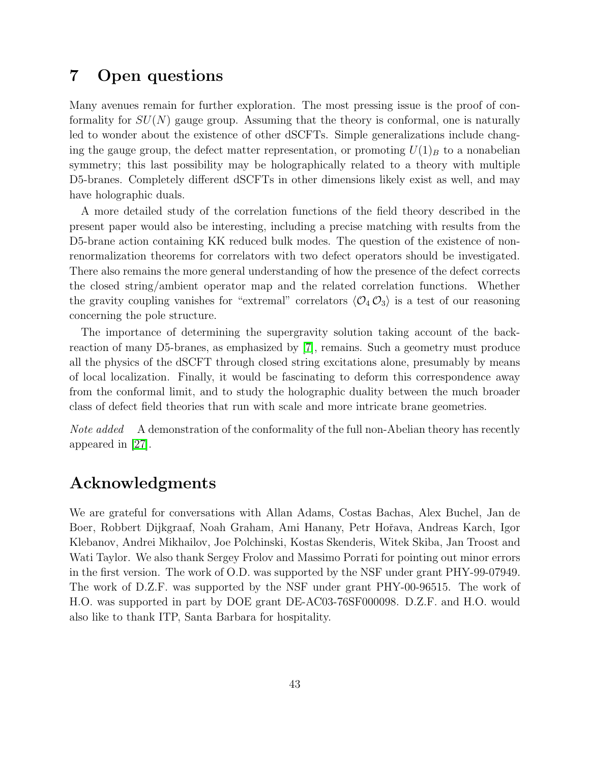# 7 Open questions

Many avenues remain for further exploration. The most pressing issue is the proof of conformality for  $SU(N)$  gauge group. Assuming that the theory is conformal, one is naturally led to wonder about the existence of other dSCFTs. Simple generalizations include changing the gauge group, the defect matter representation, or promoting  $U(1)_B$  to a nonabelian symmetry; this last possibility may be holographically related to a theory with multiple D5-branes. Completely different dSCFTs in other dimensions likely exist as well, and may have holographic duals.

A more detailed study of the correlation functions of the field theory described in the present paper would also be interesting, including a precise matching with results from the D5-brane action containing KK reduced bulk modes. The question of the existence of nonrenormalization theorems for correlators with two defect operators should be investigated. There also remains the more general understanding of how the presence of the defect corrects the closed string/ambient operator map and the related correlation functions. Whether the gravity coupling vanishes for "extremal" correlators  $\langle \mathcal{O}_4 \mathcal{O}_3 \rangle$  is a test of our reasoning concerning the pole structure.

The importance of determining the supergravity solution taking account of the backreaction of many D5-branes, as emphasized by [\[7\]](#page-46-1), remains. Such a geometry must produce all the physics of the dSCFT through closed string excitations alone, presumably by means of local localization. Finally, it would be fascinating to deform this correspondence away from the conformal limit, and to study the holographic duality between the much broader class of defect field theories that run with scale and more intricate brane geometries.

Note added A demonstration of the conformality of the full non-Abelian theory has recently appeared in [\[27\]](#page-47-7).

# Acknowledgments

We are grateful for conversations with Allan Adams, Costas Bachas, Alex Buchel, Jan de Boer, Robbert Dijkgraaf, Noah Graham, Ami Hanany, Petr Hoˇrava, Andreas Karch, Igor Klebanov, Andrei Mikhailov, Joe Polchinski, Kostas Skenderis, Witek Skiba, Jan Troost and Wati Taylor. We also thank Sergey Frolov and Massimo Porrati for pointing out minor errors in the first version. The work of O.D. was supported by the NSF under grant PHY-99-07949. The work of D.Z.F. was supported by the NSF under grant PHY-00-96515. The work of H.O. was supported in part by DOE grant DE-AC03-76SF000098. D.Z.F. and H.O. would also like to thank ITP, Santa Barbara for hospitality.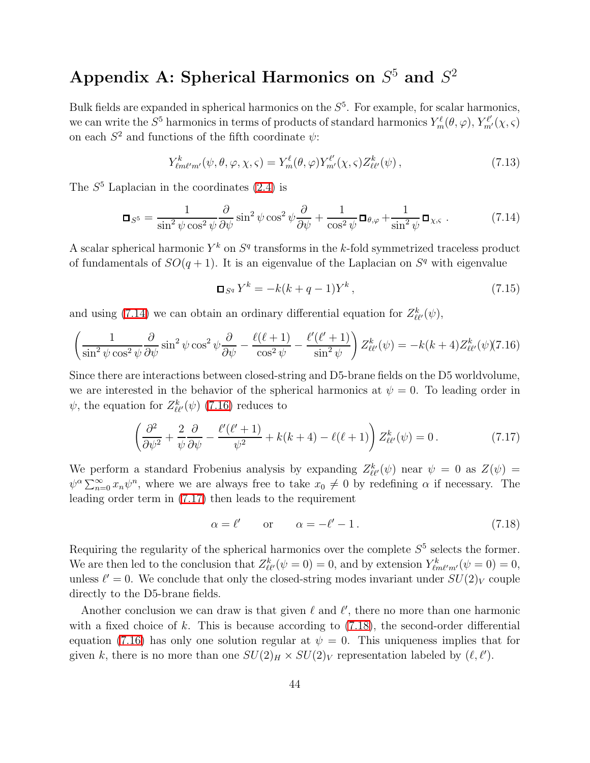# Appendix A: Spherical Harmonics on  $S^5$  and  $S^2$

Bulk fields are expanded in spherical harmonics on the  $S<sup>5</sup>$ . For example, for scalar harmonics, we can write the  $S^5$  harmonics in terms of products of standard harmonics  $Y_m^{\ell}(\theta, \varphi), Y_{m'}^{\ell'}(\chi, \varsigma)$ on each  $S^2$  and functions of the fifth coordinate  $\psi$ :

$$
Y_{\ell m \ell' m'}^k(\psi, \theta, \varphi, \chi, \varsigma) = Y_m^{\ell}(\theta, \varphi) Y_{m'}^{\ell'}(\chi, \varsigma) Z_{\ell \ell'}^k(\psi) , \qquad (7.13)
$$

<span id="page-44-0"></span>The  $S<sup>5</sup>$  Laplacian in the coordinates [\(2.4\)](#page-4-0) is

$$
\Box_{S^5} = \frac{1}{\sin^2 \psi \cos^2 \psi} \frac{\partial}{\partial \psi} \sin^2 \psi \cos^2 \psi \frac{\partial}{\partial \psi} + \frac{1}{\cos^2 \psi} \Box_{\theta, \varphi} + \frac{1}{\sin^2 \psi} \Box_{\chi, \varsigma} . \tag{7.14}
$$

A scalar spherical harmonic  $Y^k$  on  $S^q$  transforms in the k-fold symmetrized traceless product of fundamentals of  $SO(q + 1)$ . It is an eigenvalue of the Laplacian on  $S<sup>q</sup>$  with eigenvalue

$$
\Box_{S^q} Y^k = -k(k+q-1)Y^k, \qquad (7.15)
$$

and using [\(7.14\)](#page-44-0) we can obtain an ordinary differential equation for  $Z_{\ell\ell'}^k(\psi)$ ,

<span id="page-44-1"></span>
$$
\left(\frac{1}{\sin^2 \psi \cos^2 \psi} \frac{\partial}{\partial \psi} \sin^2 \psi \cos^2 \psi \frac{\partial}{\partial \psi} - \frac{\ell(\ell+1)}{\cos^2 \psi} - \frac{\ell'(\ell'+1)}{\sin^2 \psi}\right) Z_{\ell\ell'}^k(\psi) = -k(k+4) Z_{\ell\ell'}^k(\psi) (7.16)
$$

Since there are interactions between closed-string and D5-brane fields on the D5 worldvolume, we are interested in the behavior of the spherical harmonics at  $\psi = 0$ . To leading order in  $\psi$ , the equation for  $Z_{\ell\ell'}^k(\psi)$  [\(7.16\)](#page-44-1) reduces to

$$
\left(\frac{\partial^2}{\partial \psi^2} + \frac{2}{\psi} \frac{\partial}{\partial \psi} - \frac{\ell'(\ell'+1)}{\psi^2} + k(k+4) - \ell(\ell+1)\right) Z_{\ell\ell'}^k(\psi) = 0.
$$
\n(7.17)

<span id="page-44-2"></span>We perform a standard Frobenius analysis by expanding  $Z_{\ell\ell'}^k(\psi)$  near  $\psi = 0$  as  $Z(\psi) =$  $\psi^{\alpha} \sum_{n=0}^{\infty} x_n \psi^n$ , where we are always free to take  $x_0 \neq 0$  by redefining  $\alpha$  if necessary. The leading order term in [\(7.17\)](#page-44-2) then leads to the requirement

<span id="page-44-3"></span>
$$
\alpha = \ell' \qquad \text{or} \qquad \alpha = -\ell' - 1. \tag{7.18}
$$

Requiring the regularity of the spherical harmonics over the complete  $S<sup>5</sup>$  selects the former. We are then led to the conclusion that  $Z_{\ell\ell'}^k(\psi=0) = 0$ , and by extension  $Y_{\ell m\ell'm'}^k(\psi=0) = 0$ , unless  $\ell' = 0$ . We conclude that only the closed-string modes invariant under  $SU(2)_V$  couple directly to the D5-brane fields.

Another conclusion we can draw is that given  $\ell$  and  $\ell'$ , there no more than one harmonic with a fixed choice of k. This is because according to  $(7.18)$ , the second-order differential equation [\(7.16\)](#page-44-1) has only one solution regular at  $\psi = 0$ . This uniqueness implies that for given k, there is no more than one  $SU(2)_H \times SU(2)_V$  representation labeled by  $(\ell, \ell')$ .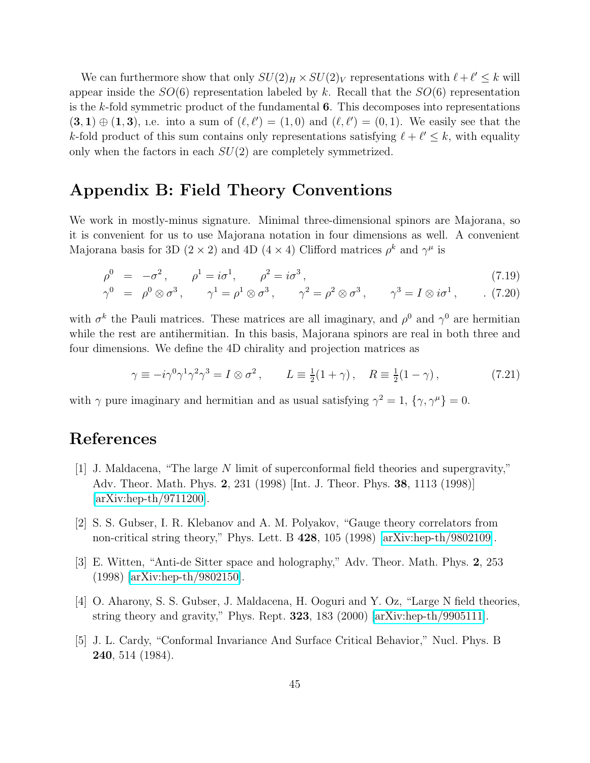We can furthermore show that only  $SU(2)_H \times SU(2)_V$  representations with  $\ell + \ell' \leq k$  will appear inside the  $SO(6)$  representation labeled by k. Recall that the  $SO(6)$  representation is the k-fold symmetric product of the fundamental  $6$ . This decomposes into representations  $(3, 1) \oplus (1, 3)$ , i.e. into a sum of  $(\ell, \ell') = (1, 0)$  and  $(\ell, \ell') = (0, 1)$ . We easily see that the k-fold product of this sum contains only representations satisfying  $\ell + \ell' \leq k$ , with equality only when the factors in each  $SU(2)$  are completely symmetrized.

## Appendix B: Field Theory Conventions

We work in mostly-minus signature. Minimal three-dimensional spinors are Majorana, so it is convenient for us to use Majorana notation in four dimensions as well. A convenient Majorana basis for 3D (2  $\times$  2) and 4D (4  $\times$  4) Clifford matrices  $\rho^k$  and  $\gamma^{\mu}$  is

$$
\rho^0 = -\sigma^2, \qquad \rho^1 = i\sigma^1, \qquad \rho^2 = i\sigma^3, \tag{7.19}
$$

$$
\gamma^0 = \rho^0 \otimes \sigma^3, \qquad \gamma^1 = \rho^1 \otimes \sigma^3, \qquad \gamma^2 = \rho^2 \otimes \sigma^3, \qquad \gamma^3 = I \otimes i\sigma^1, \qquad . \tag{7.20}
$$

with  $\sigma^k$  the Pauli matrices. These matrices are all imaginary, and  $\rho^0$  and  $\gamma^0$  are hermitian while the rest are antihermitian. In this basis, Majorana spinors are real in both three and four dimensions. We define the 4D chirality and projection matrices as

$$
\gamma \equiv -i\gamma^0 \gamma^1 \gamma^2 \gamma^3 = I \otimes \sigma^2, \qquad L \equiv \frac{1}{2}(1+\gamma), \quad R \equiv \frac{1}{2}(1-\gamma), \tag{7.21}
$$

with  $\gamma$  pure imaginary and hermitian and as usual satisfying  $\gamma^2 = 1$ ,  $\{\gamma, \gamma^{\mu}\} = 0$ .

# <span id="page-45-0"></span>References

- [1] J. Maldacena, "The large N limit of superconformal field theories and supergravity," Adv. Theor. Math. Phys. 2, 231 (1998) [Int. J. Theor. Phys. 38, 1113 (1998)] [\[arXiv:hep-th/9711200\]](http://arXiv.org/abs/hep-th/9711200).
- <span id="page-45-2"></span><span id="page-45-1"></span>[2] S. S. Gubser, I. R. Klebanov and A. M. Polyakov, "Gauge theory correlators from non-critical string theory," Phys. Lett. B 428, 105 (1998) [\[arXiv:hep-th/9802109\]](http://arXiv.org/abs/hep-th/9802109).
- <span id="page-45-3"></span>[3] E. Witten, "Anti-de Sitter space and holography," Adv. Theor. Math. Phys. 2, 253 (1998) [\[arXiv:hep-th/9802150\]](http://arXiv.org/abs/hep-th/9802150).
- <span id="page-45-4"></span>[4] O. Aharony, S. S. Gubser, J. Maldacena, H. Ooguri and Y. Oz, "Large N field theories, string theory and gravity," Phys. Rept.  $323$ ,  $183$  (2000) [\[arXiv:hep-th/9905111\]](http://arXiv.org/abs/hep-th/9905111).
- [5] J. L. Cardy, "Conformal Invariance And Surface Critical Behavior," Nucl. Phys. B 240, 514 (1984).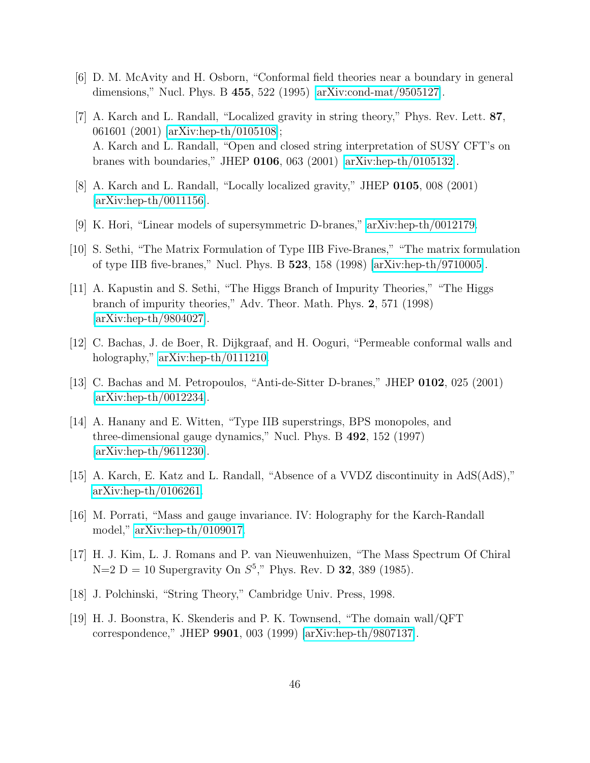- <span id="page-46-1"></span><span id="page-46-0"></span>[6] D. M. McAvity and H. Osborn, "Conformal field theories near a boundary in general dimensions," Nucl. Phys. B 455, 522 (1995) [\[arXiv:cond-mat/9505127\]](http://arXiv.org/abs/cond-mat/9505127).
- [7] A. Karch and L. Randall, "Localized gravity in string theory," Phys. Rev. Lett. 87, 061601 (2001) [\[arXiv:hep-th/0105108\]](http://arXiv.org/abs/hep-th/0105108); A. Karch and L. Randall, "Open and closed string interpretation of SUSY CFT's on branes with boundaries," JHEP 0106, 063 (2001) [\[arXiv:hep-th/0105132\]](http://arXiv.org/abs/hep-th/0105132).
- <span id="page-46-3"></span><span id="page-46-2"></span>[8] A. Karch and L. Randall, "Locally localized gravity," JHEP 0105, 008 (2001) [\[arXiv:hep-th/0011156\]](http://arXiv.org/abs/hep-th/0011156).
- [9] K. Hori, "Linear models of supersymmetric D-branes," [arXiv:hep-th/0012179.](http://arXiv.org/abs/hep-th/0012179)
- <span id="page-46-4"></span>[10] S. Sethi, "The Matrix Formulation of Type IIB Five-Branes," "The matrix formulation of type IIB five-branes," Nucl. Phys. B 523, 158 (1998) [\[arXiv:hep-th/9710005\]](http://arXiv.org/abs/hep-th/9710005).
- <span id="page-46-5"></span>[11] A. Kapustin and S. Sethi, "The Higgs Branch of Impurity Theories," "The Higgs branch of impurity theories," Adv. Theor. Math. Phys. 2, 571 (1998) [\[arXiv:hep-th/9804027\]](http://arXiv.org/abs/hep-th/9804027).
- <span id="page-46-7"></span><span id="page-46-6"></span>[12] C. Bachas, J. de Boer, R. Dijkgraaf, and H. Ooguri, "Permeable conformal walls and holography," [arXiv:hep-th/0111210.](http://arXiv.org/abs/hep-th/0111210)
- <span id="page-46-8"></span>[13] C. Bachas and M. Petropoulos, "Anti-de-Sitter D-branes," JHEP 0102, 025 (2001) [\[arXiv:hep-th/0012234\]](http://arXiv.org/abs/hep-th/0012234).
- [14] A. Hanany and E. Witten, "Type IIB superstrings, BPS monopoles, and three-dimensional gauge dynamics," Nucl. Phys. B 492, 152 (1997) [\[arXiv:hep-th/9611230\]](http://arXiv.org/abs/hep-th/9611230).
- <span id="page-46-10"></span><span id="page-46-9"></span>[15] A. Karch, E. Katz and L. Randall, "Absence of a VVDZ discontinuity in AdS(AdS)," [arXiv:hep-th/0106261.](http://arXiv.org/abs/hep-th/0106261)
- <span id="page-46-11"></span>[16] M. Porrati, "Mass and gauge invariance. IV: Holography for the Karch-Randall model," [arXiv:hep-th/0109017.](http://arXiv.org/abs/hep-th/0109017)
- <span id="page-46-12"></span>[17] H. J. Kim, L. J. Romans and P. van Nieuwenhuizen, "The Mass Spectrum Of Chiral  $N=2$  D = 10 Supergravity On  $S^5$ ," Phys. Rev. D **32**, 389 (1985).
- <span id="page-46-13"></span>[18] J. Polchinski, "String Theory," Cambridge Univ. Press, 1998.
- [19] H. J. Boonstra, K. Skenderis and P. K. Townsend, "The domain wall/QFT correspondence," JHEP 9901, 003 (1999) [\[arXiv:hep-th/9807137\]](http://arXiv.org/abs/hep-th/9807137).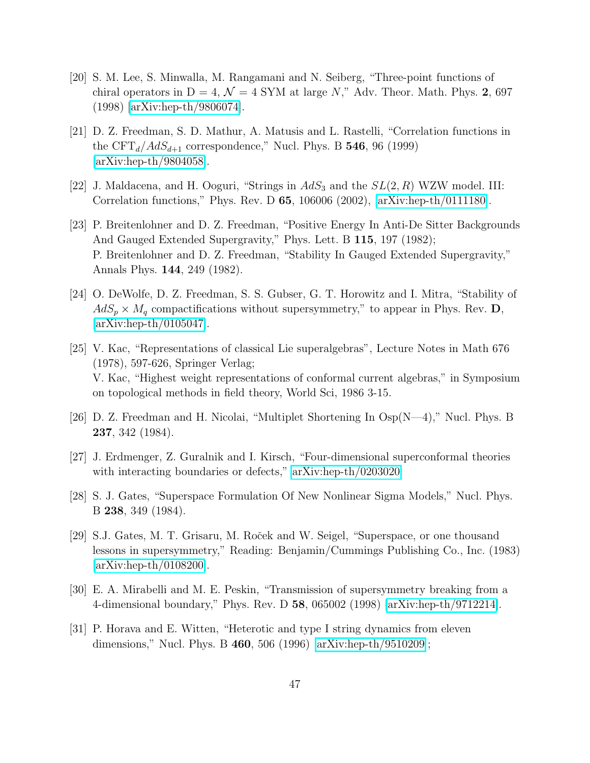- <span id="page-47-0"></span>[20] S. M. Lee, S. Minwalla, M. Rangamani and N. Seiberg, "Three-point functions of chiral operators in  $D = 4$ ,  $\mathcal{N} = 4$  SYM at large N," Adv. Theor. Math. Phys. 2, 697 (1998) [\[arXiv:hep-th/9806074\]](http://arXiv.org/abs/hep-th/9806074).
- <span id="page-47-1"></span>[21] D. Z. Freedman, S. D. Mathur, A. Matusis and L. Rastelli, "Correlation functions in the  $CFT_d/AdS_{d+1}$  correspondence," Nucl. Phys. B 546, 96 (1999) [\[arXiv:hep-th/9804058\]](http://arXiv.org/abs/hep-th/9804058).
- <span id="page-47-3"></span><span id="page-47-2"></span>[22] J. Maldacena, and H. Ooguri, "Strings in  $AdS_3$  and the  $SL(2, R)$  WZW model. III: Correlation functions," Phys. Rev. D 65, 106006 (2002), [\[arXiv:hep-th/0111180\]](http://arXiv.org/abs/hep-th/0111180).
- [23] P. Breitenlohner and D. Z. Freedman, "Positive Energy In Anti-De Sitter Backgrounds And Gauged Extended Supergravity," Phys. Lett. B 115, 197 (1982); P. Breitenlohner and D. Z. Freedman, "Stability In Gauged Extended Supergravity," Annals Phys. 144, 249 (1982).
- <span id="page-47-4"></span>[24] O. DeWolfe, D. Z. Freedman, S. S. Gubser, G. T. Horowitz and I. Mitra, "Stability of  $AdS_p \times M_q$  compactifications without supersymmetry," to appear in Phys. Rev. D, [\[arXiv:hep-th/0105047\]](http://arXiv.org/abs/hep-th/0105047).
- <span id="page-47-5"></span>[25] V. Kac, "Representations of classical Lie superalgebras", Lecture Notes in Math 676 (1978), 597-626, Springer Verlag; V. Kac, "Highest weight representations of conformal current algebras," in Symposium on topological methods in field theory, World Sci, 1986 3-15.
- <span id="page-47-6"></span>[26] D. Z. Freedman and H. Nicolai, "Multiplet Shortening In Osp(N—4)," Nucl. Phys. B 237, 342 (1984).
- <span id="page-47-8"></span><span id="page-47-7"></span>[27] J. Erdmenger, Z. Guralnik and I. Kirsch, "Four-dimensional superconformal theories with interacting boundaries or defects," [arXiv:hep-th/0203020.](http://arXiv.org/abs/hep-th/0203020)
- <span id="page-47-9"></span>[28] S. J. Gates, "Superspace Formulation Of New Nonlinear Sigma Models," Nucl. Phys. B 238, 349 (1984).
- [29] S.J. Gates, M. T. Grisaru, M. Roček and W. Seigel, "Superspace, or one thousand lessons in supersymmetry," Reading: Benjamin/Cummings Publishing Co., Inc. (1983) [\[arXiv:hep-th/0108200\]](http://arXiv.org/abs/hep-th/0108200).
- <span id="page-47-10"></span>[30] E. A. Mirabelli and M. E. Peskin, "Transmission of supersymmetry breaking from a 4-dimensional boundary," Phys. Rev. D 58, 065002 (1998) [\[arXiv:hep-th/9712214\]](http://arXiv.org/abs/hep-th/9712214).
- <span id="page-47-11"></span>[31] P. Horava and E. Witten, "Heterotic and type I string dynamics from eleven dimensions," Nucl. Phys. B 460, 506 (1996) [\[arXiv:hep-th/9510209\]](http://arXiv.org/abs/hep-th/9510209);